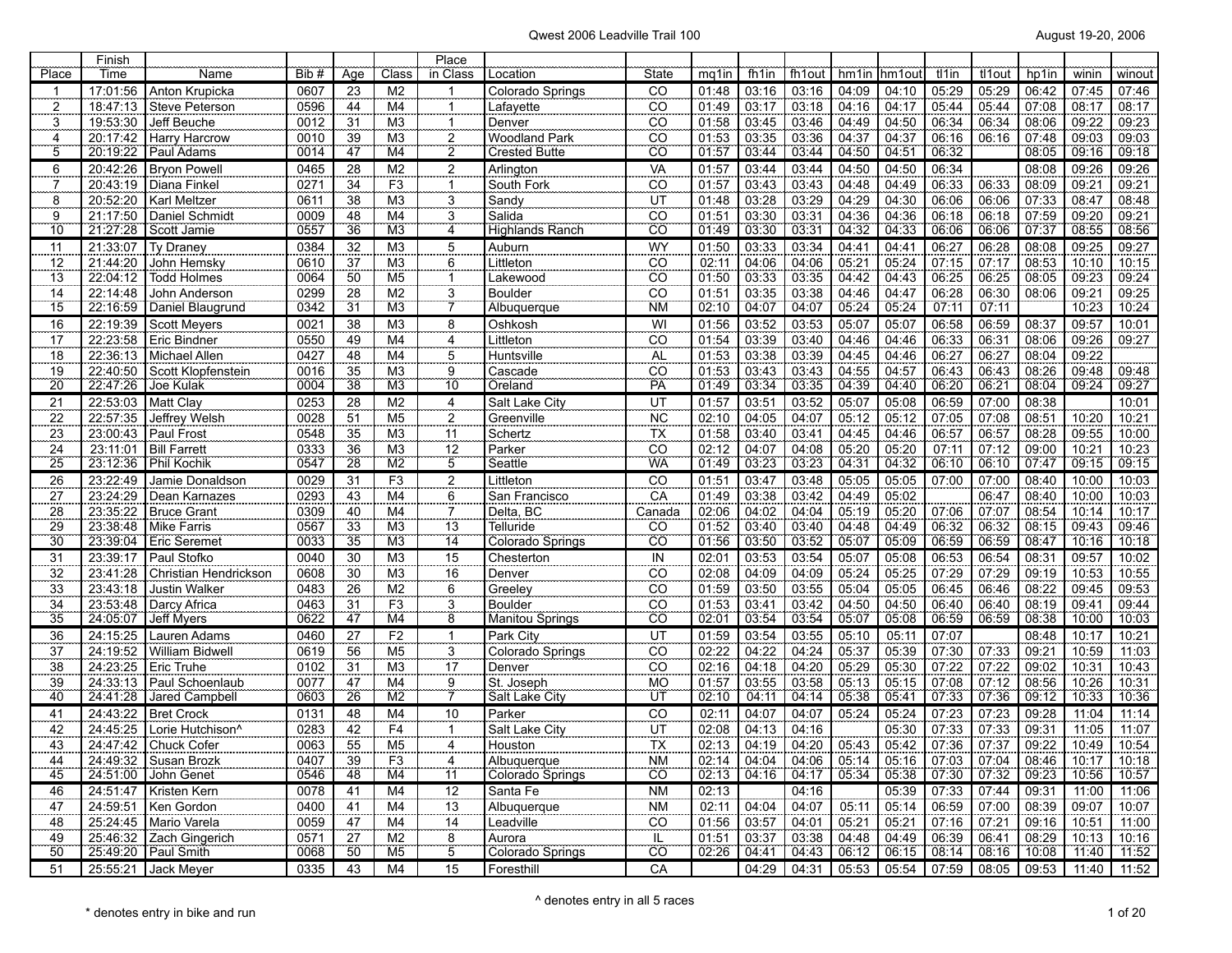|                     | Finish               |                                   |              |                       |                      | Place                          |                        |                              |                |                     |                                                                               |                |                |                                                       |                           |                |                |                |
|---------------------|----------------------|-----------------------------------|--------------|-----------------------|----------------------|--------------------------------|------------------------|------------------------------|----------------|---------------------|-------------------------------------------------------------------------------|----------------|----------------|-------------------------------------------------------|---------------------------|----------------|----------------|----------------|
| Place               | Time                 | Name                              | Bib #        | Age                   | Class                | in Class                       | Location               | State                        | mq1in          | fh1in               | fh1out                                                                        | hm1in          | hm1out         | tl1in                                                 | tl <sub>1</sub> out       | hp1in          | winin          | winout         |
| -1                  | 17:01:56             | Anton Krupicka                    | 0607         | 23                    | M <sub>2</sub>       |                                | Colorado Springs       | CO                           | 01:48          | 03:16               | 03:16                                                                         | 04:09          | 04:10          | 05:29                                                 | 05:29                     | 06:42          | 07:45          | 07:46          |
| $\frac{2}{\pi}$     | 18:47:13             | Steve Peterson                    | 0596         | 44                    | M <sub>4</sub>       |                                | Lafayette              | CO                           | 01:49          | 03:17               | 03:18                                                                         | 04:16          | 04:17          | 05:44                                                 | 05:44                     | 07:08          | 08:17          | 08:17          |
| $\overline{3}$      | 19:53:30             | Jeff Beuche                       | 0012         | $\frac{31}{2}$        | M <sub>3</sub>       | 1                              | Denver                 | $\overline{CO}$              | 01:58          | 03:45               | 03:46                                                                         | 04:49          | 04:50          | 06:34                                                 | 06:34                     | 08:06          | 09:22          | 09:23          |
| 4                   | 20:17:42             | <b>Harry Harcrow</b>              | 0010         | 39                    | M3                   | $\frac{2}{2}$                  | Woodland Park          | CO                           | 01:53          | 03:35               | 03:36                                                                         | 04:37          | 04:37          | 06:16                                                 | 06:16                     | 07:48          | 09:03          | 09:03          |
| $\overline{5}$      | 20:19:22             | Paul Adams                        | 0014         | 47                    | M4                   |                                | <b>Crested Butte</b>   | CÖ <sup>"</sup>              | 01:57          | 03:44               | 03:44                                                                         | 04:50          | 04:51          | 06:32                                                 |                           | 08:05          | 09:16          | 09:18          |
| $\overline{6}$      | 20:42:26             | <b>Bryon Powell</b>               | 0465         | 28                    | M <sub>2</sub>       | $\overline{2}$                 | Arlington              | VA                           | 01:57          | 03:44               | 03:44                                                                         | 04:50          | 04:50          | 06:34                                                 |                           | 08:08          | 09:26          | 09:26          |
| $\overline{1}$      | 20:43:19             | Diana Finkel                      | 0271         | $\overline{34}$       | F3                   | $\mathbf{1}$                   | South Fork             | $\overline{C}\overline{O}$   | 01:57          | 03:43               | 03:43                                                                         | 04:48          | 04:49          | 06:33                                                 | 06:33                     | 08:09          | 09:21          | 09:21          |
| $\overline{8}$      | 20:52:20             | Karl Meltzer                      | 0611         | 38                    | M <sub>3</sub>       | $\frac{3}{4}$                  | Sandy<br>Salida        | UT                           | 01:48          | 03:28               | 03:29                                                                         | 04:29          | 04:30          | 06:06                                                 | 06:06                     | 07:33          | 08:47          | 08:48          |
| 9<br>$\frac{8}{10}$ | 21:17:50             | Daniel Schmidt                    | 0009         | 48                    | M4                   |                                |                        | $\overline{CO}$              | 01:51          | 03:30               | 03:31                                                                         | 04:36          | 04:36          | 06:18                                                 | 06:18                     | 07:59          | 09:20          | 09:21          |
|                     | 21:27:28             | Scott Jamie                       | 0557         | 36                    | M <sub>3</sub>       |                                | Highlands Ranch        | CÖ.                          | 01:49          | 03:30               | 03:31                                                                         | 04:32          | 04:33          | 06:06                                                 | 06:06                     | 07:37          | 08:55          | 08:56          |
| 11                  | 21:33:07             | Ty Draney                         | 0384         | 32                    | M <sub>3</sub>       | $\frac{5}{6}$                  | Auburn                 | WY                           | 01:50          | 03:33               | 03:34                                                                         | 04:41          | 04:41          | 06:27                                                 | 06:28                     | 08:08          | 09:25          | 09:27          |
| $\frac{12}{13}$     | 21:44:20             | John Hemsky                       | 0610         | $\overline{37}$       | M3                   |                                | Littleton              | CO                           | 02:11          | 04:06               | 04:06                                                                         | 05:21          | 05:24          | 07:15                                                 | 07:17                     | 08:53          | 10:10          | 10:15          |
|                     | 22:04:12             | Todd Holmes                       | 0064         | 50                    | M <sub>5</sub>       |                                | Lakewood               | $\overline{CO}$              | 01:50          | 03:33               | 03:35                                                                         | 04:42          | 04:43          | 06:25                                                 | 06:25                     | 08:05          | 09:23          | 09:24          |
| 14<br>15            | 22:14:48<br>22:16:59 | John Anderson                     | 0299         | 28                    | M <sub>2</sub>       | 3<br>7                         | Boulder                | CO                           | 01:51<br>02:10 | 03:35               | 03:38                                                                         | 04:46          | 04:47          | 06:28                                                 | 06:30                     | 08:06          | 09:21          | 09:25          |
|                     |                      | Daniel Blaugrund                  | 0342         | 31                    | M <sub>3</sub>       |                                | Albuquerque            | <b>NM</b>                    |                | 04:07               | 04:07                                                                         | 05:24          | 05:24          | 07:11                                                 | 07:11                     |                | 10:23          | 10:24          |
| <u>16</u>           | 22:19:39             | Scott Meyers                      | 0021         | 38                    | M3                   | $\overline{8}$                 | Oshkosh                | $\overline{\mathsf{M}}$      | 01:56          | 03:52               | 03:53                                                                         | 05:07          | 05:07          | 06:58                                                 | 06:59                     | 08:37          | 09:57          | 10:01          |
| 17                  | 22:23:58             | <b>Eric Bindner</b>               | 0550         | 49                    | M4                   | $\frac{4}{5}$                  | Littleton              | $\overline{C}$               | 01:54          | 03:39               | 03:40                                                                         | 04:46          | 04:46          | 06:33                                                 | 06:31                     | 08:06          | 09:26          | 09:27          |
| $\frac{18}{19}$     | 22:36:13             | Michael Allen                     | 0427         | 48                    | M4                   |                                | Huntsville             | AL                           | 01:53          | 03:38               | 03:39                                                                         | 04:45          | 04:46          | 06:27                                                 | 06:27                     | 08:04          | 09:22          |                |
| $\overline{20}$     | 22:40:50<br>22:47:26 | Scott Klopfenstein                | 0016<br>0004 | 35<br>38              | M3<br>M <sub>3</sub> | 9<br>10                        | Cascade                | CO <sub>1</sub><br>PA        | 01:53<br>01:49 | 03:43<br>03:34      | 03:43<br>03:35                                                                | 04:55<br>04:39 | 04:57<br>04:40 | 06:43<br>06:20                                        | 06:43<br>06:21            | 08:26<br>08:04 | 09:48<br>09:24 | 09:48<br>09:27 |
|                     |                      | Joe Kulak                         |              |                       |                      |                                | Oreland                |                              |                |                     |                                                                               |                |                |                                                       |                           |                |                |                |
| $\frac{21}{22}$     | 22:53:03             | Matt Clay                         | 0253         | 28                    | M <sub>2</sub>       | $\overline{4}$ .               | Salt Lake City         | UT                           | 01:57<br>02:10 | 03:51<br>04:05      | 03:52                                                                         | 05:07          | 05:08          | 06:59                                                 | 07:00                     | 08:38          |                | 10:01          |
|                     | 22:57:35             | Jeffrey Welsh                     | 0028         | 51                    | M <sub>5</sub>       | $\overline{2}$                 | Greenville             | NC <sub>1</sub>              |                |                     | 04:07                                                                         | 05:12          | 05:12          | 07:05                                                 | 07:08                     | 08:51          | 10:20          | 10:21          |
| 23                  | 23:00:43<br>23:11:01 | Paul Frost<br><b>Bill Farrett</b> | 0548<br>0333 | 35<br>$\overline{36}$ | M <sub>3</sub><br>M3 |                                | Schertz<br>Parker      | <b>TX</b><br>$\overline{co}$ | 01:58<br>02:12 | 03:40<br>04:07      | 03:41<br>04:08                                                                | 04:45          | 04:46<br>05:20 | 06:57<br>07:11                                        | 06:57<br>07:12            | 08:28<br>09:00 | 09:55<br>10:21 | 10:00          |
| 24<br>25            | 23:12:36             | Phil Kochik                       | 0547         | 28                    | M2                   | $\frac{11}{12}$ $\frac{12}{5}$ | Seattle                | WÄ                           | 01:49          | 03:23               | 03:23                                                                         | 05:20<br>04:31 | 04:32          | 06:10                                                 | 06:10                     | 07:47          | 09:15          | 10:23<br>09:15 |
| 26                  | 23:22:49             | Jamie Donaldson                   | 0029         | 31                    | F <sub>3</sub>       |                                | Littleton              | $\overline{c}$               | 01:51          | 03:47               | 03:48                                                                         | 05:05          | 05:05          | 07:00                                                 | 07:00                     | 08:40          | 10:00          | 10:03          |
|                     | 23:24:29             | Dean Karnazes                     | 0293         | 43                    | M <sub>4</sub>       | $\frac{2}{6}$<br>$\frac{6}{7}$ | San Francisco          | CA                           | 01:49          | 03:38               | 03:42                                                                         | 04:49          | 05:02          |                                                       | 06:47                     | 08:40          | 10:00          | 10:03          |
| $\frac{27}{28}$     | 23:35:22             | <b>Bruce Grant</b>                | 0309         | 40                    | M4                   |                                | Delta, BC              | Canada                       | 02:06          | 04:02               | 04:04                                                                         | 05:19          | 05:20          | 07:06                                                 | 07:07                     | 08:54          | 10:14          | 10:17          |
| 29                  | 23:38:48             | Mike Farris                       | 0567         | 33                    | M3                   | 13                             | Telluride              | CO                           | 01:52          | 03:40               | 03:40                                                                         | 04:48          | 04:49          | 06:32                                                 | 06:32                     | 08:15          | 09:43          | 09:46          |
| 30                  | 23:39:04             | <b>Eric Seremet</b>               | 0033         | $\overline{35}$       | M3                   | $\overline{14}$                | Colorado Springs       | $\overline{CO}$              | 01:56          | 03:50               | 03:52                                                                         | 05:07          | 05:09          | 06:59                                                 | 06:59                     | 08:47          | 10:16          | 10:18          |
| 31                  | 23:39:17             | Paul Stofko                       | 0040         | 30                    | M3                   | 15                             | Chesterton             | $\overline{\mathsf{N}}$      | 02:01          | 03:53               | 03:54                                                                         | 05:07          | 05:08          | 06:53                                                 | 06:54                     | 08:31          | 09:57          | 10:02          |
| 32                  | 23:41:28             | Christian Hendrickson             | 0608         | 30                    | M <sub>3</sub>       |                                | Denver                 | $\overline{C}$               | 02:08          | 04:09               | 04:09                                                                         | 05:24          | 05:25          | 07:29                                                 | 07:29                     | 09:19          | 10:53          | 10:55          |
| 33                  | 23:43:18             | Justin Walker                     | 0483         | 26                    | M2                   | $\frac{16}{6}$                 | Greeley                | $\overline{CO}$              | 01:59          | 03:50               | 03:55                                                                         | 05:04          | 05:05          | 06:45                                                 | 06:46                     | 08:22          | 09:45          | 09:53          |
| 34                  | 23:53:48             | Darcy Africa                      | 0463         | 31                    | F3                   |                                | <b>Boulder</b>         | CO                           | 01:53          | 03:41               | 03:42                                                                         | 04:50          | 04:50          | 06:40                                                 | 06:40                     | 08:19          | 09:41          | 09:44          |
| $\overline{35}$     | 24:05:07             | Jeff Myers                        | 0622         | $\overline{47}$       | M4                   | $\frac{3}{8}$                  | <b>Manitou Springs</b> | CÖ <sup>"</sup>              | 02:01          | 03:54               | 03:54                                                                         | 05:07          | 05:08          | 06:59                                                 | 06:59                     | 08:38          | 10:00          | 10:03          |
|                     | 24:15:25             | Lauren Adams                      | 0460         | $\overline{27}$       | F2                   | $\mathbf{1}$                   | Park City              | $\overline{UT}$              | 01:59          | 03:54               | 03:55                                                                         | 05:10          | 05:11          | 07:07                                                 |                           | 08:48          | 10:17          | 10:21          |
| $\frac{36}{37}$     | 24:19:52             | William Bidwell                   | 0619         | 56                    | M <sub>5</sub>       | $\frac{3}{2}$                  | Colorado Springs       | CÖ                           | 02:22          | 04:22               | 04:24                                                                         | 05:37          | 05:39          | 07:30                                                 | 07:33                     | 09:21          | 10:59          | 11:03          |
| 38                  | 24:23:25             | Eric Truhe                        | 0102         | 31                    | M <sub>3</sub>       |                                | Denver                 | CO                           | 02:16          | 04:18               | 04:20                                                                         | 05:29          | 05:30          | 07:22                                                 | 07:22                     | 09:02          | 10:31          | 10:43          |
| 39                  | 24:33:13             | Paul Schoenlaub                   | 0077         | 47                    | M <sub>4</sub>       | $\frac{17}{9}$                 | St. Joseph             | <b>MO</b>                    | 01:57          | 03:55               | 03:58                                                                         | 05:13          | 05:15          | 07:08                                                 | 07:12                     | 08:56          | 10:26          | 10:31          |
| 40                  | 24:41:28             | Jared Campbell                    | 0603         | $\overline{26}$       | M2                   | $\frac{5}{7}$                  | Salt Lake City         | ÜT                           | 02:10          | 04:11               | 04:14                                                                         | 05:38          | 05:41          | 07:33                                                 | 07:36                     | 09:12          | 10:33          | 70:36          |
| 41                  | 24:43:22             | <b>Bret Crock</b>                 | 0131         | 48                    | M4                   | 10                             | Parker                 | $\overline{c}$               | 02:11          | 04:07               | 04:07                                                                         | 05:24          | 05:24          | 07:23                                                 | 07:23                     | 09:28          | 11:04          | 11:14          |
| 42                  |                      | 24:45:25 Lorie Hutchison^         | 0283         | 42                    | F <sub>4</sub>       | $\mathbf{1}$                   | Salt Lake City         | UT                           | 02:08          | 04:13               | 04:16                                                                         |                | 05:30          | 07:33                                                 | 07:33                     | 09:31          | 11:05          | 11:07          |
| $\frac{43}{2}$      |                      | 24:47:42 Chuck Cofer              | 0063         | 55                    | M <sub>5</sub>       | . 4.                           | Houston                | $\frac{1}{1}$                |                |                     | $02:13$ $04:19$ $04:20$ $05:43$                                               |                | 105:42         | 07:36                                                 | $\frac{07:37}{07:37}$     | 09:22          | 10:49          | 10:54          |
| 44                  |                      | 24:49:32 Susan Brozk              | 0407         | 39                    | F <sub>3</sub>       | 4                              | Albuquerque            | NM                           |                |                     | 02:14   04:04   04:06   05:14   05:16   07:03   07:04   08:46   10:17   10:18 |                |                |                                                       |                           |                |                |                |
| 45                  |                      | 24:51:00 John Genet               | 0546         | 48                    | M4                   | $\overline{11}$                | Colorado Springs       | $\overline{C}$               |                |                     | 02:13 04:16 04:17 05:34 05:38                                                 |                |                | $07:30$ $07:32$ $09:23$ $10:56$                       |                           |                |                | 10:57          |
| 46                  |                      | 24:51:47 Kristen Kern             | 0078         | 41                    | M4                   | 12                             | Santa Fe               | N <sub>M</sub>               | 02:13          |                     | 04:16                                                                         |                | 05:39          |                                                       | $07:33$ 07:44 09:31       |                | 11:00          | 11:06          |
| 47                  |                      | 24:59:51   Ken Gordon             | 0400         | $\overline{41}$       | M4                   |                                | Albuquerque            | $\mathsf{N}\mathsf{M}$       |                |                     | 02:11 04:04 04:07                                                             |                | 05:11 05:14    |                                                       | $06:59$ 07:00 08:39 09:07 |                |                | 10:07          |
| 48                  |                      | 25:24:45 Mario Varela             | 0059         | $\frac{47}{27}$       | M4                   | $\frac{13}{14}$                | Leadville              | $\overline{CO}$              |                |                     | $01:56$ 03:57 04:01                                                           | 05:21          | 05:21          |                                                       | 07:16 07:21 09:16 10:51   |                |                | 11:00          |
| 49                  |                      | 25:46:32 Zach Gingerich           | 0571         |                       | M <sub>2</sub>       | $\frac{8}{1}$                  | Aurora                 | ΪË                           |                | $01:51$ 03:37 03:38 |                                                                               | $04:48$ 04:49  |                |                                                       | 06:39 06:41 08:29 10:13   |                |                | 10:16          |
| $\overline{50}$     |                      | 25:49:20   Paul Smith             | 0068         | $-50$                 | M <sub>5</sub>       | 5                              | Colorado Springs       | $\overline{CO}$              |                |                     | 02:26   04:41   04:43                                                         |                |                | 06:12   06:15   08:14   08:16   10:08   11:40   11:52 |                           |                |                |                |
| 51                  |                      | 25:55:21 Jack Meyer               | 0335         | 43                    | M4                   | 15                             | Foresthill             | CA                           |                |                     | 04:29   04:31   05:53   05:54   07:59   08:05   09:53   11:40   11:52         |                |                |                                                       |                           |                |                |                |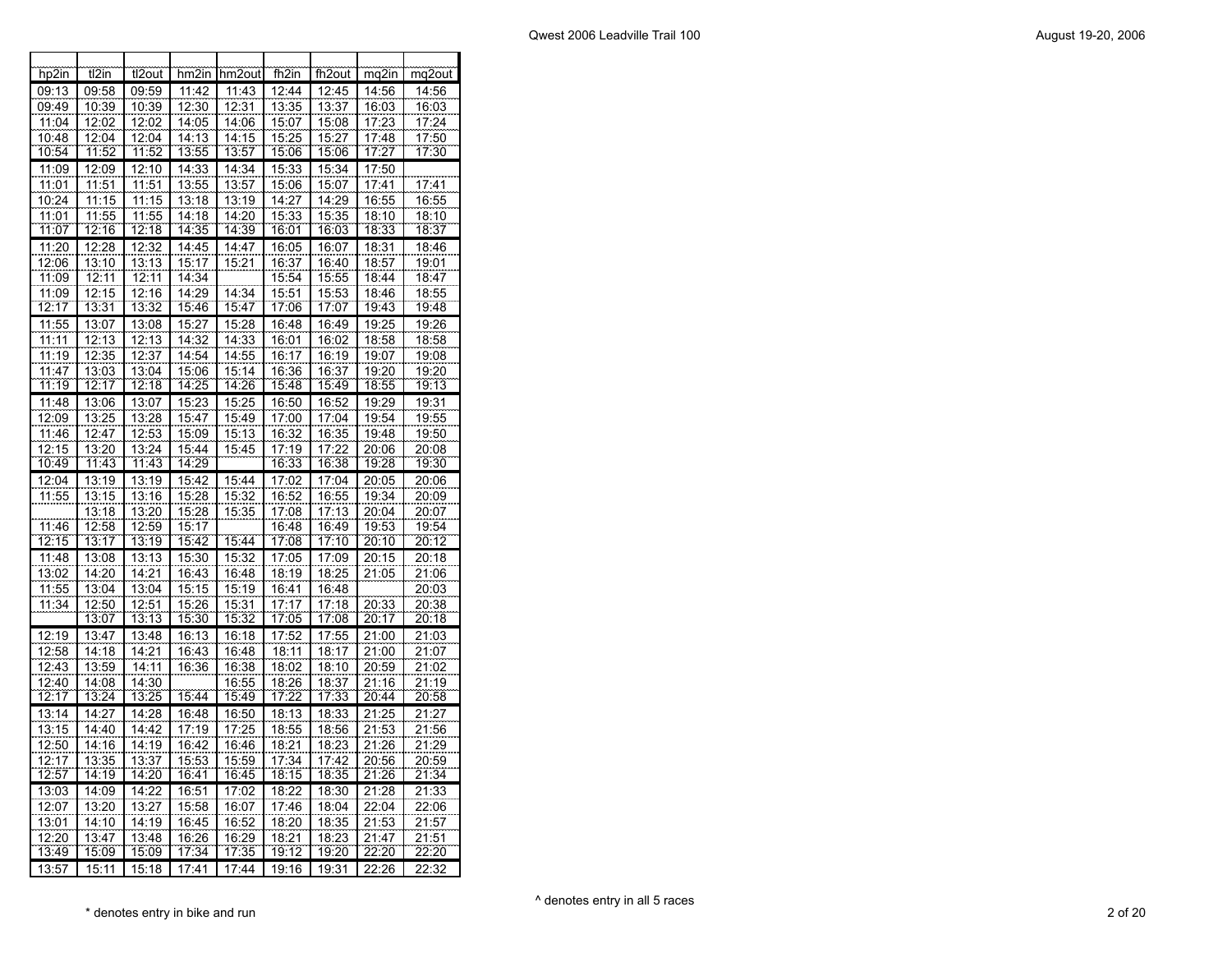| hp2in          | t2in           | tl2out         | hm2in          | hm2out         | fh2in          | fh <sub>2out</sub> | mq2in          | mq2out         |
|----------------|----------------|----------------|----------------|----------------|----------------|--------------------|----------------|----------------|
| 09:13          | 09:58          | 09:59          | 11:42          | 11:43          | 12:44          | 12:45              | 14:56          | 14:56          |
| 09:49          | 10:39          | 10:39          | 12:30          | 12:31          | 13:35          | 13:37              | 16:03          | 16:03          |
| 11:04          | 12:02          | 12:02          | 14:05          | 14:06          | 15:07          | 15:08              | 17:23          | 17:24          |
| 10:48          | 12:04          | 12:04          | 14:13          | 14:15          | 15:25          | 15:27              | 17:48          | 17:50          |
| 10:54          | 11:52          | 11:52          | 13:55          | 13:57          | 15:06          | 15:06              | 17:27          | 17:30          |
| 11:09          | 12:09          | 12:10          | 14:33          | 14:34          | 15:33          | 15:34              | 17:50          |                |
| 11:01          | 11:51          | 11:51          | 13:55          | 13:57          | 15:06          | 15:07              | 17:41          | 17:41          |
| 10:24          | 11:15          | 11:15          | 13:18          | 13:19          | 14:27          | 14:29              | 16:55          | 16:55          |
| 11:01<br>11:07 | 11:55<br>12:16 | 11:55<br>12:18 | 14:18<br>14:35 | 14:20<br>14:39 | 15:33          | 15:35              | 18:10<br>18:33 | 18:10<br>18:37 |
| 11:20          | 12:28          | 12:32          | 14:45          | 14:47          | 16:01<br>16:05 | 16:03<br>16:07     | 18:31          | 18:46          |
| 12:06          | 13:10          | 13:13          | 15:17          | 15:21          | 16:37          | 16:40              | 18:57          | 19:01          |
| 11:09          | 12:11          | 12:11          | 14:34          |                | 15:54          | 15:55              | 18:44          | 18:47          |
| 11:09          | 12:15          | 12:16          | 14:29          | 14:34          | 15:51          | 15:53              | 18:46          | 18:55          |
| 12:17          | 13:31          | 13:32          | 15:46          | 15:47          | 17:06          | 17:07              | 19:43          | 19:48          |
| 11:55          | 13:07          | 13:08          | 15:27          | 15:28          | 16:48          | 16:49              | 19:25          | 19:26          |
| 11:11          | 12:13          | 12:13          | 14:32          | 14:33          | 16:01          | 16:02              | 18:58          | 18:58          |
| 11:19          | 12:35          | 12:37          | 14:54          | 14:55          | 16:17          | 16:19              | 19:07          | 19:08          |
| 11:47          | 13:03          | 13:04          | 15:06          | 15:14          | 16:36          | 16:37              | 19:20          | 19:20          |
| 11:19          | 12:17          | 12:18          | 14:25          | 14:26          | 15:48          | 15:49              | 18:55          | 19:13          |
| 11:48          | 13:06          | 13:07          | 15:23          | 15:25          | 16:50          | 16:52              | 19:29          | 19:31          |
| 12:09          | 13:25          | 13:28          | 15:47          | 15:49          | 17:00          | 17:04              | 19:54          | 19:55          |
| 11:46          | 12:47          | 12:53          | 15:09          | 15:13          | 16:32          | 16:35              | 19:48          | 19:50          |
| 12:15          | 13:20          | 13:24          | 15:44          | 15:45          | 17:19          | 17:22              | 20:06          | 20:08          |
| 10:49          | 11:43          | 11:43          | 14:29          |                | 16:33          | 16:38              | 19:28          | 19:30          |
| 12:04          | 13:19          | 13:19          | 15:42          | 15:44          | 17:02          | 17:04              | 20:05          | 20:06          |
| 11:55          | 13:15          | 13:16          | 15:28          | 15:32          | 16:52          | 16:55              | 19:34          | 20:09          |
|                | 13:18          | 13:20          | 15:28          | 15:35          | 17:08          | 17:13              | 20:04          | 20:07          |
| 11:46<br>12:15 | 12:58<br>13:17 | 12:59<br>13:19 | 15:17<br>15:42 | 15:44          | 16:48<br>17:08 | 16:49<br>17:10     | 19:53<br>20:10 | 19:54<br>20:12 |
| 11:48          | 13:08          | 13:13          | 15:30          | 15:32          | 17:05          | 17:09              | 20:15          | 20:18          |
| 13:02          | 14:20          | 14:21          | 16:43          | 16:48          | 18:19          | 18:25              | 21:05          | 21:06          |
| 11:55          | 13:04          | 13:04          | 15:15          | 15:19          | 16:41          | 16:48              |                | 20:03          |
| 11:34          | 12:50          | 12:51          | 15:26          | 15:31          | 17:17          | 17:18              | 20:33          | 20:38          |
|                | 13:07          | 13:13          | 15:30          | 15:32          | 17:05          | 17:08              | 20:17          | 20:18          |
| 12:19          | 13:47          | 13:48          | 16:13          | 16:18          | 17:52          | 17:55              | 21:00          | 21:03          |
| 12:58          | 14:18          | 14:21          | 16:43          | 16:48          | 18:11          | 18:17              | 21:00          | 21:07          |
| 12:43          | 13:59          | 14:11          | 16:36          | 16:38          | 18:02          | 18:10              | 20:59          | 21:02          |
| 12:40          | 14:08          | 14:30          |                | 16:55          | 18:26<br>17:22 | 18:37              | 21:16          | 21:19          |
| 12:17          | 13:24          | 13:25          | 15:44          | 15:49          |                | 17:33              | 20:44          | 20:58          |
| 13:14          | 14:27          | 14:28          | 16:48          | 16:50          | 18:13          | 18:33              | 21:25          | 21:27          |
| 13:15          | 14:40          | 14:42          | 17:19          | 17:25          | 18:55          | 18:56              | 21:53          | 21:56          |
| 12:50          | 14:16          | 14:19          | 16:42          | 16:46          | 18:21          | 18:23              | 21:26          | 21:29          |
| 12:17<br>12:57 | 13:35<br>14:19 | 13:37<br>14:20 | 15:53<br>16:41 | 15:59<br>16:45 | 17:34<br>18:15 | 17:42<br>18:35     | 20:56<br>21:26 | 20:59<br>21:34 |
|                |                |                | 16:51          | 17:02          |                |                    | 21:28          |                |
| 13:03          | 14:09          | 14:22<br>13:27 | 15:58          |                | 18:22          | 18:30<br>18:04     | 22:04          | 21:33          |
| 12:07          | 13:20<br>14:10 | 14:19          |                | 16:07          | 17:46          |                    | 21:53          | 22:06          |
| 13:01<br>12:20 | 13:47          | 13:48          | 16:45<br>16:26 | 16:52<br>16:29 | 18:20<br>18:21 | 18:35<br>18:23     | 21:47          | 21:57<br>21:51 |
| 13:49          | 15:09          | 15:09          | 17:34          | 17:35          | 19:12          | 19:20              | 22:20          | 22:20          |
| 13:57          | 15:11          | 15:18          | 17:41          | 17:44          | 19:16          | 19:31              | 22:26          | 22:32          |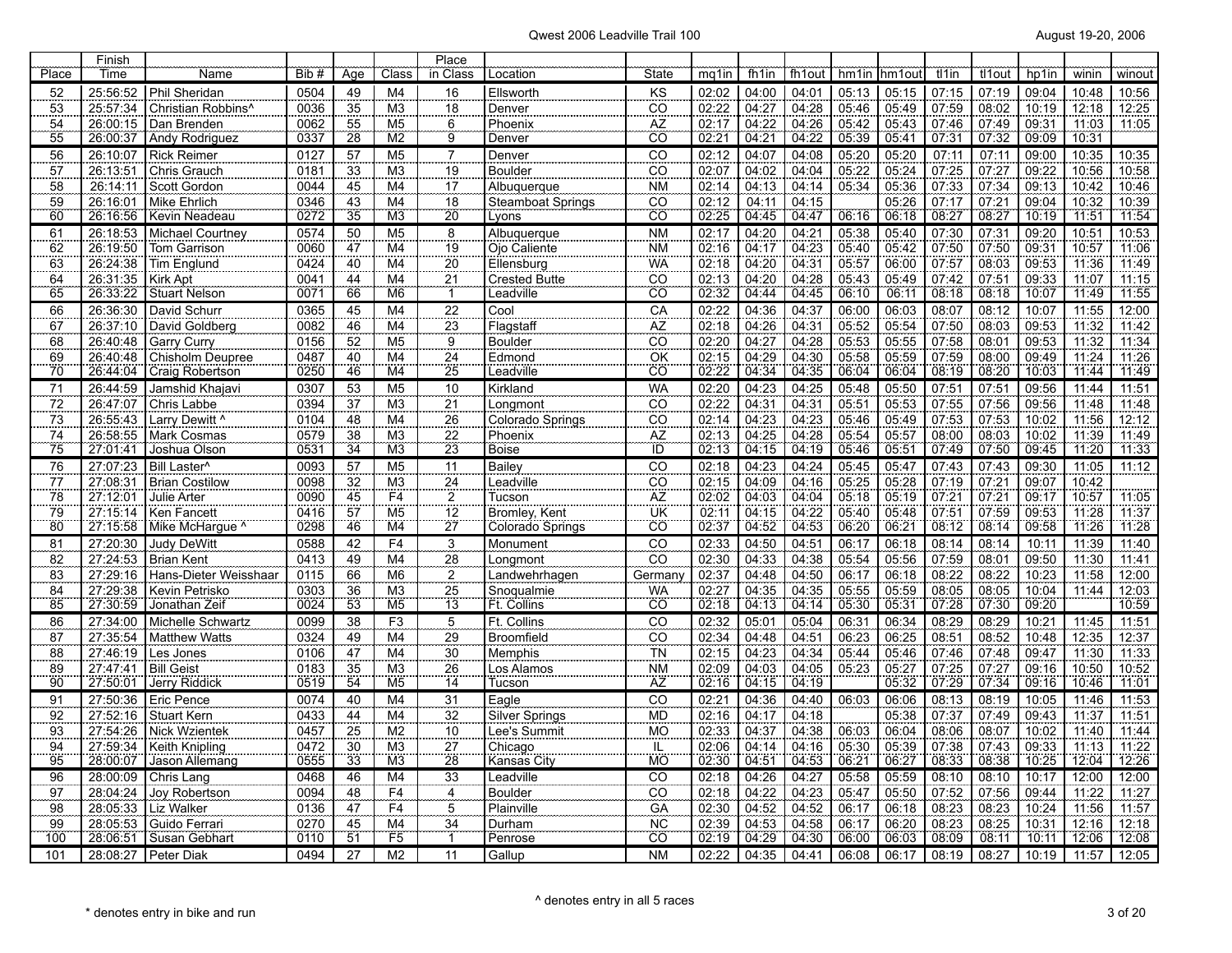| Place                 | Finish<br>Time       |                                         | Bib#         | Age             | Class                            | Place<br>in Class |                             | <b>State</b>                      | mq1in                 | fh1in          | fh1out         | hm1in hm1ou    |                | tl1in          | tl1out         | hp1in          | winin          | winout         |
|-----------------------|----------------------|-----------------------------------------|--------------|-----------------|----------------------------------|-------------------|-----------------------------|-----------------------------------|-----------------------|----------------|----------------|----------------|----------------|----------------|----------------|----------------|----------------|----------------|
|                       | 25:56:52             | Name<br><b>Phil Sheridan</b>            | 0504         | 49              | M4                               | 16                | Location<br>Ellsworth       | KS                                | 02:02                 | 04:00          | 04:01          | 05:13          | 05:15          | 07:15          | 07:19          | 09:04          | 10:48          | 10:56          |
| 52<br>$\overline{53}$ | 25:57:34             | Christian Robbins <sup>^</sup>          | 0036         | $\overline{35}$ | M <sub>3</sub>                   | $\frac{18}{1}$    | Denver                      | $\overline{CO}$                   | 02:22                 | 04:27          | 04:28          | 05:46          | 05:49          | 07:59          | 08:02          | 10:19          | 12:18          | 12:25          |
|                       | 26:00:15             | Dan Brenden                             | 0062         | 55              | M <sub>5</sub>                   | 6                 | Phoenix                     | AZ                                | 02:17                 | 04:22          | 04:26          | 05:42          | 05:43          | 07:46          | 07:49          | 09:31          | 11:03          | 11:05          |
| $\frac{54}{55}$       | 26:00:37             | <b>Andy Rodriguez</b>                   | 0337         | 28              | M <sub>2</sub>                   | $\frac{1}{9}$     | Denver                      | $\overline{\overline{\text{co}}}$ | 02:21                 | 04:21          | 04:22          | 05:39          | 05:41          | 07:31          | 07:32          | 09:09          | 10:31          |                |
| 56                    | 26:10:07             | <b>Rick Reimer</b>                      | 0127         | 57              | M <sub>5</sub>                   | $\overline{7}$    | Denver                      | CO                                | 02:12                 | 04:07          | 04:08          | 05:20          | 05:20          | 07:11          | 07:11          | 09:00          | 10:35          | 10:35          |
| $\overline{57}$       | 26:13:51             | Chris Grauch                            | 0181         | 33              | M <sub>3</sub>                   | 19                | <b>Boulder</b>              | $\overline{CO}$                   | 02:07                 | 04:02          | 04:04          | 05:22          | 05:24          | 07:25          | 07:27          | 09:22          | 10:56          | 10:58          |
| 58                    | 26:14:11             | Scott Gordon                            | 0044         | 45              | M <sub>4</sub>                   | 17                | Albuquerque                 | <b>NM</b>                         | 02:14                 | 04:13          | 04:14          | 05:34          | 05:36          | 07:33          | 07:34          | 09:13          | 10:42          | 10:46          |
| 59                    | 26:16:01             | Mike Ehrlich                            | 0346         | 43              | M <sub>4</sub>                   | 18                | <b>Steamboat Springs</b>    | CO                                | $\frac{02:12}{02:25}$ | 04:11          | 04:15          |                | 05:26          | 07:17          | 07:21          | 09:04          | 10:32          | 10:39          |
| $\overline{60}$       | 26:16:56             | Kevin Neadeau                           | 0272         | 35              | $\overline{M3}$                  | 20                | Lvons                       | <b>CO</b>                         |                       | 04:45          | 04:47          | 06:16          | 06:18          | 08:27          | 08:27          | 10:19          | 71.51          | 11:54          |
| 61                    | 26:18:53             | Michael Courtney                        | 0574         | 50              | M <sub>5</sub>                   | 8                 | Albuquerque                 | <b>NM</b>                         | 02:17                 | 04:20          | 04:21          | 05:38          | 05:40          | 07:30          | 07:31          | 09:20          | 10:51          | 10:53          |
| 62                    | 26:19:50             | Tom Garrison                            | 0060         | 47              | M <sub>4</sub>                   | 19                | Ojo Caliente                | <b>NM</b>                         | $\frac{02:16}{02:18}$ | 04:17          | 04:23          | 05:40          | 05:42          | 07:50          | 07:50          | 09:31          | 10:57          | 11:06          |
| 63                    | 26:24:38             | <b>Tim Englund</b>                      | 0424         | 40              | M <sub>4</sub>                   | 20                | Ellensburg                  | <b>WA</b>                         |                       | 04:20          | 04:31          | 05:57          | 06:00          | 07:57          | 08.03          | 09:53          | 11:36          | 11:49          |
| 64                    | 26:31:35             | Kirk Apt                                | 0041         | 44              | M <sub>4</sub>                   | 21                | <b>Crested Butte</b>        | CO                                | 02:13                 | 04:20          | 04:28          | 05:43          | 05:49          | 07:42          | 07:51          | 09:33          | 11:07          | 11:15          |
| 65                    | 26:33:22             | <b>Stuart Nelson</b>                    | 0071         | 66              | M <sub>6</sub>                   | Ŧ                 | Leadville                   | ĈÖ                                | 02:32                 | 04:44          | 04:45          | 06:10          | 06:11          | 08:18          | 08:18          | 10:07          | 11:49          | 11:55          |
| 66<br>67              | 26:36:30             | David Schurr                            | 0365         | 45              | M4                               | $\overline{22}$   | Cool                        | CA                                | 02:22                 | 04:36          | 04:37          | 06:00          | 06:03          | 08:07          | 08:12          | 10:07          | 11:55          | 12:00          |
| 68                    | 26:37:10<br>26:40:48 | David Goldberg<br><b>Garry Curry</b>    | 0082<br>0156 | 46<br>52        | M4<br>M <sub>5</sub>             | 23                | Flagstaff<br><b>Boulder</b> | AZ<br>$\overline{co}$             | 02:18                 | 04:26<br>04:27 | 04:31          | 05:52          | 05:54<br>05:55 | 07:50<br>07:58 | 08:03<br>08:01 | 09:53<br>09:53 | 11:32<br>11:32 | 11:42<br>11:34 |
| 69                    | 26:40:48             | Chisholm Deupree                        | 0487         | 40              | M <sub>4</sub>                   | $\overline{9}$    | Edmond                      | OK                                | $\frac{02:20}{02:15}$ | 04:29          | 04:28<br>04:30 | 05:53<br>05:58 | 05:59          | 07:59          | 08:00          | 09:49          | 11:24          | 11:26          |
| $\overline{70}$       | 26:44:04             | Craig Robertson                         | 0250         | 46              | M4                               | $\frac{24}{25}$   | Leadville                   | ĈÖ                                | 02:22                 | 04:34          | 04:35          | 06:04          | 06:04          | 08:19          | 08:20          | 10:03          | 11:44          | 11:49          |
| $\overline{71}$       | 26:44:59             | Jamshid Khajavi                         | 0307         | $\overline{53}$ | M <sub>5</sub>                   | 10                | Kirkland                    | <b>WA</b>                         | 02:20                 | 04:23          | 04:25          | 05:48          | 05:50          | 07:51          | 07:51          | 09:56          | 11:44          | 11:51          |
| $\overline{72}$       | 26:47:07             | Chris Labbe                             | 0394         | 37              | M <sub>3</sub>                   | $\overline{21}$   | Longmont                    | CO                                | 02:22                 | 04:31          | 04:31          | 05:51          | 05:53          | 07:55          | 07:56          | 09:56          | 11:48          | 11:48          |
| 73                    | 26:55:43             | Larry Dewitt ^                          | 0104         | 48              | M4                               | 26                | Colorado Springs            | CO                                |                       | 04:23          | 04:23          | 05:46          | 05:49          | 07:53          | 07:53          | 10:02          | 11:56          | 12:12          |
| 74                    | 26:58:55             | Mark Cosmas                             | 0579         | 38              | M <sub>3</sub>                   | $\overline{22}$   | Phoenix                     | AZ                                | $\frac{02:14}{02:13}$ | 04:25          | 04:28          | 05:54          | 05:57          | 08:00          | 08:03          | 10:02          | 11:39          | 11:49          |
| 75                    | 27:01:41             | Joshua Olson                            | 0531         | 34              | M <sub>3</sub>                   | 23                | Boise                       | İD                                | 02:13                 | 04:15          | 04:19          | 05:46          | 05:51          | 07.49          | 07:50          | 09.45          | 11:20          | 11:33          |
| 76                    | 27:07:23             | Bill Laster^                            | 0093         | 57              | M <sub>5</sub>                   | 11                | <b>Bailey</b>               | CO                                | 02:18                 | 04:23          | 04:24          | 05:45          | 05:47          | 07:43          | 07:43          | 09:30          | 11:05          | 11:12          |
| $\frac{77}{78}$       | 27:08:31             | <b>Brian Costilow</b>                   | 0098         | 32              | M <sub>3</sub>                   | $\frac{24}{2}$    | Leadville                   | CO                                | 02:15                 | 04:09          | 04:16          | 05:25          | 05:28          | 07:19          | 07:21          | 09:07          | 10:42          |                |
|                       | 27:12:01             | Julie Arter                             | 0090         | 45              | F <sub>4</sub>                   |                   | Tucson                      | AZ                                | 02:02                 | 04:03          | 04:04          | 05:18          | 05:19          | 07:21          | 07:21          | 09:17          | 70:57          | 11:05          |
| 79                    | 27:15:14             | Ken Fancett                             | 0416         | 57              | M <sub>5</sub>                   | 12                | <b>Bromley, Kent</b>        | UK                                | 02:11                 | 04:15          | 04:22          | 05:40          | 05:48          | 07:51          | 07:59          | 09:53          | 11:28          | 11:37          |
| 80                    | 27:15:58             | Mike McHarque ^                         | 0298         | 46              | M4                               | $\overline{27}$   | Colorado Springs            | CO                                | 02:37                 | 04:52          | 04:53          | 06:20          | 06:21          | 08:12          | 08:14          | 09:58          | 11:26          | 11:28          |
| 81                    | 27:20:30             | <b>Judy DeWitt</b>                      | 0588         | 42              | F <sub>4</sub>                   | $\overline{3}$    | Monument                    | CO                                | 02:33                 | 04:50          | 04:51          | 06:17          | 06:18          | 08:14          | 08:14          | 10:11          | 11:39          | 11:40          |
| $\overline{82}$       | 27:24:53             | <b>Brian Kent</b>                       | 0413         | 49              | M4                               | $\frac{28}{28}$   | Longmont                    | $\overline{CO}$                   | $\frac{02:30}{02:37}$ | 04:33          | 04:38          | 05:54          | 05:56          | 07:59          | 08:01          | 09:50          | 11:30          | 11:41          |
| 83<br>84              | 27:29:16<br>27:29:38 | Hans-Dieter Weisshaar<br>Kevin Petrisko | 0115<br>0303 | 66<br>36        | M <sub>6</sub><br>M <sub>3</sub> | $\overline{2}$    | Landwehrhagen<br>Snoqualmie | Germany<br><b>WA</b>              | 02:27                 | 04:48<br>04:35 | 04:50<br>04:35 | 06:17<br>05:55 | 06:18<br>05:59 | 08:22<br>08:05 | 08:22<br>08:05 | 10:23<br>10:04 | 11:58<br>11:44 | 12:00<br>12:03 |
| $\overline{85}$       | 27:30:59             | Jonathan Zeif                           | 0024         | 53              | M <sub>5</sub>                   | $\frac{25}{13}$   | Ft. Collins                 | $\overline{CO}$                   | 02:18                 | 04:13          | 04:14          | 05:30          | 05:31          | 07:28          | 07:30          | 09.20          |                | 10:59          |
| 86                    | 27:34:00             | Michelle Schwartz                       | 0099         | 38              | F <sub>3</sub>                   | $\overline{5}$    | Ft. Collins                 | $\overline{CO}$                   | 02:32                 | 05:01          | 05:04          | 06:31          | 06:34          | 08:29          | 08:29          | 10:21          | 11:45          | 11:51          |
| 87                    | 27:35:54             | <b>Matthew Watts</b>                    | 0324         | 49              | M <sub>4</sub>                   | $\frac{29}{2}$    | <b>Broomfield</b>           | $\overline{CO}$                   |                       | 04:48          | 04:51          | 06:23          | 06:25          | 08:51          | 08:52          | 10:48          | 12:35          | 12:37          |
| 88                    | 27:46:19             | Les Jones                               | 0106         | 47              | M <sub>4</sub>                   | 30                | Memphis                     | <b>TN</b>                         | $\frac{02:34}{02:15}$ | 04:23          | 04:34          | 05:44          | 05:46          | 07:46          | 07:48          | 09:47          | 11:30          | 11:33          |
| 89                    | 27:47:41             | <b>Bill Geist</b>                       | 0183         | 35              | $\overline{M3}$                  | 26                | Los Alamos                  | <b>NM</b>                         |                       | 04:03          | 04:05          | 05:23          | 05:27          | 07:25          | 07:27          | 09:16          | 10:50          | 10:52          |
| 90                    | 27:50:01             | Jerry Riddick                           | 0519         | 54              | M <sub>5</sub>                   | 14                | Tucson                      | ÄŻ                                | $\frac{02:09}{02:16}$ | 04.15          | 04:19          |                | 05:32          | 07.29          | 07:34          | 09.16          | 10:46          | 11:01          |
| 91                    | 27:50:36             | Eric Pence                              | 0074         | 40              | M4                               | 31                | Eagle                       | CO                                | 02:21                 | 04:36          | 04:40          | 06:03          | 06:06          | 08:13          | 08:19          | 10:05          | 11:46          | 11:53          |
| 92                    | 27:52:16             | <b>Stuart Kern</b>                      | 0433         | 44              | M <sub>4</sub>                   | 32                | <b>Silver Springs</b>       | <b>MD</b>                         | $\frac{02:16}{02:33}$ | 04:17          | 04:18          |                | 05:38          | 07:37          | 07:49          | 09:43          | 11:37          | 11:51          |
| 93                    | 27:54:26             | <b>Nick Wzientek</b>                    | 0457         | $\overline{25}$ | M2                               | 10                | Lee's Summit                | <b>MO</b>                         |                       | 04:37          | 04:38          | 06:03          | 06:04          | 08:06          | 08:07          | 10:02          | 71:40          | 11:44          |
| 94                    | 27:59:34             | Keith Knipling                          | 0472         | 30              | M <sub>3</sub>                   | 27                | Chicago                     | IL.                               | 02:06                 | 04:14          | 04:16          | 05:30          | 05:39          | 07:38          | 07:43          | 09:33          | 11:13          | 11:22          |
| 95                    | 28:00:07             | Jason Allemang                          | 0555         | 33              | M <sub>3</sub>                   | 28                | Kansas City                 | <b>MO</b>                         | 02:30                 | 04:51          | 04:53          | 06:21          | 06:27          | 08:33          | 08:38          | 10:25          | 12:04          | 12:26          |
| 96                    | 28:00:09             | Chris Lang                              | 0468         | 46              | M4                               | 33                | _eadville                   | CO                                | 02:18                 | 04:26          | 04:27          | 05:58          | 05:59          | 08:10          | 08:10          | 10:17          | 12:00          | 12:00          |
| 97                    | 28:04:24             | Joy Robertson                           | 0094         | 48              | F <sub>4</sub>                   | $\overline{4}$    | Boulder                     | $\overline{co}$                   | 02:18                 | 04:22          | 04:23          | 05:47          | 05:50          | 07:52          | 07:56          | 09:44          | 11:22          | 11:27          |
| 98<br>99              | 28:05:33<br>28:05:53 | Liz Walker<br>Guido Ferrari             | 0136<br>0270 | 47<br>45        | F <sub>4</sub><br>M <sub>4</sub> | $\overline{5}$    | Plainville<br>Durham        | GA<br><b>NC</b>                   | 02:30<br>02:39        | 04:52<br>04:53 | 04:52<br>04:58 | 06:17<br>06:17 | 06:18<br>06:20 | 08:23<br>08:23 | 08:23<br>08:25 | 10:24<br>10:31 | 11:56<br>12:16 | 11:57<br>12:18 |
| 100                   | 28:06:51             | Susan Gebhart                           | 0110         | $\overline{51}$ | F5                               | $\frac{34}{1}$    | Penrose                     | CO                                | 02:19                 | 04:29          | 04:30          | 06:00          | 06:03          | 08:09          | 08:11          | 10:11          | 12:06          | 12:08          |
| 101                   |                      | 28:08:27   Peter Diak                   | 0494         | 27              | M <sub>2</sub>                   | 11                | Gallup                      | <b>NM</b>                         | 02:22                 | 04:35          | 04:41          | 06:08          | 06:17          | 08:19          | 08:27          | 10:19          | 11:57          | 12:05          |
|                       |                      |                                         |              |                 |                                  |                   |                             |                                   |                       |                |                |                |                |                |                |                |                |                |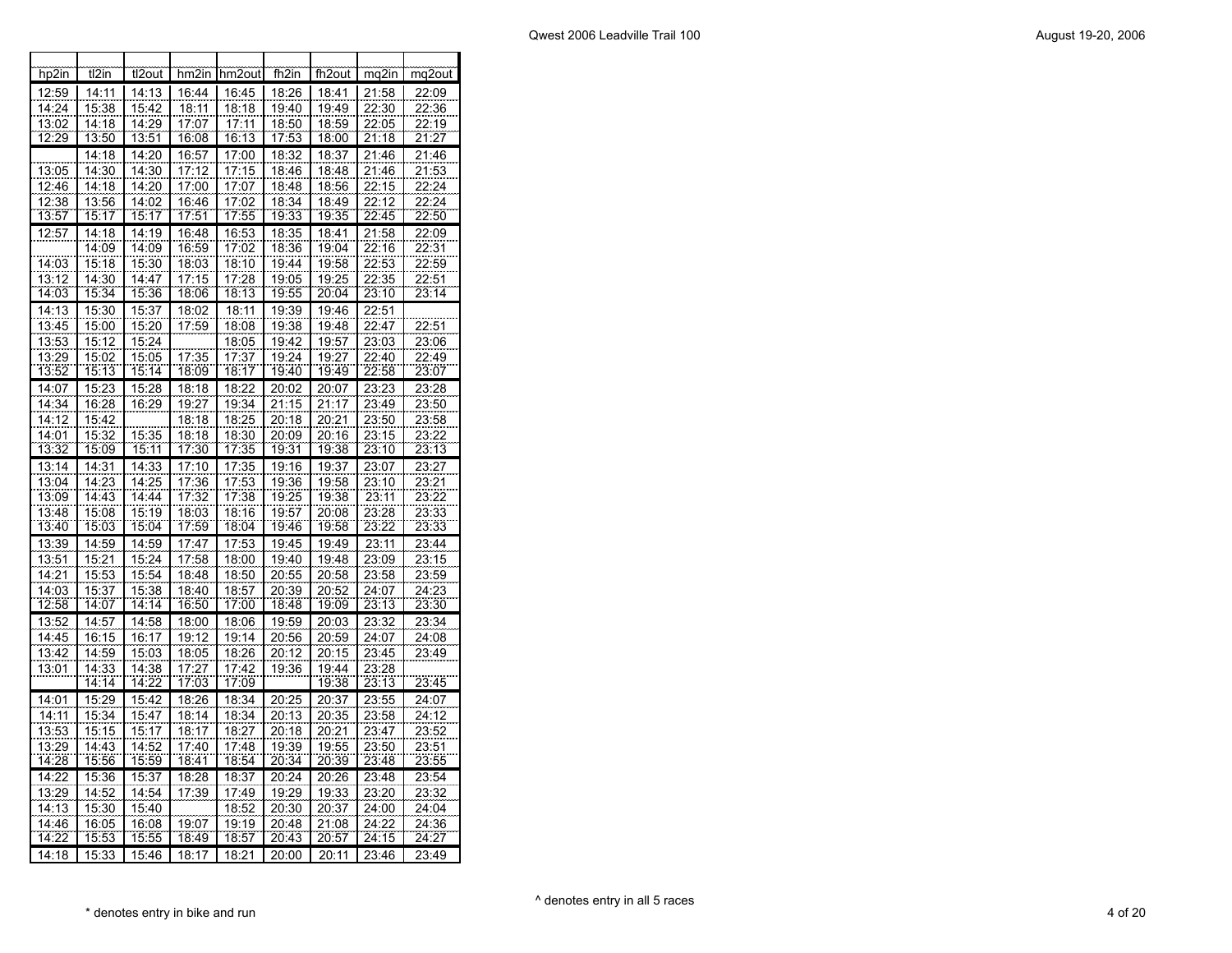| hp2in          | t2in           | tl2out                | hm2in          | hm2out         | fh2in                 | fh <sub>2out</sub> | mq2in          | mq2out                |
|----------------|----------------|-----------------------|----------------|----------------|-----------------------|--------------------|----------------|-----------------------|
| 12:59          | 14:11          | 14:13                 | 16:44          | 16:45          | 18:26                 | 18:41              | 21:58          | 22:09                 |
| 14:24          | 15:38          | 15:42                 | 18:11          | 18:18          | 19:40                 | 19:49              | 22:30          | 22:36                 |
| 13:02          | 14:18          | $\frac{14:29}{13:51}$ | 17:07          | 17:11          | $\frac{18:50}{17:53}$ | 18:59              | 22:05          | 22:19<br>21:27        |
| 12:29          | 13:50          |                       | 16:08          | 16:13          |                       | 18:00              | 21:18          |                       |
|                | 14:18          | 14:20                 | 16:57          | 17:00          | 18:32                 | 18:37              | 21:46          | 21:46                 |
| 13:05          | 14:30          | 14:30                 | 17:12          | 17:15          | 18:46                 | 18:48              | 21:46          | 21:53                 |
| 12:46          | 14:18          | 14:20                 | 17:00          | 17:07          | 18:48                 | 18:56              | 22:15          | 22:24                 |
| 12:38          | 13:56          | 14:02                 | 16:46          | 17:02          | 18:34                 | 18:49              | 22:12          | 22:24                 |
| 13:57          | 15:17          | 15:17                 | 17:51          | 17:55          | 19:33                 | 19:35              | 22:45          | 22:50                 |
| 12:57          | 14:18          | 14:19                 | 16:48          | 16:53          | 18:35                 | 18:41              | 21:58          | 22:09                 |
|                | 14:09          | 14:09                 | 16:59          | 17:02          | 18:36                 | 19:04              | 22:16          | 22:31                 |
| 14:03          | 15:18          | 15:30                 | 18:03          | 18:10          | 19:44                 | 19:58              | 22:53          | 22:59                 |
| 13:12          | 14:30          | 14:47                 | 17:15          | 17:28          | 19:05                 | 19:25              | 22:35          | 22:51                 |
| 14:03          | 15:34          | 15:36                 | 18:06          | 18:13          | 19:55                 | 20:04              | 23:10          | 23:14                 |
| 14:13          | 15:30          | 15:37                 | 18:02          | 18:11          | 19:39                 | 19:46              | 22:51          |                       |
| 13:45          | 15:00          | 15:20                 | 17:59          | 18:08          | 19:38                 | 19:48              | 22:47          | 22:51                 |
| 13:53          | 15:12          | 15:24                 |                | 18:05          | 19:42                 | 19:57              | 23:03          | 23:06                 |
| 13:29          | 15:02          | 15:05                 | 17:35          | 17:37          | 19:24                 | 19:27              | 22:40          | 22:49                 |
| 13:52          | 15:13          | 15:14                 | 18:09          | 18:17          | 19:40                 | 19:49              | 22:58          | 23:07                 |
| 14:07          | 15:23          | 15:28                 | 18:18          | 18:22          | 20:02                 | 20:07              | 23:23          | 23:28                 |
| 14:34          | 16:28          | 16:29                 | 19:27          | 19:34          | 21:15                 | 21:17              | 23:49          | 23:50                 |
| 14:12          | 15:42          |                       | 18:18          | 18:25          | 20:18                 | 20:21              | 23:50          | 23:58                 |
| 14:01          | 15:32          | 15:35                 | 18:18          | 18:30          | 20:09                 | 20:16              | 23:15<br>23:10 | 23:22<br>23:13        |
| 13:32          | 15:09          | 15:11                 | 17:30          | 17.35          | 19:31                 | 19:38              |                |                       |
| 13:14          | 14:31          | 14:33                 | 17:10          | 17:35          | 19:16                 | 19:37              | 23:07          | 23:27                 |
| 13:04          | 14:23          | 14:25                 | 17:36          | 17:53          | 19:36                 | 19:58              | 23:10          | 23:21                 |
| 13:09          | 14:43          | 14:44                 | 17:32          | 17:38          | 19:25                 | 19:38              | 23:11          | 23:22                 |
| 13:48<br>13:40 | 15:08          | 15:19                 | 18:03<br>17:59 | 18:16          | 19:57                 | 20:08<br>19:58     | 23:28<br>23:22 | 23:33                 |
|                | 15:03          | 15:04                 |                | 18:04          | 19:46                 |                    |                | 23:33                 |
| 13:39          | 14:59          | 14:59                 | 17:47          | 17:53          | 19:45                 | 19:49              | 23:11          | 23:44                 |
| 13:51          | 15:21          | 15:24                 | 17:58          | 18:00          | 19:40                 | 19:48              | 23:09          | 23:15                 |
| 14:21<br>14:03 | 15:53<br>15:37 | 15:54<br>15:38        | 18:48<br>18:40 | 18:50          | 20:55<br>20:39        | 20:58<br>20:52     | 23:58<br>24:07 | 23:59<br>24:23        |
| 12:58          | 14:07          | 14:14                 | 16:50          | 18:57<br>17:00 | 18:48                 | 19:09              | 23:13          | 23:30                 |
| 13:52          | 14:57          |                       |                |                |                       |                    | 23:32          | 23:34                 |
| 14:45          | 16:15          | 14:58<br>16:17        | 18:00<br>19:12 | 18:06<br>19:14 | 19:59<br>20:56        | 20:03<br>20:59     | 24:07          | 24:08                 |
| 13:42          |                | 15:03                 | 18:05          | 18:26          | 20:12                 | 20:15              | 23:45          | 23:49                 |
| 13:01          | 14:59<br>14:33 | 14:38                 | 17:27          | 17:42          | 19:36                 | 19:44              | 23:28          |                       |
|                | 14:14          | <u> 14:22</u>         | 17:03          | 17:09          |                       | 19:38              | 23:13          | 23:45                 |
| 14:01          | 15:29          | 15:42                 | 18:26          | 18:34          | 20:25                 | 20:37              | 23:55          | 24:07                 |
| 14:11          | 15:34          | 15:47                 | 18:14          | 18:34          | 20:13                 | 20:35              | 23:58          | 24:12                 |
| 13:53          | 15:15          | 15:17                 | 18:17          | 18:27          | 20:18                 | 20:21              | 23:47          | 23:52                 |
| 13:29          | 14:43          | 14:52                 | 17:40          | 17:48          | 19:39                 | 19:55              | 23:50          | 23:51                 |
| 14:28          | 15:56          | 15:59                 | 18:41          | 18:54          | 20:34                 | 20:39              | 23:48          | 23:55                 |
| 14:22          | 15:36          | 15:37                 | 18:28          | 18:37          | 20:24                 | 20:26              | 23:48          | 23:54                 |
| 13:29          | 14:52          | 14:54                 | 17:39          | 17:49          | 19:29                 | 19:33              | 23:20          | 23:32                 |
| 14:13          | 15:30          | 15:40                 |                | 18:52          | 20:30                 | 20:37              | 24:00          | 24:04                 |
| 14:46          | 16:05          | 16:08                 | 19:07          | 19:19          | 20:48                 | 21:08              | 24:22          |                       |
| 14:22          | 15:53          | 15:55                 | 18:49          | 18:57          | 20:43                 | 20:57              | 24:15          | $\frac{24:36}{24:27}$ |
| 14:18          | 15:33          | 15:46                 | 18:17          | 18:21          | 20:00                 | 20:11              | 23:46          | 23:49                 |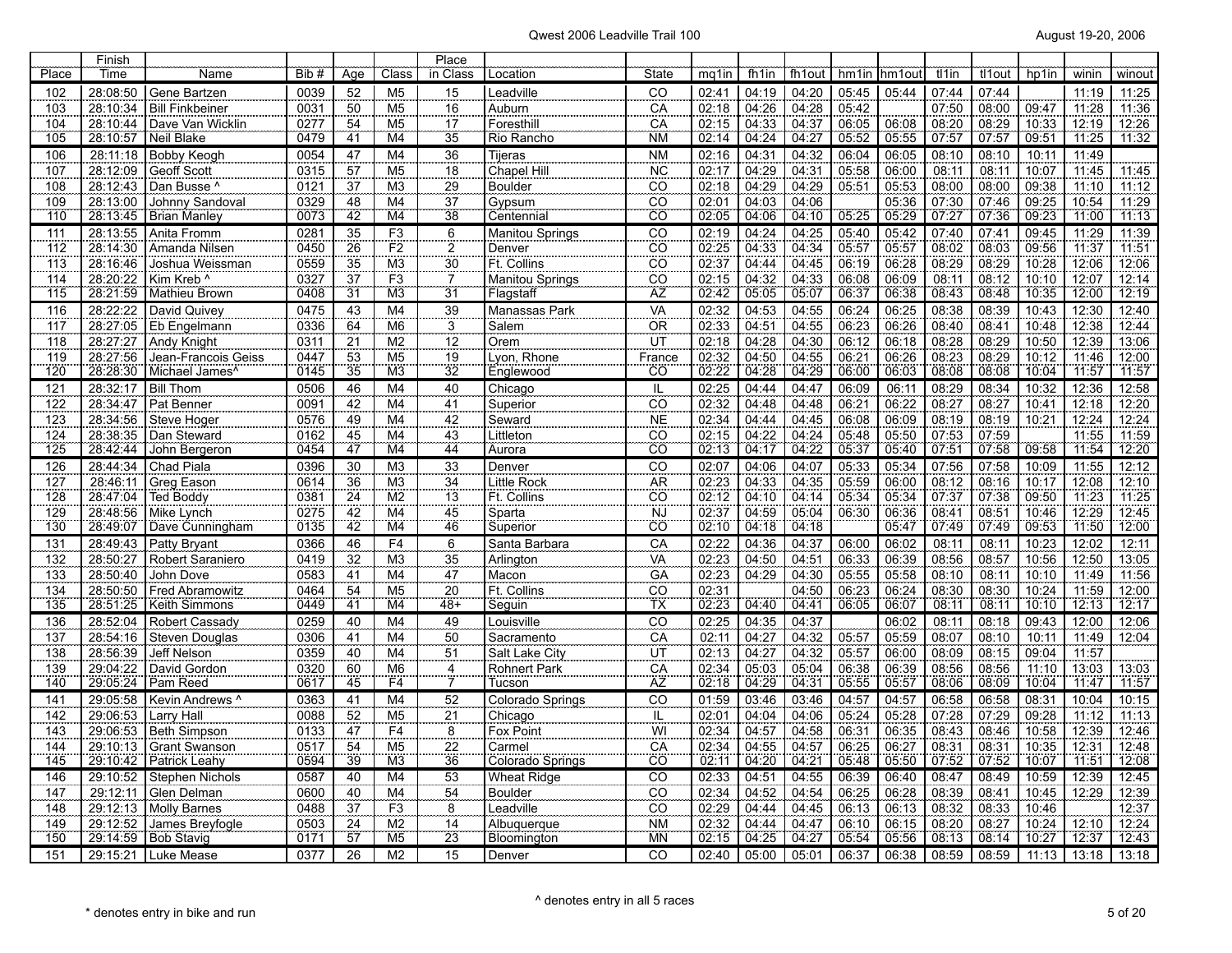| Place             | Finish<br>Time       | Name                                      | Bib #        | Age                   | Class                                      | Place<br>in Class | Location                 | <b>State</b>    | mg1in                 | fh1in          | fh <sub>1</sub> out | hm1in          | hm1out         | tl1in          | tl1out         | hp1in          | winin          | winout         |
|-------------------|----------------------|-------------------------------------------|--------------|-----------------------|--------------------------------------------|-------------------|--------------------------|-----------------|-----------------------|----------------|---------------------|----------------|----------------|----------------|----------------|----------------|----------------|----------------|
| 102               | 28:08:50             | Gene Bartzen                              | 0039         | 52                    | M <sub>5</sub>                             | 15                | _eadville                | CO              | 02:41                 | 04:19          | 04:20               | 05:45          | 05:44          | 07:44          | 07:44          |                | 11:19          | 11:25          |
| 103               | 28:10:34             | <b>Bill Finkbeiner</b>                    | 0031         | 50                    | M <sub>5</sub>                             |                   | Auburn                   | CA              | 02:18                 | 04:26          | 04:28               | 05:42          |                | 07:50          | 08:00          | 09:47          | 11:28          | 11:36          |
| 104               | 28:10:44             | Dave Van Wicklin                          | 0277         | 54                    | M <sub>5</sub>                             | $\frac{16}{17}$   | Foresthill               | $\overline{CA}$ | 02:15                 | 04:33          | 04:37               | 06:05          | 06:08          | 08:20          | 08:29          | 10:33          | 12:19          | 12:26          |
| 105               | 28:10:57             | Neil Blake                                | 0479         | 41                    | M <sub>4</sub>                             | $\overline{35}$   | Rio Rancho               | <b>NM</b>       | 02:14                 | 04:24          | 04:27               | 05:52          | 05:55          | 07:57          | 07:57          | 09:51          | 11:25          | 11:32          |
| 106               | 28:11:18             | <b>Bobby Keogh</b>                        | 0054         | 47                    | M <sub>4</sub>                             | 36                | Tijeras                  | <b>NM</b>       | 02:16                 | 04:31          | 04:32               | 06:04          | 06:05          | 08:10          | 08:10          | 10:11          | 11:49          |                |
| 107               | 28:12:09             | Geoff Scott                               | 0315         | $\overline{57}$       | M <sub>5</sub>                             | 18                | Chapel Hill              | <b>NC</b>       | 02:17                 | 04:29          | 04:31               | 05:58          | 06:00          | 08:11          | 08:11          | 10:07          | 11:45          | 11:45          |
| 108               | 28:12:43             | Dan Busse ^                               | 0121         | 37                    | M <sub>3</sub>                             | 29                | <b>Boulder</b>           | CO              | 02:18                 | 04:29          | 04:29               | 05:51          | 05:53          | 08:00          | 08:00          | 09:38          | 11:10          | 11:12          |
| 109               | 28:13:00             | Johnny Sandoval                           | 0329         | 48                    | M <sub>4</sub>                             | 37                | Gypsum                   | CO              | 02:01                 | 04:03          | 04:06               |                | 05:36          | 07:30          | 07:46          | 09:25          | 10:54          | 11:29          |
| 110               | 28:13:45             | <b>Brian Manley</b>                       | 0073         | 42                    | M <sub>4</sub>                             | $\overline{38}$   | Centennial               | ĈÖ              | 02:05                 | 04:06          | 04:10               | 05:25          | 05:29          | 07:27          | 07:36          | 09:23          | 11:00          | 11:13          |
| 111               | 28:13:55             | Anita Fromm                               | 0281         | 35                    | F <sub>3</sub>                             | $6 \overline{6}$  | Manitou Springs          | CO              | 02:19                 | 04:24          | 04:25               | 05:40          | 05:42          | 07:40          | 07:41          | 09:45          | 11:29          | 11:39          |
| 112               | 28:14:30             | Amanda Nilsen                             | 0450         | 26                    | F <sub>2</sub>                             | $\frac{2}{30}$    | Denver                   | CO              | 02:25                 | 04:33          | 04:34               | 05:57          | 05:57          | 08:02          | 08:03          | 09:56          | 11:37          | 11:51          |
| 113               | 28:16:46             | Joshua Weissman                           | 0559         | 35                    | M <sub>3</sub>                             |                   | Ft. Collins              | CO              | 02:37                 | 04:44          | 04:45               | 06:19          | 06:28          | 08:29          | 08:29          | 10:28          | 12:06          | 12:06          |
| 114               | 28:20:22             | Kim Kreb ^                                | 0327         | 37                    | F3                                         | $\overline{7}$    | Manitou Springs          | $\overline{CO}$ | 02:15                 | 04:32          | 04:33               | 06:08          | 06:09          | 08:11          | 08:12          | 10:10          | 72:07          | 12:14          |
| 115               |                      | 28:21:59 Mathieu Brown                    | 0408         | $\overline{31}$       | M <sub>3</sub>                             | $\overline{31}$   | Flagstaff                | A <sub>Z</sub>  | 02:42                 | 05:05          | 05:07               | 06:37          | 06:38          | 08:43          | 08:48          | 10:35          | 12:00          | 12:19          |
| 116               | 28:22:22             | David Quivey                              | 0475         | 43                    | M <sub>4</sub>                             | 39                | Manassas Park            | VA              | 02:32                 | 04:53          | 04:55               | 06:24          | 06:25          | 08:38          | 08:39          | 10:43          | 12:30          | 12:40          |
| 117               |                      | 28:27:05   Eb Engelmann                   | 0336         | 64                    | M6                                         | $\overline{3}$    | Salem                    | <b>OR</b>       | 02:33                 | 04:51          | 04:55               | 06:23          | 06:26          | 08:40<br>08:28 | 08:41<br>08:29 | 10:48          | 12:38          | 12:44          |
| 118<br>119        | 28:27:27<br>28:27:56 | <b>Andy Knight</b><br>Jean-Francois Geiss | 0311<br>0447 | $\overline{21}$<br>53 | M <sub>2</sub><br>M <sub>5</sub>           | 12<br>19          | Orem                     | UT              | 02:18<br>02:32        | 04:28<br>04:50 | 04:30<br>04:55      | 06:12<br>06:21 | 06:18<br>06:26 | 08:23          | 08:29          | 10:50<br>10:12 | 12:39<br>11:46 | 13:06<br>12:00 |
| 120               | 28:28:30             | Michael James <sup>^</sup>                | 0145         | 35                    | $\overline{\text{M3}}$                     | $\overline{32}$   | Lyon, Rhone<br>Englewood | France<br>CO    | 02:22                 | 04:28          | 04:29               | 06:00          | 06:03          | 08:08          | 08.08          | 10:04          | 11:57          | 11:57          |
| 121               | 28:32:17             | <b>Bill Thom</b>                          | 0506         | 46                    | M4                                         | 40                | Chicago                  | IL              | 02:25                 | 04:44          | 04:47               | 06:09          | 06:11          | 08:29          | 08:34          | 10:32          | 12:36          | 12:58          |
| 122               | 28:34:47             | Pat Benner                                | 0091         | 42                    | M <sub>4</sub>                             | 41                | Superior                 | CO              | 02:32                 | 04:48          | 04:48               | 06:21          | 06:22          | 08:27          | 08:27          | 10:41          | 12:18          | 12:20          |
| 123               | 28:34:56             | Steve Hoger                               | 0576         | 49                    | M <sub>4</sub>                             | 42                | Seward                   | <b>NE</b>       |                       | 04:44          | 04:45               | 06:08          | 06:09          | 08:19          | 08:19          | 10:21          | 12:24          | 12:24          |
| 124               | 28:38:35             | Dan Steward                               | 0162         | 45                    | M4                                         | 43                | Littleton                | CO              | $\frac{02:34}{02:15}$ | 04:22          | 04:24               | 05:48          | 05:50          | 07:53          | 07:59          |                | 11:55          | 11:59          |
| 125               | 28:42:44             | John Bergeron                             | 0454         | 47                    | M4                                         | 44                | Aurora                   | ĈÖ              | 02:13                 | 04:17          | 04:22               | 05:37          | 05:40          | 07:51          | 07:58          | 09:58          | 11:54          | 12:20          |
| 126               | 28:44:34             | Chad Piala                                | 0396         | 30                    | M <sub>3</sub>                             | $\overline{33}$   | Denver                   | CO              | 02:07                 | 04:06          | 04:07               | 05:33          | 05:34          | 07:56          | 07:58          | 10:09          | 11:55          | 12:12          |
| 127               | 28:46:11             | Greg Eason                                | 0614         | 36                    | M3                                         | 34                | Little Rock              | <b>AR</b>       | 02:23                 | 04:33          | 04:35               | 05:59          | 06:00          | 08:12          | 08:16          | 10:17          | 12:08          | 12:10          |
| $\frac{1}{128}$   | 28:47:04             | Ted Boddy                                 | 0381         | 24                    | M <sub>2</sub>                             | $\overline{13}$   | Ft. Collins              | CO              | 02:12                 | 04:10          | 04:14               | 05:34          | 05:34          | 07:37          | 07:38          | 09:50          | 11:23          | 11:25          |
| 129               | 28:48:56             | Mike Lynch                                | 0275         | 42                    | M <sub>4</sub>                             | 45                | Sparta                   | <b>NJ</b>       | 02:37                 | 04:59          | 05:04               | 06:30          | 06:36          | 08:41          | 08:51          | 10:46          | 12:29          | 12:45          |
| 130               | 28:49:07             | Dave Cunningham                           | 0135         | 42                    | M4                                         | 46                | Superior                 | $\overline{CO}$ | 02:10                 | 04:18          | 04:18               |                | 05:47          | 07:49          | 07:49          | 09:53          | 11:50          | 12:00          |
| 131               | 28:49:43             | Patty Bryant                              | 0366         | 46                    | F <sub>4</sub>                             | $\frac{6}{35}$    | Santa Barbara            | CA              | 02:22                 | 04:36          | 04:37               | 06:00          | 06:02          | 08:11          | 08:11          | 10:23          | 12:02          | 12:11          |
| 132               | 28:50:27             | Robert Saraniero                          | 0419         | $\frac{1}{32}$        | $\overline{M3}$                            |                   | Arlington                | VA              | 02:23                 | 04:50          | 04:51               | 06:33          | 06:39          | 08:56          | 08:57          | 10:56          | 12:50          | 13:05          |
| 133               | 28:50:40             | John Dove                                 | 0583         | 41                    | M <sub>4</sub>                             | $\frac{47}{20}$   | Macon                    | GA              | 02:23                 | 04:29          | 04:30               | 05:55          | 05:58          | 08:10          | 08:11          | 10:10          | 11:49          | 11:56          |
| $\frac{134}{135}$ | 28:50:50<br>28:51:25 | Fred Abramowitz<br>Keith Simmons          | 0464<br>0449 | 54<br>41              | M <sub>5</sub><br>$\overline{\mathsf{M4}}$ | $48+$             | Ft. Collins<br>Sequin    | CO<br>TX        | 02:31<br>02:23        | 04:40          | 04:50<br>04:41      | 06:23<br>06:05 | 06:24<br>06:07 | 08:30<br>08:11 | 08:30<br>08:11 | 10:24<br>10:10 | 11:59<br>12:13 | 12:00<br>12:17 |
| 136               | 28:52:04             | Robert Cassady                            | 0259         | 40                    | M <sub>4</sub>                             | 49                | Louisville               | CO              | 02:25                 | 04:35          | 04:37               |                | 06:02          | 08:11          | 08:18          | 09:43          | 12:00          | 12:06          |
| 137               | 28:54:16             | Steven Douglas                            | 0306         | 41                    | M <sub>4</sub>                             | 50                | Sacramento               | CA              | 02:11                 | 04:27          | 04:32               | 05:57          | 05:59          | 08:07          | 08:10          | 10:11          | 11:49          | 12:04          |
| 138               | 28:56:39             | Jeff Nelson                               | 0359         | 40                    | M4                                         | 51                | Salt Lake City           | UT              | 02:13                 | 04:27          | 04:32               | 05:57          | 06:00          | 08:09          | 08:15          | 09:04          | 11:57          |                |
| 139               | 29:04:22             | David Gordon                              | 0320         | 60                    | M <sub>6</sub>                             |                   | <b>Rohnert Park</b>      | CA              | 02:34                 | 05:03          | 05:04               | 06:38          | 06:39          | 08:56          | 08:56          | 11:10          | 13:03          | 13:03          |
| 140               | 29:05:24             | Pam Reed                                  | 0617         | 45                    | F4                                         | $\frac{4}{7}$     | Tucson                   | AZ              | 02:18                 | 04:29          | 04:31               | 05:55          | 05:57          | 08:06          | 08.09          | 10:04          | 11:47          | 71:57          |
| 141               | 29:05:58             | Kevin Andrews ^                           | 0363         | 41                    | M4                                         | 52                | Colorado Springs         | CO              | 01:59                 | 03:46          | 03:46               | 04:57          | 04:57          | 06:58          | 06:58          | 08:31          | 10:04          | 10:15          |
| 142               | 29:06:53             | Larry Hall                                | 0088         | 52                    | M <sub>5</sub>                             | 21                | Chicago                  | IL              | 02:01                 | 04:04          | 04:06               | 05:24          | 05:28          | 07:28          | 07:29          | 09:28          | 11:12          | 11:13          |
| 143               | 29:06:53             | Beth Simpson                              | 0133         | 47                    | F <sub>4</sub>                             | $\overline{8}$    | Fox Point                | WI              | 02:34                 | 04:57          | 04:58               | 06:31          | 06:35          | 08:43          | 08:46          | 10:58          | 12:39          | 12:46          |
| 144               | 29:10:13             | <b>Grant Swanson</b>                      | 0517         | 54                    | M <sub>5</sub>                             | 22                | Carmel                   | CA              | 02:34                 | 04:55          | 04:57               | 06:25          | 06:27          | 08:31          | 08:31          | 10:35          | 12:31          | 12:48          |
| 145               | 29:10:42             | <b>Patrick Leahy</b>                      | 0594         | 39                    | $\overline{\text{M3}}$                     | 36                | Colorado Springs         | <b>CO</b>       | 02:11                 | 04:20          | 04:21               | 05:48          | 05:50          | 07:52          | 07:52          | 10:07          | 11:51          | 12:08          |
| 146               | 29:10:52             | Stephen Nichols                           | 0587         | 40                    | M4                                         | 53                | Wheat Ridge              | CO              | 02:33                 | 04:51          | 04:55               | 06:39          | 06:40          | 08:47          | 08:49          | 10:59          | 12:39          | 12:45          |
| 147               | 29:12:11             | Glen Delman                               | 0600         | 40                    | M4                                         | 54                | <b>Boulder</b>           | CO              | 02:34                 | 04:52          | 04:54               | 06:25          | 06:28          | 08:39          | 08:41          | 10:45          | 12:29          | 12:39          |
| 148               | 29:12:13             | Molly Barnes                              | 0488         | 37                    | F <sub>3</sub>                             | 8                 | Leadville                | CO              | 02:29                 | 04:44          | 04:45               | 06:13          | 06:13          | 08:32          | 08:33          | 10:46          |                | 12:37          |
| 149               | 29:12:52             | James Breyfogle                           | 0503         | 24                    | M <sub>2</sub>                             | 14                | Albuquerque              | <b>NM</b>       | 02:32<br>02:15        | 04:44          | 04:47               | 06:10          | 06:15          | 08:20          | 08:27          | 10:24          | 12:10          | 12:24          |
| 150               | 29:14:59             | <b>Bob Stavig</b>                         | 0171         | 57                    | M <sub>5</sub>                             | $\overline{23}$   | Bloomington              | <b>MN</b>       |                       | 04:25          | 04:27               | 05:54          | 05:56          | 08:13          | 08:14          | 10:27          | 12:37          | 12:43          |
| 151               |                      | 29:15:21 Luke Mease                       | 0377         | 26                    | M <sub>2</sub>                             | 15                | Denver                   | CO              | 02:40                 | 05:00          | 05:01               | 06:37          | 06:38          | 08:59          | 08:59          | 11:13          | 13:18          | 13:18          |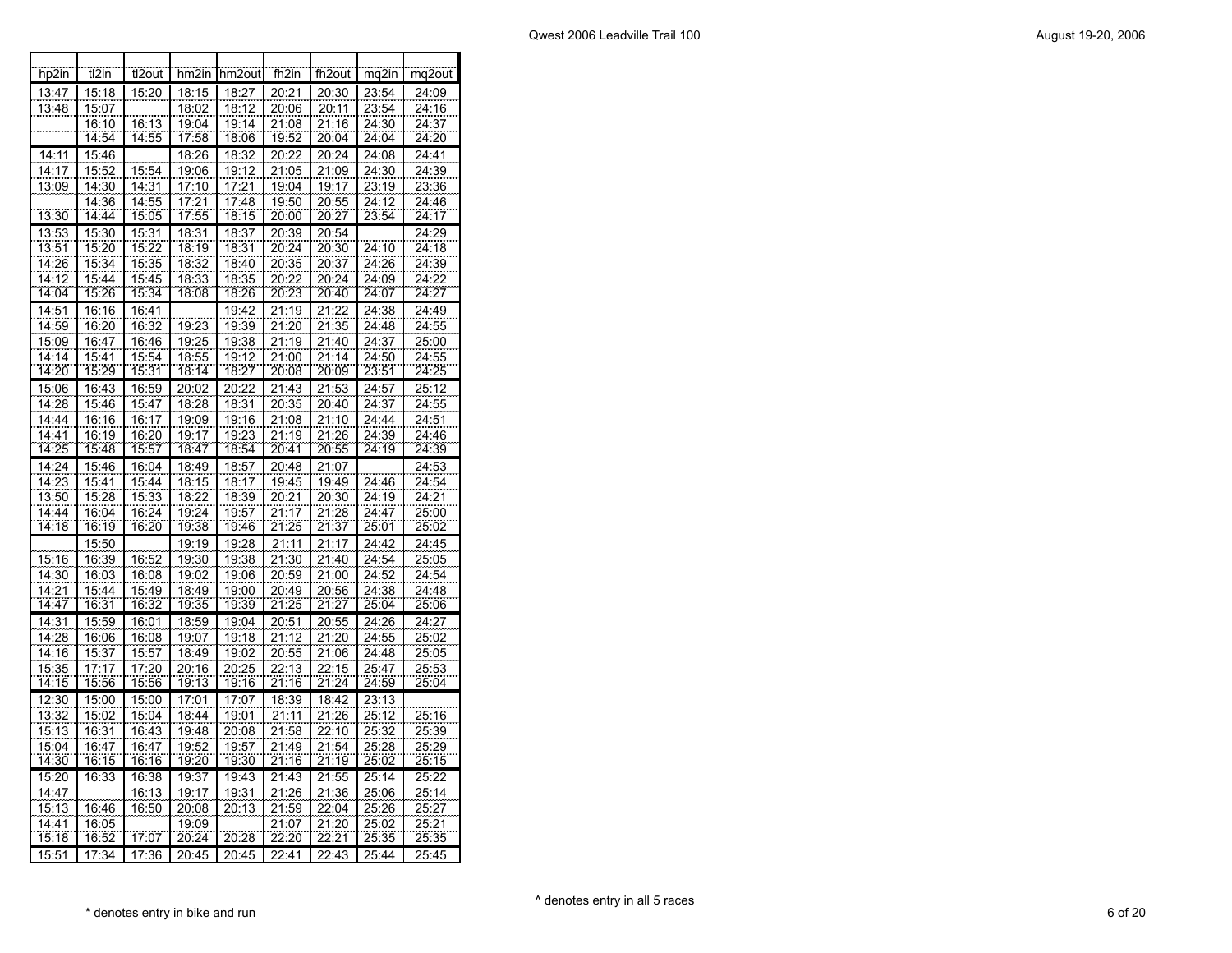| hp2in          | t <sub>12</sub> in | tl2out                | hm2in                 | hm2out         | fh <sub>2in</sub> | fh2out                | mq2in          | mg2out             |
|----------------|--------------------|-----------------------|-----------------------|----------------|-------------------|-----------------------|----------------|--------------------|
| 13:47          | 15:18              | 15:20                 | 18:15                 | 18:27          | 20:21             | 20:30                 | 23:54          | 24:09              |
| 13:48          | 15:07              |                       | 18:02                 | 18:12          | 20:06             | 20:11                 | 23:54          | 24:16              |
|                | 16:10              | 16:13                 | 19:04                 | 19:14          | 21:08             | 21:16                 | 24:30          | 24:37              |
|                | 14:54              | 14:55                 | 17:58                 | 18:06          | 19:52             | 20:04                 | 24:04          | 24:20              |
| 14:11          | 15:46              |                       | 18:26                 | 18:32          | 20:22             | 20:24                 | 24:08          | $\overline{2}4:41$ |
| 14:17          | 15:52              | 15:54                 | 19:06                 | 19:12          | 21:05             | 21:09                 | 24:30          | 24:39              |
| 13:09          | 14:30              | 14:31                 | 17:10                 | 17:21          | 19:04             | 19:17                 | 23:19          | 23:36              |
|                | 14:36              | 14:55                 | 17:21                 | 17:48          | 19:50             | 20:55                 | 24:12          | 24:46              |
| 13:30          | 14:44              | 15:05                 | 17:55                 | 18:15          | 20:00             | 20:27                 | 23:54          | 24:17              |
| 13:53          | 15:30              | 15:31                 | 18:31                 | 18:37          | 20:39             | 20:54                 |                | 24:29              |
| 13:51          | 15:20              | 15:22                 | 18:19                 | 18:31          | 20:24             | 20:30                 | 24:10          | 24:18              |
| 14:26          | 15:34              | 15:35                 | 18:32                 | 18:40          | 20:35             | 20:37                 | 24:26          | 24:39              |
| 14:12          | 15:44              | 15:45                 | 18:33                 | 18:35          | 20:22             | 20:24                 | 24:09          | 24:22              |
| 14:04          | 15:26              | 15:34                 | 18.08                 | 18:26          | 20:23             | 20:40                 | 24:07          | 24:27              |
| 14:51          | 16:16              | 16:41                 |                       | 19:42          | 21:19             | 21:22                 | 24:38          | 24:49              |
| 14:59          | 16:20              | 16:32                 | 19:23                 | 19:39          | 21:20             | 21:35                 | 24:48          | 24:55              |
| 15:09          | 16:47              | 16:46                 | 19:25                 | 19:38          | 21:19             | 21:40                 | 24:37          | 25:00              |
| 14:14          | 15:41              | 15:54                 | 18:55                 | 19:12          | 21:00             | 21:14                 | 24:50          | 24:55              |
| 14:20          | 15:29              | 15:31                 | 18:14                 | 18:27          | 20:08             | 20:09                 | 23:51          | 24:25              |
| 15:06          | 16:43              | 16:59                 | 20:02                 | 20:22          | 21:43             | 21:53                 | 24:57          | 25:12              |
| 14:28          | 15:46              | 15:47                 | 18:28                 | 18:31          | 20:35             | 20:40                 | 24:37          | 24:55              |
| 14:44          | 16:16              | 16:17                 | 19:09                 | 19:16          | 21:08             | 21:10                 | 24:44          | 24:51              |
| 14:41          | 16:19              | 16:20                 | 19:17                 | 19:23          | 21:19             | 21:26                 | 24:39          | 24:46              |
| 14:25          | 15:48              | 15:57                 | 18:47                 | 18:54          | 20:41             | 20:55                 | 24:19          | 24.39              |
| 14:24          | 15:46              | 16:04                 | 18:49                 | 18:57          | 20:48             | 21:07                 |                | 24:53              |
| 14:23          | 15:41              | 15:44                 | 18:15                 | 18:17          | 19:45             | 19:49                 | 24:46          | 24:54              |
| 13:50          | 15:28              | 15:33                 | 18:22                 | 18:39          | 20:21             | 20:30                 | 24:19          | 24:21              |
| 14:44          | 16:04              | $\frac{16:24}{16:20}$ | $\frac{19:24}{19:38}$ | 19:57          | 21:17             | $\frac{21:28}{21:37}$ | 24:47          | 25:00              |
| 14:18          | 16:19              |                       |                       | 19:46          | 21:25             |                       | 25:01          | 25:02              |
|                | 15:50              |                       | 19:19                 | 19:28          | 21:11             | 21:17                 | 24:42          | 24:45              |
| 15:16          | 16:39              | 16:52                 | 19:30                 | 19:38          | 21:30             | 21:40                 | 24:54          | 25:05              |
| 14:30          | 16:03              | 16:08                 | 19:02                 | 19:06          | 20:59             | 21:00                 | 24:52          | 24:54              |
| 14:21          | 15:44              | 15:49                 | 18:49                 | 19:00          | 20:49             | 20:56                 | 24:38          | 24:48              |
| 14:47          | 16:31              | 16:32                 | 19:35                 | 19:39          | 21:25             | 21:27                 | 25:04          | 25:06              |
| 14:31          | 15:59              | 16:01                 | 18:59                 | 19:04          | 20:51             | 20:55                 | 24:26          | 24:27              |
| 14:28          | 16:06              | 16:08                 | 19:07                 | 19:18          | 21:12             | 21:20                 | 24:55          | 25:02              |
| 14:16          | 15:37              | 15:57                 | 18:49                 | 19:02          | 20:55             | 21:06                 | 24:48          | 25:05              |
| 15:35          | 17:17              | 17:20                 | 20:16                 | 20:25          | 22:13             | 22:15                 | 25:47          | 25:53              |
| 14:15          | 15:56              | 15:56                 | <u>19:13</u>          | <u>19:16</u>   | 21:16             | 21:24                 | 24:59          | 25:04              |
| 12:30          | 15:00              | 15:00                 | 17:01                 | 17:07          | 18:39             | 18:42                 | 23:13          |                    |
| 13:32          | 15:02              | 15:04                 | 18:44                 | 19:01          | 21:11             | 21:26                 | 25:12          | 25:16              |
| 15:13          | 16:31              | 16:43                 | 19:48                 | 20:08          | 21:58             | 22:10                 | 25:32          | 25:39              |
| 15:04<br>14:30 | 16:47<br>16:15     | 16:47<br>16:16        | 19:52<br>19:20        | 19:57<br>19:30 | 21:49<br>21:16    | 21:54<br>21:19        | 25:28<br>25:02 | 25:29<br>25:15     |
|                |                    |                       |                       |                |                   |                       |                |                    |
| 15:20          | 16:33              | 16:38                 | 19:37                 | 19:43          | 21:43             | 21:55                 | 25:14          | 25:22              |
| 14:47          |                    | 16:13                 | 19:17                 | 19:31          | 21:26             | 21:36                 | 25:06          | 25:14              |
| 15:13          | 16:46              | 16:50                 | 20:08                 | 20:13          | 21:59             | 22:04                 | 25:26          | 25:27              |
| 14:41<br>15:18 | 16:05<br>16:52     | 17:07                 | 19:09<br>20:24        | 20:28          | 21:07<br>22:20    | 21:20<br>22:21        | 25:02<br>25:35 | 25:21<br>25:35     |
| 15:51          | 17:34              | 17:36                 | 20:45                 | 20:45          | 22:41             | 22:43                 | 25:44          | 25:45              |
|                |                    |                       |                       |                |                   |                       |                |                    |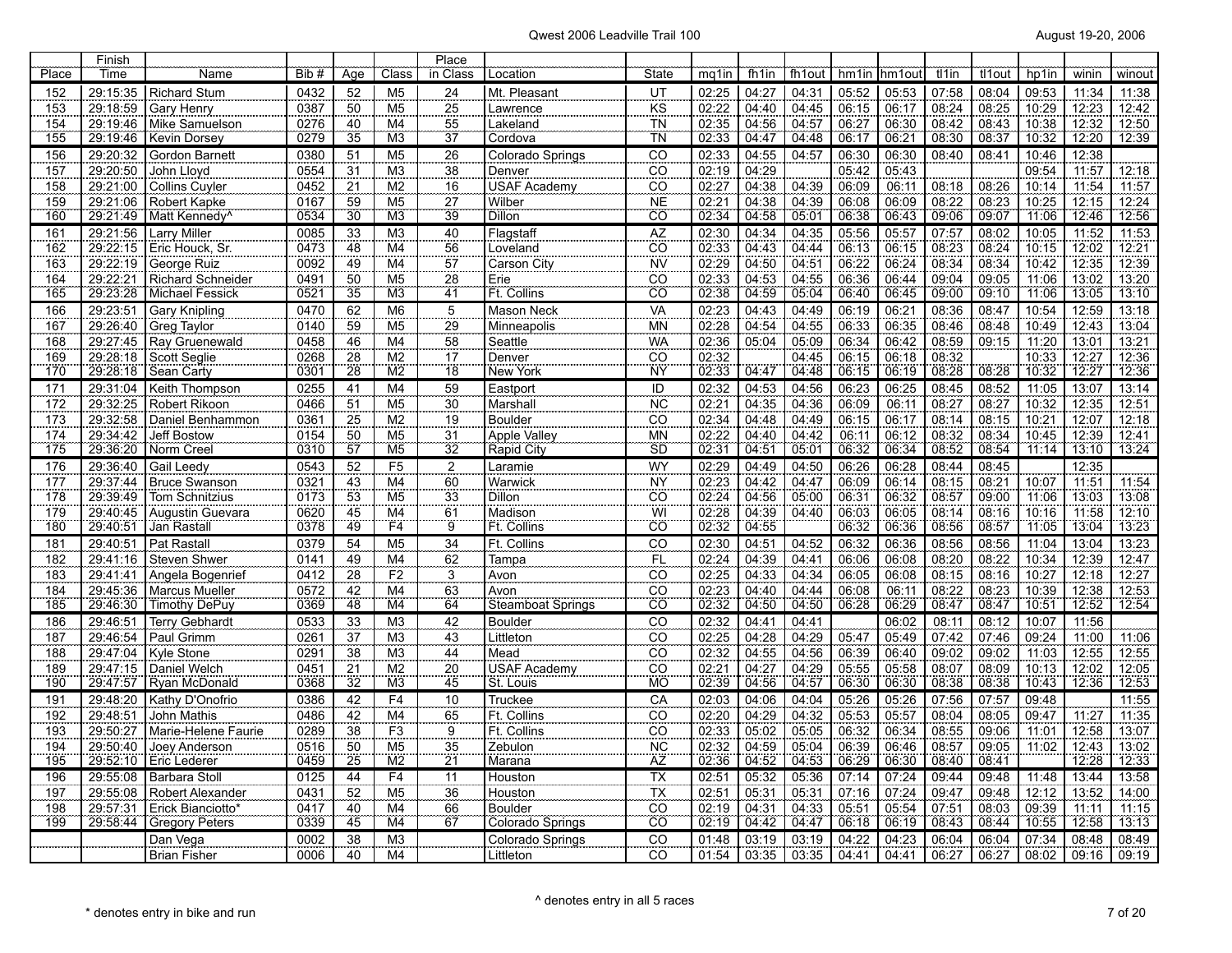| Place      | Finish<br>Time       | Name                                  | Bib #        | Age                   | Class                 | Place<br>in Class | Location                    | State                        | mg1in                 | fh1in          | fh1out         | hm1in          | hm1ou          | tl1in          | tl1out         | hp1in          | winin          | winout         |
|------------|----------------------|---------------------------------------|--------------|-----------------------|-----------------------|-------------------|-----------------------------|------------------------------|-----------------------|----------------|----------------|----------------|----------------|----------------|----------------|----------------|----------------|----------------|
| 152        | 29:15:35             | <b>Richard Stum</b>                   | 0432         | 52                    | M <sub>5</sub>        | 24                | Mt. Pleasant                | UT                           | 02:25                 | 04:27          | 04:31          | 05:52          | 05:53          | 07:58          | 08:04          | 09:53          | 11:34          | 11:38          |
| 153        | 29:18:59             | Gary Henry                            | 0387         | 50                    | M <sub>5</sub>        | 25                | Lawrence                    | <b>KS</b>                    | 02:22                 | 04:40          | 04:45          | 06:15          | 06:17          | 08:24          | 08:25          | 10:29          | 12:23          | 12:42          |
| 154        | 29:19:46             | Mike Samuelson                        | 0276         | 40                    | M4                    | 55                | Lakeland                    | <b>TN</b>                    | 02:35                 | 04:56          | 04:57          | 06:27          | 06:30          | 08:42          | 08:43          | 10:38          | 12:32          | 12:50          |
| 155        | 29:19:46             | Kevin Dorsey                          | 0279         | $\overline{35}$       | M <sub>3</sub>        | -<br>37           | Cordova                     | TN                           | 02:33                 | 04:47          | 04:48          | 06:17          | 06:21          | 08:30          | 08:37          | 10:32          | 12:20          | 12:39          |
| 156        | 29:20:32             | Gordon Barnett                        | 0380         | 51                    | M <sub>5</sub>        | 26                | Colorado Springs            | CO                           | 02:33                 | 04:55          | 04:57          | 06:30          | 06:30          | 08:40          | 08:41          | 10:46          | 12:38          |                |
| 157        | 29:20:50             | John Lloyd                            | 0554         | 31                    | M <sub>3</sub>        | 38                | Denver                      | $\overline{co}$              |                       | 04:29          |                | 05:42          | 05:43          |                |                | 09:54          | 11:57          | 12:18          |
| 158        | 29:21:00             | <b>Collins Cuyler</b>                 | 0452         | 21                    | M <sub>2</sub>        | 16                | <b>USAF Academy</b>         | $\rm CO$                     | $\frac{02:19}{02:27}$ | 04:38          | 04:39          | 06:09          | 06:11          | 08:18          | 08:26          | 10:14          | 11:54          | 11:57          |
| 159        | 29:21:06             | <b>Robert Kapke</b>                   | 0167         | 59                    | M <sub>5</sub>        | 27                | Wilber                      | <b>NE</b>                    | $\frac{02:21}{02:34}$ | 04:38          | 04:39          | 06:08          | 06:09          | 08:22          | 08:23          | 10:25          | 12:15          | 12:24          |
| 160        | 29:21:49             | Matt Kennedy <sup>^</sup>             | 0534         | 30                    | M <sub>3</sub>        | 39                | <b>Dillon</b>               | cö                           |                       | 04:58          | 05.01          | 06:38          | 06:43          | 09.06          | 09.07          | 71.06          | 12:46          | 12:56          |
| 161        | 29:21:56             | <b>Larry Miller</b>                   | 0085         | 33                    | M <sub>3</sub>        | 40                | Flagstaff                   | AZ                           | 02:30                 | 04:34          | 04:35          | 05:56          | 05:57          | 07:57          | 08:02          | 10:05          | 11:52          | 11:53          |
| 162        | 29:22:15             | Eric Houck, Sr.                       | 0473         | 48                    | M4                    | 56                | Loveland                    | $\overline{CO}$              | $\frac{02:33}{02:29}$ | 04:43          | 04:44          | 06:13          | 06:15          | 08:23          | 08:24          | 10:15          | 12:02          | 12:21          |
| 163        | 29:22:19             | George Ruiz                           | 0092         | 49                    | M <sub>4</sub>        | 57                | Carson City                 | <b>NV</b>                    |                       | 04:50          | 04:51          | 06:22          | 06:24          | 08:34          | 08:34          | 10:42          | 12:35          | 12:39          |
| 164        | 29:22:21             | Richard Schneider                     | 0491         | 50                    | M <sub>5</sub>        | 28                | Erie                        | CO                           | 02:33                 | 04:53          | 04:55          | 06:36          | 06:44          | 09:04          | 09:05          | 11:06          | 13:02          | 13:20          |
| 165        |                      | 29:23:28   Michael Fessick            | 0521         | 35                    | M <sub>3</sub>        | 41                | Ft. Collins                 | ĈÖ                           | 02:38                 | 04:59          | 05:04          | 06:40          | 06:45          | 09:00          | 09:10          | 11:06          | 13:05          | 13:10          |
| 166        | 29:23:51             | <b>Gary Knipling</b>                  | 0470         | 62                    | M <sub>6</sub>        | $\overline{5}$    | <b>Mason Neck</b>           | VA                           | 02:23                 | 04:43          | 04:49          | 06:19          | 06:21          | 08:36          | 08:47          | 10:54          | 12:59          | 13:18          |
| 167        | 29:26:40             | Greg Taylor                           | 0140         | 59                    | M <sub>5</sub>        | $\overline{29}$   | Minneapolis                 | <b>MN</b>                    | 02:28                 | 04:54          | 04:55          | 06:33          | 06:35          | 08:46          | 08:48          | 10:49          | 12:43          | 13:04          |
| 168        | 29:27:45<br>29:28:18 | Ray Gruenewald<br><b>Scott Seglie</b> | 0458<br>0268 | 46<br>28              | M4<br>$\overline{M2}$ | $\frac{58}{17}$   | Seattle<br>Denver           | <b>WA</b><br>$\overline{CO}$ | $\frac{02:36}{02:32}$ | 05:04          | 05:09<br>04:45 | 06:34<br>06:15 | 06:42<br>06:18 | 08:59<br>08:32 | 09:15          | 11:20<br>10:33 | 13:01          | 13:21          |
| 169<br>170 | 29:28:18             | Sean Carty                            | 0301         | $\overline{28}$       | M2                    | $\overline{18}$   | New York                    | <b>NY</b>                    | 02:33                 | 04:47          | 04:48          | 06:15          | 06:19          | 08:28          | 08:28          | 10:32          | 12:27<br>12:27 | 12:36<br>12:36 |
| 171        | 29:31:04             | Keith Thompson                        | 0255         | 41                    | M <sub>4</sub>        | 59                | Eastport                    | ID                           | 02:32                 | 04:53          | 04:56          | 06:23          | 06:25          | 08:45          | 08:52          | 11:05          | 13:07          | 13:14          |
| 172        | 29:32:25             | Robert Rikoon                         | 0466         | 51                    | M <sub>5</sub>        | 30                | Marshall                    | NC <sup>1</sup>              | 02:21                 | 04:35          | 04:36          | 06:09          | 06:11          | 08:27          | 08:27          | 10:32          | 12:35          | 12:51          |
| 173        | 29:32:58             | Daniel Benhammon                      | 0361         | $\overline{25}$       | M <sub>2</sub>        | 19                | Boulder                     | $\overline{c}\overline{o}$   |                       | 04:48          | 04:49          | 06:15          | 06:17          | 08:14          | 08:15          | 10:21          | 12:07          | 12:18          |
| 174        | 29:34:42             | Jeff Bostow                           | 0154         | 50                    | M <sub>5</sub>        | 31                | Apple Valley                | <b>MN</b>                    | $\frac{02:34}{02:22}$ | 04:40          | 04:42          | 06:11          | 06:12          | 08:32          | 08:34          | 10:45          | 12:39          | 12:41          |
| 175        | 29:36:20             | Norm Creel                            | 0310         | $\overline{57}$       | M <sub>5</sub>        | $\overline{32}$   | Rapid City                  | <b>SD</b>                    | 02:31                 | 04:51          | 05:01          | 06:32          | 06:34          | 08:52          | 08:54          | 11:14          | 13:10          | 13:24          |
| 176        | 29:36:40             | Gail Leedy                            | 0543         | 52                    | F <sub>5</sub>        | $\overline{2}$    | Laramie                     | WY                           | 02:29                 | 04:49          | 04:50          | 06:26          | 06:28          | 08:44          | 08:45          |                | 12:35          |                |
| 177        | 29:37:44             | <b>Bruce Swanson</b>                  | 0321         | 43                    | M <sub>4</sub>        | 60                | Warwick                     | <b>NY</b>                    | 02:23                 | 04:42          | 04:47          | 06:09          | 06:14          | 08:15          | 08:21          | 10:07          | 11:51          | 11:54          |
| 178        | 29:39:49             | Tom Schnitzius                        | 0173         | 53                    | M <sub>5</sub>        | $\overline{33}$   | Dillon                      | CO                           | $\frac{02:24}{02:28}$ | 04:56          | 05:00          | 06:31          | 06:32          | 08:57          | 09:00          | 11:06          | 13:03          | 13:08          |
| 179        | 29:40:45             | Augustin Guevara                      | 0620         | 45                    | M4                    | 61                | Madison                     | WI                           |                       | 04:39          | 04:40          | 06:03          | 06:05          | 08:14          | 08:16          | 10:16          | 11:58          | 12:10          |
| 180        | 29:40:51             | Jan Rastall                           | 0378         | 49                    | F4                    | $\overline{9}$    | Ft. Collins                 | ĈÖ                           | 02:32                 | 04:55          |                | 06:32          | 06:36          | 08:56          | 08:57          | 11:05          | 13:04          | 13:23          |
| 181        | 29:40:51             | Pat Rastall                           | 0379         | $\overline{54}$       | M <sub>5</sub>        | 34                | Ft. Collins                 | $\overline{c}$               | 02:30                 | 04:51          | 04:52          | 06:32          | 06:36          | 08:56          | 08:56          | 11:04          | 13:04          | 13:23          |
| 182        | 29:41:16             | Steven Shwer                          | 0141         | 49                    | M4                    | 62                | Tampa                       | F <sub>L</sub>               | 02:24                 | 04:39          | 04:41          | 06:06          | 06:08          | 08:20          | 08:22          | 10:34          | 12:39          | 12:47          |
| 183        | 29:41:41             | Angela Bogenrief                      | 0412         | 28                    | F2                    | $\frac{3}{63}$    | Avon                        | CO                           | 02:25                 | 04:33          | 04:34          | 06:05          | 06:08          | 08:15          | 08:16          | 10:27          | 12:18          | 12:27          |
| 184        | 29:45:36<br>29:46:30 | Marcus Mueller                        | 0572<br>0369 | 42<br>48              | M4                    | 64                | Avon                        | CO<br>ĈÖ                     | 02:23<br>02:32        | 04:40          | 04:44          | 06:08          | 06:11          | 08:22<br>08:47 | 08:23<br>08:47 | 10:39<br>10:51 | 72:38<br>12:52 | 12:53<br>12:54 |
| 185        |                      | <b>Timothy DePuy</b>                  |              |                       | M <sub>4</sub>        |                   | <b>Steamboat Springs</b>    |                              |                       | 04:50          | 04:50          | 06:28          | 06:29          |                |                |                |                |                |
| 186<br>187 | 29:46:51<br>29:46:54 | <b>Terry Gebhardt</b><br>Paul Grimm   | 0533<br>0261 | 33                    | M <sub>3</sub><br>M3  | 42<br>43          | <b>Boulder</b><br>Littleton | CO<br>$\overline{co}$        | 02:32<br>02:25        | 04:41<br>04:28 | 04:41<br>04:29 | 05:47          | 06:02<br>05:49 | 08:11<br>07:42 | 08:12<br>07:46 | 10:07<br>09:24 | 11:56<br>11:00 | 11:06          |
| 188        | 29:47:04             | <b>Kyle Stone</b>                     | 0291         | $\overline{37}$<br>38 | M <sub>3</sub>        | $\overline{44}$   | Mead                        | $\overline{CO}$              | 02:32                 | 04:55          | 04:56          | 06:39          | 06:40          | 09:02          | 09:02          | 11:03          | 12:55          | 12:55          |
| 189        | 29:47:15             | Daniel Welch                          | 0451         | 21                    | M <sub>2</sub>        | 20                | <b>USAF Academy</b>         | CO                           | 02:21                 | 04:27          | 04:29          | 05:55          | 05:58          | 08:07          | 08:09          | 10:13          | 12:02          | 12:05          |
| 190        | 29:47:57             | Ryan McDonald                         | 0368         | $\overline{32}$       | M <sub>3</sub>        | 45                | St. Louis                   | <b>MO</b>                    | 02:39                 | 04.56          | 04.57          | 06:30          | 06:30          | 08:38          | 08.38          | 10:43          | 12:36          | 12:53          |
| 191        | 29:48:20             | Kathy D'Onofrio                       | 0386         | 42                    | F4                    | $\overline{10}$   | Truckee                     | CA                           | 02:03                 | 04:06          | 04:04          | 05:26          | 05:26          | 07:56          | 07:57          | 09:48          |                | 11:55          |
| 192        | 29:48:51             | <b>John Mathis</b>                    | 0486         | 42                    | M4                    | 65                | Ft. Collins                 | CO                           | 02:20                 | 04:29          | 04:32          | 05:53          | 05:57          | 08:04          | 08:05          | 09:47          | 11:27          | 11:35          |
| 193        | 29:50:27             | Marie-Helene Faurie                   | 0289         | 38                    | F3                    | $\overline{9}$    | Ft. Collins                 | CÖ                           | 02:33                 | 05:02          | 05:05          | 06:32          | 06:34          | 08:55          | 09:06          | 11:01          | 12:58          | 13:07          |
| 194        | 29:50:40             | Joey Anderson                         | 0516         | 50                    | M <sub>5</sub>        | 35                | Zebulon                     | <b>NC</b>                    | $\frac{02:32}{02:36}$ | 04:59          | 05:04          | 06:39          | 06:46          | 08:57          | 09:05          | 11:02          | 12:43          | 13:02          |
| 195        | 29:52:10             | <b>Eric Lederer</b>                   | 0459         | 25                    | M2                    | $\overline{21}$   | Marana                      | ÄŻ                           |                       | 04:52          | 04:53          | 06:29          | 06:30          | 08:40          | 08.41          |                | 12:28          | 12:33          |
| 196        | 29:55:08             | Barbara Stoll                         | 0125         | 44                    | F <sub>4</sub>        | 11                | Houston                     | <b>TX</b>                    | 02:51                 | 05:32          | 05:36          | 07:14          | 07:24          | 09:44          | 09:48          | 11:48          | 13:44          | 13:58          |
| 197        | 29:55:08             | <b>Robert Alexander</b>               | 0431         | $\overline{52}$       | M <sub>5</sub>        | 36                | Houston                     | $\overline{\mathsf{TX}}$     | 02:51                 | 05:31          | 05:31          | 07:16          | 07:24          | 09:47          | 09:48          | 12:12          | 13:52          | 14:00          |
| 198        | 29:57:31             | Erick Bianciotto*                     | 0417         | 40                    | M <sub>4</sub>        | 66                | <b>Boulder</b>              | CO                           | 02:19                 | 04:31          | 04:33          | 05:51          | 05:54          | 07:51          | 08:03          | 09:39          | 11:11          | 11:15          |
| 199        | 29:58:44             | <b>Gregory Peters</b>                 | 0339         | 45                    | M <sub>4</sub>        | 67                | Colorado Springs            | $\overline{co}$              | 02:19                 | 04:42          | 04.47          | 06:18          | 06:19          | 08:43          | 08.44          | 10:55          | 12:58          | 13:13          |
|            |                      | Dan Vega                              | 0002         | 38                    | M <sub>3</sub>        |                   | Colorado Springs            | CO                           | 01:48                 | 03:19          | 03:19          | 04:22          | 04:23          | 06:04          | 06:04          | 07:34          | 08:48          | 08:49          |
|            |                      | <b>Brian Fisher</b>                   | 0006         | 40                    | M4                    |                   | Littleton                   | CO                           | 01:54                 | 03:35          | 03:35          | 04:41          | 04:41          | 06:27          | 06:27          | 08:02          | 09:16          | 09:19          |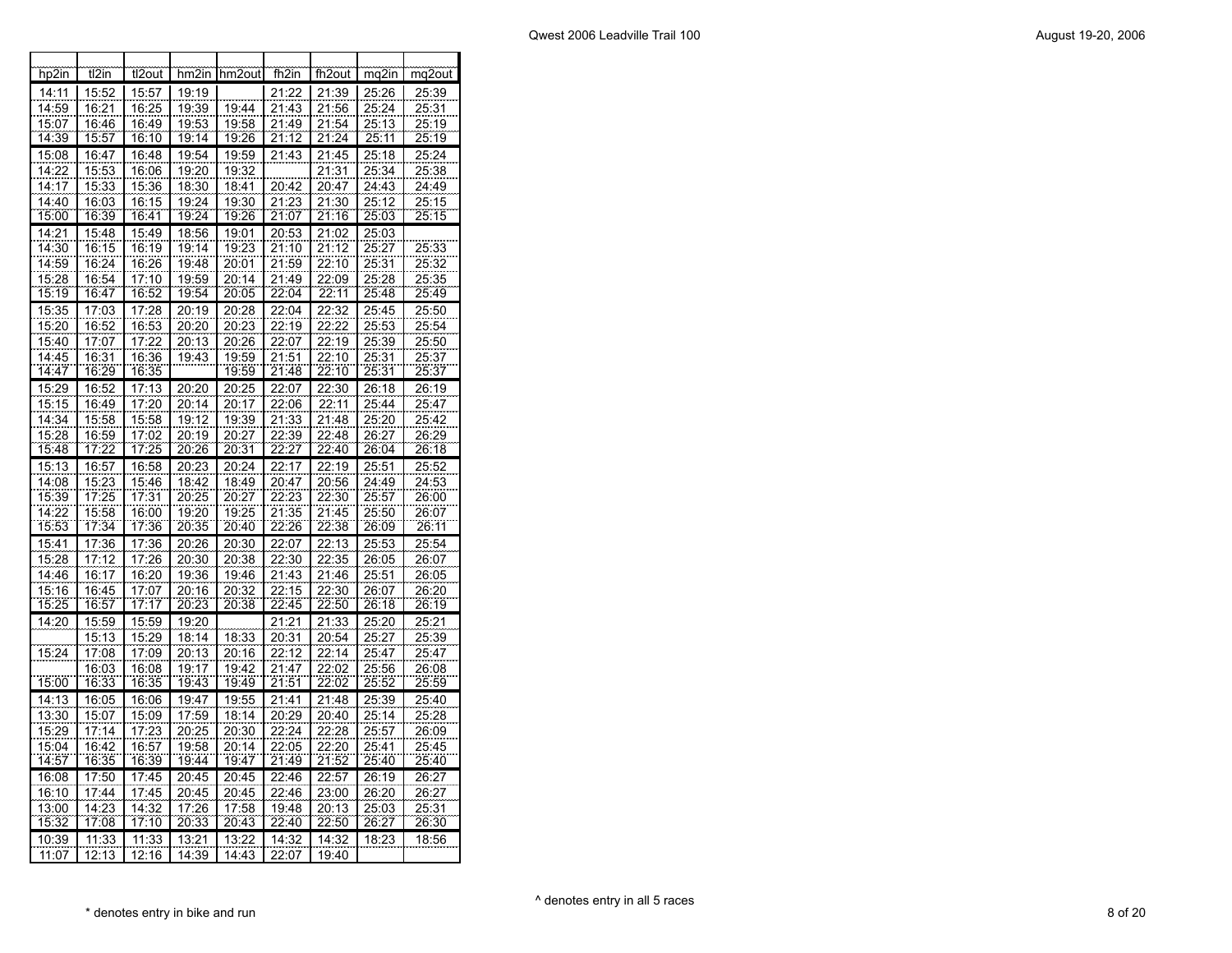| hp2in          | tl2in          | tl2out         | hm <sub>2</sub> in | hm2out         | fh2in          | fh <sub>2out</sub> | mq2in          | mq2out                 |
|----------------|----------------|----------------|--------------------|----------------|----------------|--------------------|----------------|------------------------|
| 14:11          | 15:52          | 15:57          | 19:19              |                | 21:22          | 21:39              | 25:26          | 25:39                  |
| 14:59          | 16:21          | 16:25          | 19:39              | 19:44          | 21:43          | 21:56              | 25:24          | 25:31                  |
| 15:07          | 16:46          | 16:49          | 19:53              | 19:58          | 21:49          | 21:54              | 25:13          | 25:19                  |
| 14:39          | 15:57          | 16:10          | 19:14              | 19:26          | 21:12          | 21:24              | 25:11          | 25:19                  |
| 15:08          | 16:47          | 16:48          | 19:54              | 19:59          | 21:43          | 21:45              | 25:18          | 25:24                  |
| 14:22          | 15:53          | 16:06          | 19:20              | 19:32          |                | 21:31              | 25:34          | 25:38                  |
| 14:17          | 15:33          | 15:36          | 18:30              | 18:41          | 20:42          | 20:47              | 24:43          | 24:49                  |
| 14:40          | 16:03          | 16:15          | 19:24              | 19:30          | 21:23          | 21:30              | 25:12          | 25:15                  |
| 15:00          | 16:39          | 16:41          | 19:24              | 19:26          | 21:07          | 21:16              | 25:03          | 25:15                  |
| 14:21          | 15:48          | 15:49          | 18:56              | 19:01          | 20:53          | 21:02              | 25:03          |                        |
| 14:30          | 16:15          | 16:19          | 19:14              | 19:23          | 21:10          | 21:12              | 25:27          | 25:33                  |
| 14:59          | 16:24          | 16:26          | 19:48              | <u>20:01</u>   | 21:59          | 22:10              | 25:31          | 25:32                  |
| 15:28          | 16:54          | 17:10          | 19:59              | 20:14          | 21:49          | 22:09              | 25:28          | 25:35                  |
| 15:19          | 16:47          | 16:52          | 19:54              | 20:05          | 22:04          | 22:<br>11          | 25:48          | 25:49                  |
| 15:35          | 17:03          | 17:28          | 20:19              | 20:28          | 22:04          | 22:32              | 25:45          | 25:50                  |
| 15:20          | 16:52          | 16:53          | 20:20              | 20:23          | 22:19          | 22:22              | 25:53          | 25:54                  |
| 15:40          | 17:07          | 17:22          | 20:13              | 20:26          | 22:07          | 22:19              | 25:39          | 25:50                  |
| 14:45          | 16:31          | 16:36          | 19:43              | 19:59          | 21:51          | 22:10              | 25:31          | 25:37                  |
| 14:47          | 16:29          | 16:35          |                    | 19:59          | 21:48          | 22:10              | 25:31          | 25:37                  |
| :29<br>15      | 16:52          | 17:<br>13      | 20:20              | 20:25          | 22:07          | 22:30              | 26:18          | 26:19                  |
| 15:15          | 16:49          | 17:20          | 20:14              | <u> 20:17</u>  | 22:06          | <u>22:11</u>       | 25:44          | 25:47                  |
| 14:34          | 15:58          | 15:58          | 19:12              | 19:39          | 21:33          | 21:48              | 25:20          | 25:42                  |
| 15:28          | 16:59          | 17:02          | 20:19              | <u> 20:27</u>  | 22:39          | 22:48              | <u> 26:27</u>  | 26:29                  |
| 15:48          | 17:22          | 17:25          | 20:26              | 20:31          | 22:27          | 22:40              | 26:04          | 26:18                  |
| 15:13          | 16:57          | 16:58          | 20:23              | 20:24          | 22<br>17       | 19<br>22:          | 25:51          | 25:52                  |
| 14:08          | 15:23          | 15:46          | 18:42              | 18:49          | 20:47          | 20:56              | 24:49          | 24:53                  |
| 15:39          | 17:25          | 17:31          | 20:25              | 20:27          | 22:23          | 22:30              | <u> 25:57</u>  | 26:00                  |
| 14:22          | 15:58          | 16:00          | 19:20              | 19:25          | 21:35          | 21:45              | 25:50          | 26:07                  |
| 15:53          | 17:34          | 17:36          | 20:35              | 20:40          | 22:26          | 22:38              | 26:09          | 26:11                  |
| 15:41          | 17:36          | 17:36          | 20:26              | 20:30          | 22:07          | 22:13              | 25:53          | 25:54                  |
| 15:28          | <u>17:12</u>   | 17:26          | 20:30              | 20:38          | 22:30          | 22:35              | 26:05          | 26:07                  |
| 14:46          | 16:17          | 16:20          | 19:36              | 19:46          | 21:43          | 21:46              | <u>25:51</u>   | <u>26:05</u>           |
| 15:16<br>15:25 | 16:45<br>16:57 | 17:07<br>17:17 | 20:16<br>20:23     | 20:32<br>20:38 | 22:15<br>22:45 | 22:30<br>22:50     | 26:07<br>26:18 | 26:20<br>26:19         |
| 14:20          |                |                |                    |                | 21:21          |                    |                |                        |
|                | 15:59          | 15:59          | 19:20<br>18:14     |                |                | 21:33              | 25:20          | 25:21                  |
|                | 15:13          | 15:29          |                    | 18:33          | 20:31          | 20:54              | 25:27          | 25:39                  |
| 15:24          | 17:08<br>16:03 | 17:09<br>16:08 | 20:13<br>19:17     | 20:16<br>19:42 | 22:12<br>21:47 | 22:14<br>22:02     | 25:47<br>25:56 | 25:47                  |
| 15:00          | <u> 16:33</u>  | <u> 16:35</u>  | 19:43              | 19:49          | 21:51          | 22:02              | 25:52          | 26:08<br><u> 25:59</u> |
| 14:13          | 16:05          | 16:06          | 19:47              | 19:55          | 21:41          | 21:48              | 25:39          | 25:40                  |
| 13:30          | 15:07          | 15:09          | 17:59              | 18:14          | 20:29          | <u> 20:40</u>      | <u> 25:14</u>  | 25:28                  |
| 15:29          | 17:14          | 17:23          | 20:25              | 20:30          | 22:24          | 22:28              | 25:57          | 26:09                  |
| 15:04          | 16:42          | 16:57          | 19:58              | 20:14          | 22:05          | 22:20              | 25:41          | 25:45                  |
| 14:57          | 16:35          | 16:39          | 19:44              | 19:47          | 21:49          | 21:52              | 25:40          | 25:40                  |
| 16:08          | 17:50          | 17:45          | 20:45              | 20:45          | 22:46          | 22:57              | 26:19          | 26:27                  |
| 16:10          | 17:44          | 17:45          | 20:45              | 20:45          | 22:46          | 23:00              | 26:20          | 26:27                  |
| 13:00          | 14:23          | 14:32          | 17:26              | 17:58          | 19:48          | 20:13              | 25:03          | 25:31                  |
| 15:32          | 17:08          | 17:10          | 20:33              | 20:43          | 22:40          | 22:50              | 26:27          | 26:30                  |
| 10:39          | 11:33          | 11:33          | 13:21              | 13:22          | 14:32          | 14:32              | 18:23          | 18:56                  |
| 11:07          | 12:13          | 12:16          | 14:39              | 14:43          | 22:07          | 19:40              |                |                        |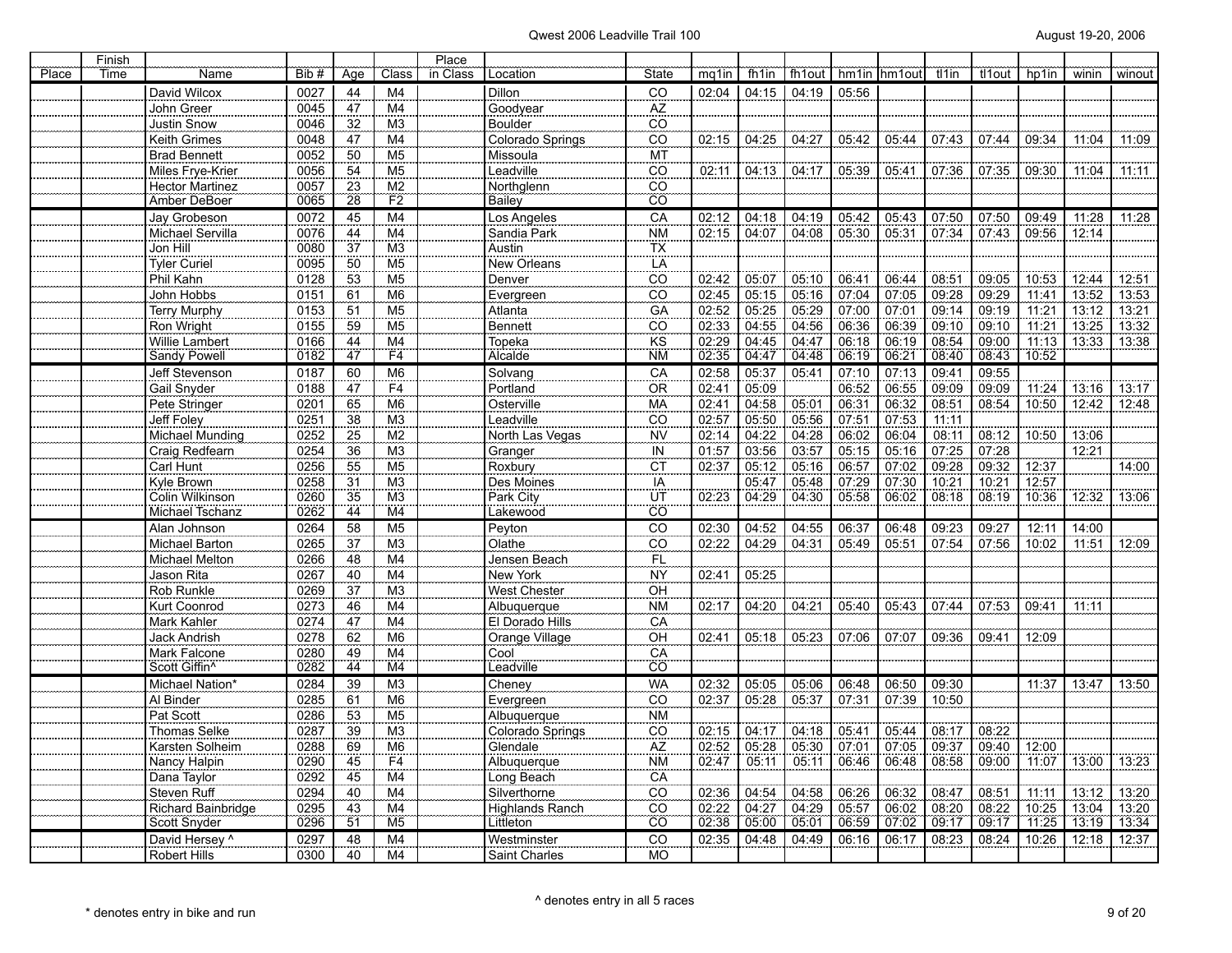| Place | Finish<br>Time | Name                        | Bib#         | Age             | Class                            | Place<br>in Class | Location                       | <b>State</b>    | mg1in | fh1in | fh1out |       | hm1in hm1out | tl1in | tl1out | hp <sub>1in</sub> | winin             | winout |
|-------|----------------|-----------------------------|--------------|-----------------|----------------------------------|-------------------|--------------------------------|-----------------|-------|-------|--------|-------|--------------|-------|--------|-------------------|-------------------|--------|
|       |                | David Wilcox                | 0027         | 44              | M <sub>4</sub>                   |                   | Dillon                         | CO              | 02:04 | 04:15 | 04:19  | 05:56 |              |       |        |                   |                   |        |
|       |                | John Greer                  | 0045         | 47              | M4                               |                   | Goodyear                       | AZ              |       |       |        |       |              |       |        |                   |                   |        |
|       |                | Justin Snow                 | 0046         | 32              | M <sub>3</sub>                   |                   | <b>Boulder</b>                 | CO              |       |       |        |       |              |       |        |                   |                   |        |
|       |                | Keith Grimes                | 0048         | 47              | M <sub>4</sub>                   |                   | Colorado Springs               | $\overline{CO}$ | 02:15 | 04:25 | 04:27  | 05:42 | 05:44        | 07:43 | 07:44  | 09:34             | 11:04             | 11:09  |
|       |                | <b>Brad Bennett</b>         | 0052         | 50              | M <sub>5</sub>                   |                   | Missoula                       | MT              |       |       |        |       |              |       |        |                   |                   |        |
|       |                | Miles Frye-Krier            | 0056         | 54              | M <sub>5</sub>                   |                   | Leadville                      | $\overline{CO}$ | 02:11 | 04:13 | 04:17  | 05:39 | 05:41        | 07:36 | 07:35  | 09:30             | 11:04             | 11:11  |
|       |                | <b>Hector Martinez</b>      | 0057         | 23              | M2                               |                   | Northglenn                     | $\overline{CO}$ |       |       |        |       |              |       |        |                   |                   |        |
|       |                | Amber DeBoer                | 0065         | 28              | F2                               |                   | <b>Bailey</b>                  | CO              |       |       |        |       |              |       |        |                   |                   |        |
|       |                | Jay Grobeson                | 0072         | 45              | M4                               |                   | Los Angeles                    | CA              | 02:12 | 04:18 | 04:19  | 05:42 | 05:43        | 07:50 | 07:50  | 09:49             | 11:28             | 11:28  |
|       |                | Michael Servilla            | 0076         | 44              | M4                               |                   | Sandia Park                    | <b>NM</b>       | 02:15 | 04:07 | 04:08  | 05:30 | 05:31        | 07:34 | 07:43  | 09:56             | 12:14             |        |
|       |                | Jon Hill                    | 0080         | 37              | M <sub>3</sub>                   |                   | Austin                         | TX              |       |       |        |       |              |       |        |                   |                   |        |
|       |                | <b>Tyler Curiel</b>         | 0095         | 50              | M <sub>5</sub>                   |                   | New Orleans                    | LÄ              |       |       |        |       |              |       |        |                   |                   |        |
|       |                | Phil Kahn                   | 0128         | 53              | M <sub>5</sub>                   |                   | Denver                         | CO              | 02:42 | 05:07 | 05:10  | 06:41 | 06:44        | 08:51 | 09:05  | 10:53             | 12:44             | 12:51  |
|       |                | John Hobbs                  | 0151         | 61              | M <sub>6</sub>                   |                   | Evergreen                      | CO              | 02:45 | 05:15 | 05:16  | 07:04 | 07:05        | 09:28 | 09:29  | 11:41             | 13:52             | 13:53  |
|       |                | Terry Murphy                | 0153         | 51              | $\overline{M5}$                  |                   | Atlanta                        | GÄ              | 02:52 | 05:25 | 05:29  | 07:00 | 07:01        | 09:14 | 09:19  | $\frac{1}{11:21}$ | $\frac{1}{13:12}$ | 13:21  |
|       |                | Ron Wright                  | 0155         | 59              | M <sub>5</sub>                   |                   | Bennett                        | CO              | 02:33 | 04:55 | 04:56  | 06:36 | 06:39        | 09:10 | 09:10  | 11:21             | 13:25             | 13:32  |
|       |                | Willie Lambert              | 0166         | 44              | M4                               |                   | Topeka                         | KS              | 02:29 | 04:45 | 04:47  | 06:18 | 06:19        | 08:54 | 09:00  | 11:13             | 13:33             | 13:38  |
|       |                | Sandy Powell                | 0182         | 47              | F4                               |                   | <b>Alcalde</b>                 | <b>NM</b>       | 02:35 | 04:47 | 04:48  | 06:19 | 06:21        | 08:40 | 08:43  | 10:52             |                   |        |
|       |                | Jeff Stevenson              | 0187         | 60              | M <sub>6</sub>                   |                   | Solvang                        | CA              | 02:58 | 05:37 | 05:41  | 07:10 | 07:13        | 09:41 | 09:55  |                   |                   |        |
|       |                | Gail Snyder                 | 0188         | 47              | F <sub>4</sub>                   |                   | Portland                       | <b>OR</b>       | 02:41 | 05:09 |        | 06:52 | 06:55        | 09:09 | 09:09  | 11:24             | 13:16             | 13:17  |
|       |                | Pete Stringer               | 0201         | 65              | M <sub>6</sub>                   |                   | Osterville                     | МA              | 02:41 | 04:58 | 05:01  | 06:31 | 06:32        | 08:51 | 08:54  | 10:50             | 12:42             | 12:48  |
|       |                | Jeff Foley                  | 0251         | 38              | M3                               |                   | Leadville                      | CO              | 02:57 | 05:50 | 05:56  | 07:51 | 07:53        | 11:11 |        |                   |                   |        |
|       |                | Michael Munding             | 0252         | 25              | M <sub>2</sub>                   |                   | North Las Vegas                | <b>NV</b>       | 02:14 | 04:22 | 04:28  | 06:02 | 06:04        | 08:11 | 08:12  | 10:50             | 13:06             |        |
|       |                | Craig Redfearn              | 0254         | 36              | M <sub>3</sub>                   |                   | Granger                        | $\frac{IN}{CT}$ | 01:57 | 03:56 | 03:57  | 05:15 | 05:16        | 07:25 | 07:28  |                   | 12:21             |        |
|       |                | Carl Hunt                   | 0256         | 55              | M <sub>5</sub>                   |                   | Roxbury                        |                 | 02:37 | 05:12 | 05:16  | 06:57 | 07:02        | 09:28 | 09:32  | 12:37             |                   | 14:00  |
|       |                | Kyle Brown                  | 0258         | 31              | M3                               |                   | Des Moines                     | <u>IA</u>       |       | 05:47 | 05:48  | 07:29 | 07:30        | 10:21 | 10:21  | 12:57             |                   |        |
|       |                | Colin Wilkinson             | 0260         | 35              | M <sub>3</sub>                   |                   | Park City                      | UT              | 02:23 | 04:29 | 04:30  | 05:58 | 06:02        | 08:18 | 08:19  | 10:36             | 12:32             | 13:06  |
|       |                | Michael Tschanz             | 0262         | $\overline{44}$ | $\overline{M4}$                  |                   | Lakewood                       | $\overline{CO}$ |       |       |        |       |              |       |        |                   |                   |        |
|       |                | Alan Johnson                | 0264         | 58              | M <sub>5</sub>                   |                   | Peyton                         | CO              | 02:30 | 04:52 | 04:55  | 06:37 | 06:48        | 09:23 | 09:27  | 12:11             | 14:00             |        |
|       |                | Michael Barton              | 0265         | $\overline{37}$ | M3                               |                   | $O$ lathe                      | CÖ              | 02:22 | 04:29 | 04:31  | 05:49 | 05:51        | 07:54 | 07:56  | 10:02             | 11:51             | 12:09  |
|       |                | <b>Michael Melton</b>       | 0266         | 48              | M <sub>4</sub>                   |                   | Jensen Beach                   | FL              |       |       |        |       |              |       |        |                   |                   |        |
|       |                | Jason Rita                  | 0267         | 40              | M4                               |                   | New York                       | NY              | 02:41 | 05:25 |        |       |              |       |        |                   |                   |        |
|       |                | Rob Runkle                  | 0269         | 37              | M <sub>3</sub><br>M <sub>4</sub> |                   | West Chester                   | OH              |       |       |        |       |              |       |        |                   |                   |        |
|       |                | Kurt Coonrod<br>Mark Kahler | 0273<br>0274 | 46<br>47        | M <sub>4</sub>                   |                   | Albuquerque<br>El Dorado Hills | <b>NM</b><br>CA | 02:17 | 04:20 | 04:21  | 05:40 | 05:43        | 07:44 | 07:53  | 09:41             | 11:11             |        |
|       |                | Jack Andrish                | 0278         | 62              | M <sub>6</sub>                   |                   | Orange Village                 | OH              | 02:41 | 05:18 | 05:23  | 07:06 | 07:07        | 09:36 | 09:41  | 12:09             |                   |        |
|       |                | Mark Falcone                | 0280         | 49              | M4                               |                   | Cool                           | CA              |       |       |        |       |              |       |        |                   |                   |        |
|       |                | Scott Giffin <sup>^</sup>   | 0282         | 44              | M4                               |                   | Leadville                      | $\overline{CO}$ |       |       |        |       |              |       |        |                   |                   |        |
|       |                | Michael Nation*             | 0284         | 39              | M <sub>3</sub>                   |                   | Cheney                         | <b>WA</b>       | 02:32 | 05:05 | 05:06  | 06:48 | 06:50        | 09:30 |        | 11:37             | 13:47             | 13:50  |
|       |                | Al Binder                   | 0285         | 61              | M <sub>6</sub>                   |                   | Evergreen                      | CO              | 02:37 | 05:28 | 05:37  | 07:31 | 07:39        | 10:50 |        |                   |                   |        |
|       |                | Pat Scott                   | 0286         | 53              | M <sub>5</sub>                   |                   | Albuquerque                    | <b>NM</b>       |       |       |        |       |              |       |        |                   |                   |        |
|       |                | Thomas Selke                | 0287         | 39              | M <sub>3</sub>                   |                   | Colorado Springs               | CO              | 02:15 | 04:17 | 04:18  | 05:41 | 05:44        | 08:17 | 08:22  |                   |                   |        |
|       |                | Karsten Solheim             | 0288         | 69              | M <sub>6</sub>                   |                   | Glendale                       | $\overline{AZ}$ | 02:52 | 05:28 | 05:30  | 07:01 | 07:05        | 09:37 | 09:40  | 12:00             |                   |        |
|       |                | Nancy Halpin                | 0290         | 45              | F4                               |                   | Albuquerque                    | <b>NM</b>       | 02:47 | 05:11 | 05:11  | 06:46 | 06:48        | 08:58 | 09:00  | 11:07             | 13:00             | 13:23  |
|       |                | Dana Taylor                 | 0292         | 45              | M4                               |                   | Long Beach                     | CÄ              |       |       |        |       |              |       |        |                   |                   |        |
|       |                | Steven Ruff                 | 0294         | 40              | M4                               |                   | Silverthorne                   | CO              | 02:36 | 04:54 | 04:58  | 06:26 | 06:32        | 08:47 | 08:51  | 11:11             | 13:12             | 13:20  |
|       |                | Richard Bainbridge          | 0295         | 43              | M4                               |                   | <b>Highlands Ranch</b>         | CO              | 02:22 | 04:27 | 04:29  | 05:57 | 06:02        | 08:20 | 08:22  | 10:25             | 13:04             | 13:20  |
|       |                | Scott Snyder                | 0296         | 51              | M <sub>5</sub>                   |                   | Littleton                      | ĈÖ              | 02:38 | 05:00 | 05:01  | 06:59 | 07:02        | 09:17 | 09:17  | 11:25             | 13:19             | 13.34  |
|       |                | David Hersey ^              | 0297         | 48              | M4                               |                   | Westminster                    | CO              | 02:35 | 04:48 | 04:49  | 06:16 | 06:17        | 08:23 | 08:24  | 10:26             | 12:18             | 12:37  |
|       |                | <b>Robert Hills</b>         | 0300         | 40              | M4                               |                   | Saint Charles                  | <b>MO</b>       |       |       |        |       |              |       |        |                   |                   |        |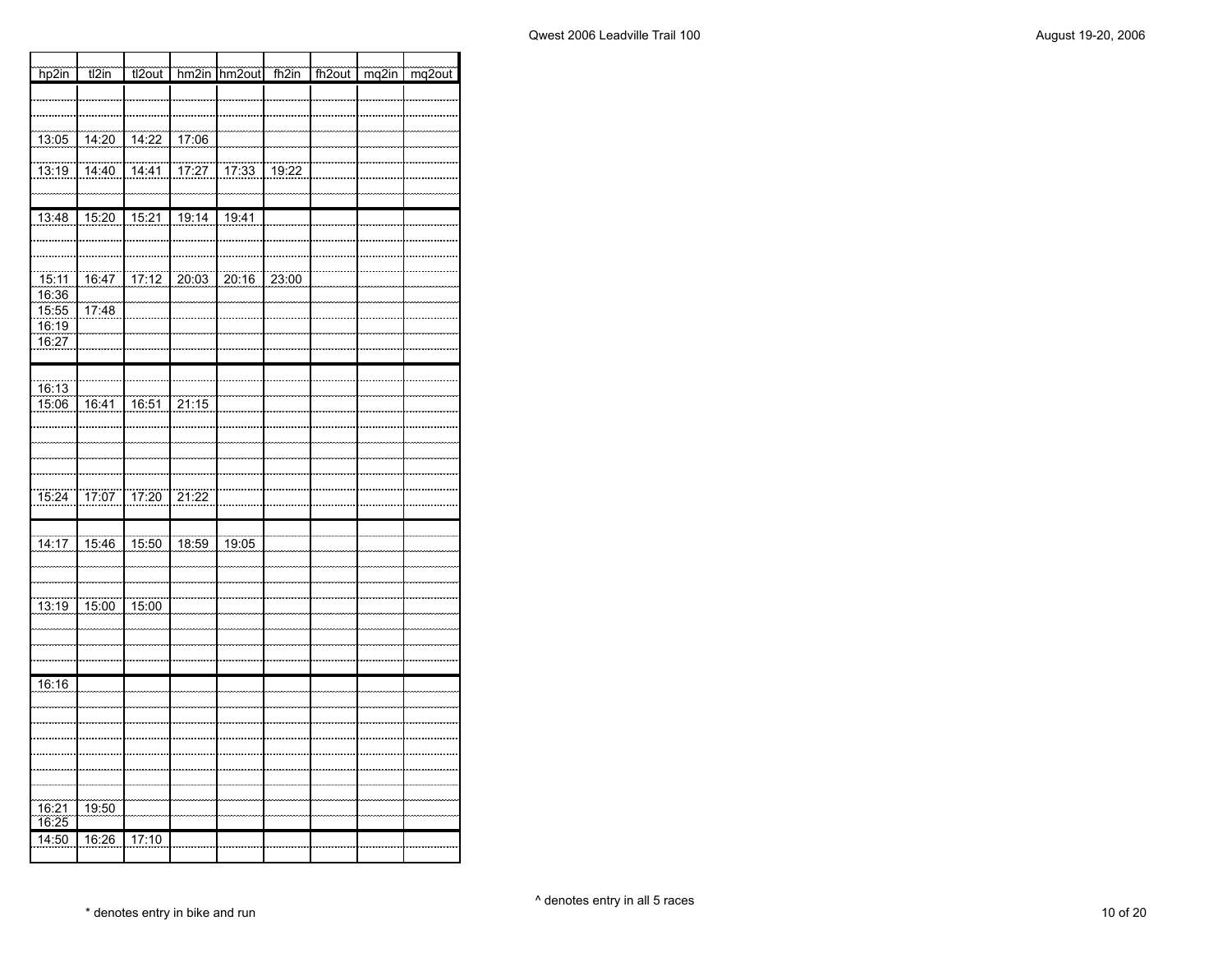┓

| hp2in                        | t2in                  | tl2out                |                       | hm2in hm2out      | $\frac{1}{\ln 2}$ | fh2out | mg2in | $mg2$ out |
|------------------------------|-----------------------|-----------------------|-----------------------|-------------------|-------------------|--------|-------|-----------|
|                              |                       |                       |                       |                   |                   |        |       |           |
|                              |                       |                       |                       |                   |                   |        |       |           |
| $\frac{111111111111}{13:05}$ | 14:20                 | 14:22                 | 17:06                 |                   |                   |        |       |           |
| 13:19                        | 14:40                 | 14.41                 | 77:27                 | $\frac{17.33}{ }$ | $\frac{1}{19.22}$ |        |       |           |
|                              |                       |                       |                       |                   |                   |        |       |           |
| 13:48                        | 15:20                 | 15:21                 | 19:14                 | 19:41             |                   |        |       |           |
|                              |                       |                       |                       |                   |                   |        |       |           |
|                              |                       |                       |                       |                   |                   |        |       |           |
| 15:11<br>16:36               | 16:47                 | 17:12                 | 20:03                 | 20:16             | 23:00             |        |       |           |
| 15:55                        | 17:48                 |                       |                       |                   |                   |        |       |           |
| 16:19<br>16:27               |                       |                       |                       |                   |                   |        |       |           |
|                              |                       |                       |                       |                   |                   |        |       |           |
| 16:13                        |                       |                       |                       |                   |                   |        |       |           |
| 15:06                        | $\frac{1}{16:41}$     | $\frac{1}{16:51}$     | $\frac{1}{21:15}$     |                   |                   |        |       |           |
|                              |                       |                       |                       |                   |                   |        |       |           |
|                              |                       |                       |                       |                   |                   |        |       |           |
|                              |                       |                       |                       |                   |                   |        |       |           |
| $\frac{1}{15:24}$            | 77:07                 | 17:20                 | 21:22                 |                   |                   |        |       |           |
|                              |                       |                       |                       |                   |                   |        |       |           |
| $\frac{1}{14:17}$            | 15:46                 | $\frac{15:50}{15:50}$ | $\frac{18.59}{18.59}$ | 19:05             |                   |        |       |           |
|                              |                       |                       |                       |                   |                   |        |       |           |
|                              |                       |                       |                       |                   |                   |        |       |           |
| 13:19                        | $\frac{15:00}{15:00}$ | 15:00                 |                       |                   |                   |        |       |           |
|                              |                       |                       |                       |                   |                   |        |       |           |
|                              |                       |                       |                       |                   |                   |        |       |           |
| 16:16                        |                       |                       |                       |                   |                   |        |       |           |
|                              |                       |                       |                       |                   |                   |        |       |           |
|                              |                       |                       |                       |                   |                   |        |       |           |
|                              |                       |                       |                       |                   |                   |        |       |           |
|                              |                       |                       |                       |                   |                   |        |       |           |
| 16:21                        | 19:50                 |                       |                       |                   |                   |        |       |           |
| 16:25                        |                       |                       |                       |                   |                   |        |       |           |
| 14:50                        | 16:26                 | 17:10                 |                       |                   |                   |        |       |           |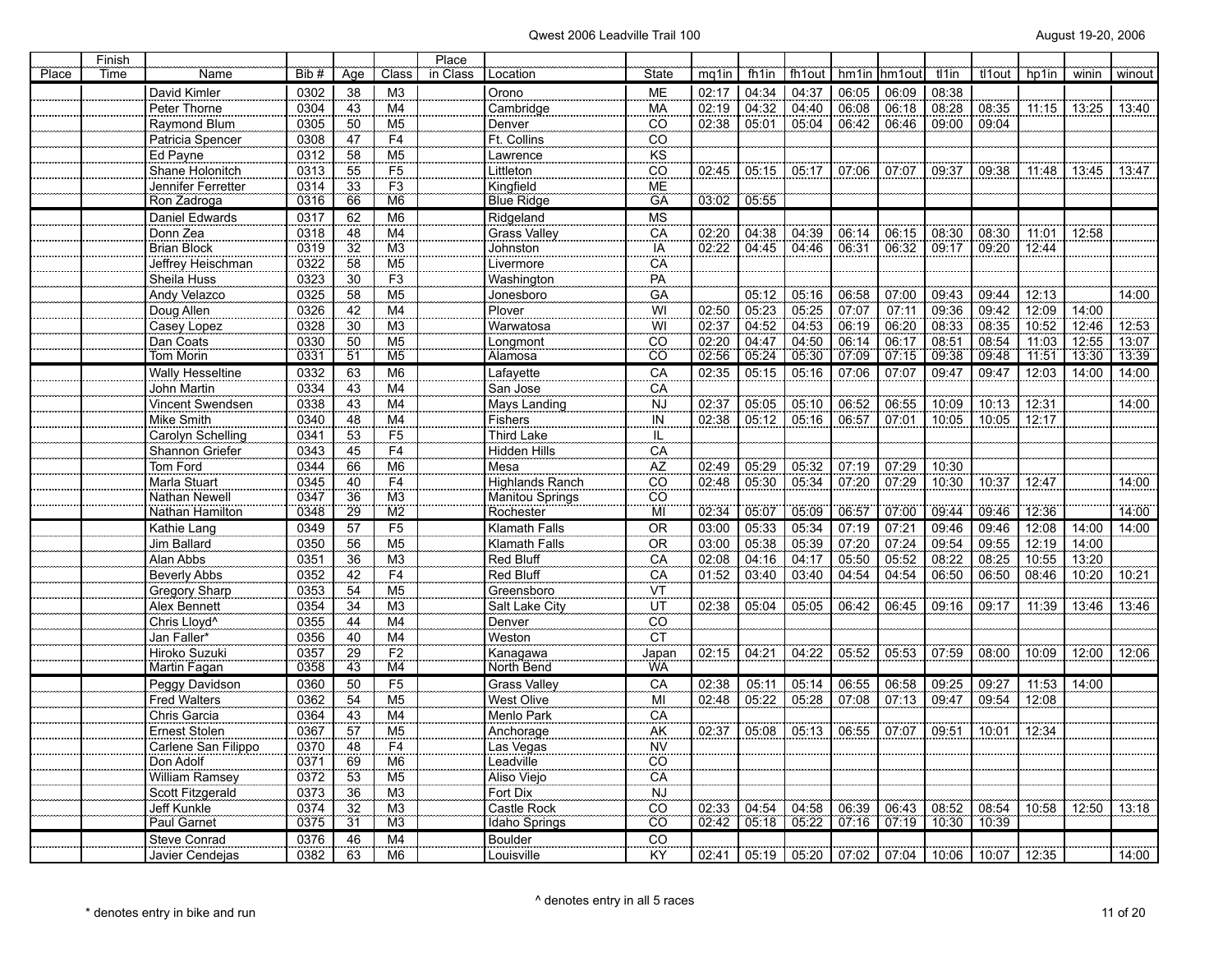|       | Finish |                                  |              |                 |                                  | Place    |                                   |                            |                |                |                |       |                |                |                |                       |       |        |
|-------|--------|----------------------------------|--------------|-----------------|----------------------------------|----------|-----------------------------------|----------------------------|----------------|----------------|----------------|-------|----------------|----------------|----------------|-----------------------|-------|--------|
| Place | Time   | Name                             | Bib#         | Aae             | Class                            | in Class | Location                          | State                      | mq1in          | fh1in          | fh1out         | hm1in | hm1out         | tl1in          | tl1out         | hp1in                 | winin | winout |
|       |        | David Kimler                     | 0302         | 38              | M <sub>3</sub>                   |          | Orono                             | ME                         | 02:17          | 04:34          | 04:37          | 06:05 | 06:09          | 08:38          |                |                       |       |        |
|       |        | Peter Thorne                     | 0304         | 43              | M4                               |          | Cambridge                         | MA                         | 02:19          | 04:32          | 04:40          | 06:08 | 06:18          | 08:28          | 08:35          | 11:15                 | 13:25 | 13:40  |
|       |        | Raymond Blum                     | 0305         | 50              | M <sub>5</sub>                   |          | Denver                            | <u>co</u>                  | 02:38          | 05:01          | 05:04          | 06:42 | 06:46          | 09:00          | 09:04          |                       |       |        |
|       |        | Patricia Spencer                 | 0308         | 47              | F <sub>4</sub>                   |          | Ft. Collins                       | CO                         |                |                |                |       |                |                |                |                       |       |        |
|       |        | Ed Payne                         | 0312         | 58              | M <sub>5</sub>                   |          | Lawrence                          | $rac{KS}{CO}$              |                |                |                |       |                |                |                |                       |       |        |
|       |        | Shane Holonitch                  | 0313         | 55              | F5                               |          | Littleton                         |                            | 02:45          | 05:15          | 05:17          | 07:06 | 07:07          | 09:37          | 09:38          | 11:48                 | 13:45 | 13:47  |
|       |        | Jennifer Ferretter               | 0314         | 33              | F3                               |          | Kingfield                         | <b>ME</b>                  |                |                |                |       |                |                |                |                       |       |        |
|       |        | Ron Zadroga                      | 0316         | 66              | M <sub>6</sub>                   |          | <b>Blue Ridge</b>                 | <b>GA</b>                  | 03:02          | 05:55          |                |       |                |                |                |                       |       |        |
|       |        | Daniel Edwards                   | 0317         | 62              | M <sub>6</sub>                   |          | Ridgeland                         | <b>MS</b>                  |                |                |                |       |                |                |                |                       |       |        |
|       |        | Donn Zea                         | 0318         | 48              | M <sub>4</sub>                   |          | Grass Valley                      | CA                         | 02:20          | 04:38          | 04:39          | 06:14 | 06:15          | 08:30          | 08:30          | 11:01                 | 12:58 |        |
|       |        | <b>Brian Block</b>               | 0319         | 32              | M <sub>3</sub>                   |          | Johnston                          | IA                         | 02:22          | 04:45          | 04:46          | 06:31 | 06:32          | 09:17          | 09:20          | 12:44                 |       |        |
|       |        | Jeffrey Heischman                | 0322         | 58              | M <sub>5</sub>                   |          | Livermore                         | CA                         |                |                |                |       |                |                |                |                       |       |        |
|       |        | Sheila Huss                      | 0323         | 30              | F3                               |          | Washington                        | PA                         |                |                |                |       |                |                |                |                       |       |        |
|       |        | Andy Velazco                     | 0325         | 58              | M5                               |          | Jonesboro                         | GA                         |                | 05:12          | 05:16          | 06:58 | 07:00          | 09:43          | 09:44          | 12:13                 |       | 14:00  |
|       |        | Doug Allen                       | 0326         | 42              | M4                               |          | Plover                            | WI                         | 02:50          | 05:23          | 05:25          | 07:07 | 07:11          | 09:36          | 09:42          | 12:09                 | 14:00 |        |
|       |        | Casey Lopez                      | 0328         | 30              | M <sub>3</sub>                   |          | Warwatosa                         | WI                         | 02:37          | 04:52          | 04:53          | 06:19 | 06:20          | 08:33          | 08:35          | 10:52                 | 12:46 | 12:53  |
|       |        | Dan Coats                        | 0330         | 50              | $\overline{M5}$                  |          | Longmont                          | CO                         | 02:20          | 04:47          | 04:50          | 06:14 | 06:17          | 08:51          | 08:54          | 11:03                 | 12:55 | 13:07  |
|       |        | Tom Morin                        | 0331         | 51              | M <sub>5</sub>                   |          | <u>Alamosa</u>                    | ĈÕ                         | 02:56          | 05:24          | 05:30          | 07.09 | 07:15          | 09:38          | 09.48          | 71:51                 | 13:30 | 13:39  |
|       |        | <b>Wally Hesseltine</b>          | 0332         | 63              | M <sub>6</sub>                   |          | Lafayette                         | CA                         | 02:35          | 05:15          | 05:16          | 07:06 | 07:07          | 09:47          | 09:47          | 12:03                 | 14:00 | 14:00  |
|       |        | John Martin                      | 0334         | 43              | M <sub>4</sub>                   |          | San Jose                          | $\frac{CA}{NJ}$            |                |                |                |       |                |                |                |                       |       |        |
|       |        | Vincent Swendsen                 | 0338         | 43              | M <sub>4</sub>                   |          | Mays Landing                      |                            | 02.37          | 05:05          | 05:10          | 06:52 | 06:55          | 10:09          | 10:13          | 12:31                 |       | 14.00  |
|       |        | Mike Smith                       | 0340         | 48              | $\overline{M4}$                  |          | Fishers                           | $\overline{IN}$            | 02:38          | 05:12          | 05:16          | 06:57 | 07:01          | 10:05          | 10:05          | $\frac{12:17}{12:17}$ |       |        |
|       |        | Carolyn Schelling                | 0341         | 53              | F <sub>5</sub>                   |          | Third Lake                        | IL                         |                |                |                |       |                |                |                |                       |       |        |
|       |        | Shannon Griefer                  | 0343         | 45              | F4                               |          | Hidden Hills                      | CA<br>AZ                   |                |                |                |       |                |                |                |                       |       |        |
|       |        | Tom Ford                         | 0344         | 66              | M <sub>6</sub>                   |          | Mesa                              |                            | 02:49          | 05:29          | 05:32          | 07:19 | 07:29          | 10:30          |                |                       |       |        |
|       |        | Marla Stuart                     | 0345         | 40              | F4                               |          | <b>Highlands Ranch</b>            | $\overline{co}$            | 02:48          | 05:30          | 05:34          | 07:20 | 07:29          | 10:30          | 10:37          | 12:47                 |       | 14:00  |
|       |        | Nathan Newell                    | 0347         | 36              | M <sub>3</sub>                   |          | Manitou Springs                   | $\overline{co}$            |                |                |                |       |                |                |                |                       |       |        |
|       |        | Nathan Hamilton                  | 0348         | 29              | $\overline{\text{M2}}$           |          | Rochester                         | ΪMΪ                        | 02:34          | 05:07          | 05.09          | 06:57 | 07.00          | 09:44          | 09:46          | 12:36                 |       | 14:00  |
|       |        | Kathie Lang                      | 0349         | 57              | F <sub>5</sub>                   |          | Klamath Falls                     | <b>OR</b>                  | 03:00          | 05:33          | 05:34          | 07:19 | 07:21          | 09:46          | 09:46          | 12:08                 | 14:00 | 14:00  |
|       |        | Jim Ballard                      | 0350         | 56              | M <sub>5</sub>                   |          | Klamath Falls                     | ÖR                         | 03:00          | 05:38          | 05:39          | 07:20 | 07:24          | 09:54          | 09:55          | 12:19                 | 14:00 |        |
|       |        | Alan Abbs                        | 0351         | 36              | M <sub>3</sub>                   |          | Red Bluff                         | CA                         | 02:08          | 04:16          | 04:17          | 05:50 | 05:52          | 08:22          | 08:25          | 10:55                 | 13:20 |        |
|       |        | <b>Beverly Abbs</b>              | 0352         | 42              | F <sub>4</sub>                   |          | Red Bluff                         | CA                         | 01:52          | 03:40          | 03:40          | 04:54 | 04:54          | 06:50          | 06:50          | 08:46                 | 10:20 | 10:21  |
|       |        | Gregory Sharp                    | 0353         | 54              | M <sub>5</sub>                   |          | Greensboro                        | VT                         |                |                |                |       |                |                |                |                       |       |        |
|       |        | Alex Bennett                     | 0354         | 34              | M <sub>3</sub>                   |          | Salt Lake City                    | UT                         | 02:38          | 05:04          | 05:05          | 06:42 | 06:45          | 09:16          | 09:17          | 11:39                 | 13:46 | 13:46  |
|       |        | Chris Lloyd <sup>^</sup>         | 0355         | 44              | M <sub>4</sub>                   |          | Denver                            | $\overline{CO}$            |                |                |                |       |                |                |                |                       |       |        |
|       |        | <b>Jan Faller*</b>               | 0356         | 40              | M <sub>4</sub>                   |          | Weston                            | CT                         |                |                |                |       |                |                |                |                       |       |        |
|       |        | Hiroko Suzuki                    | 0357         | 29<br>43        | F2                               |          | Kanagawa                          | Japan                      | 02:15          | 04:21          | 04:22          | 05:52 | 05:53          | 07:59          | 08:00          | 10:09                 | 12:00 | 12:06  |
|       |        | Martin Fagan                     | 0358         |                 | M <sub>4</sub>                   |          | North Bend                        | <b>WA</b>                  |                |                |                |       |                |                |                |                       |       |        |
|       |        | Peggy Davidson                   | 0360         | 50              | F5<br>$\overline{M5}$            |          | <b>Grass Valley</b><br>West Olive | CA                         | 02:38<br>02:48 | 05:11<br>05:22 | 05:14<br>05:28 | 06:55 | 06:58<br>07:13 | 09:25<br>09:47 | 09:27<br>09:54 | 11:53                 | 14:00 |        |
|       |        | Fred Walters                     | 0362         | 54              |                                  |          |                                   | MI                         |                |                |                | 07:08 |                |                |                | 12:08                 |       |        |
|       |        | Chris Garcia<br>Ernest Stolen    | 0364<br>0367 | 43<br>57        | M <sub>4</sub><br>M <sub>5</sub> |          | Menlo Park<br>Anchorage           | CA<br>AK                   | 02:37          | 05:08          | 05:13          | 06:55 | 07:07          | 09:51          | 10:01          |                       |       |        |
|       |        |                                  |              |                 |                                  |          |                                   |                            |                |                |                |       |                |                |                | 12:34                 |       |        |
|       |        | Carlene San Filippo<br>Don Adolf | 0370<br>0371 | 48              | F4<br>M <sub>6</sub>             |          | Las Vegas<br>Leadville            | <b>NV</b>                  |                |                |                |       |                |                |                |                       |       |        |
|       |        | William Ramsey                   | 0372         | 69<br>53        | M <sub>5</sub>                   |          | Aliso Viejo                       | CO.<br>CA                  |                |                |                |       |                |                |                |                       |       |        |
|       |        | Scott Fitzgerald                 | 0373         | 36              | M <sub>3</sub>                   |          | Fort Dix                          | <b>NJ</b>                  |                |                |                |       |                |                |                |                       |       |        |
|       |        | Jeff Kunkle                      | 0374         | 32              | M <sub>3</sub>                   |          | Castle Rock                       | CO                         | 02:33          | 04:54          | 04:58          | 06:39 | 06:43          | 08:52          | 08:54          |                       |       | 13:18  |
|       |        | Paul Garnet                      | 0375         | $\overline{31}$ | M <sub>3</sub>                   |          | Idaho Springs                     | $\overline{c}\overline{o}$ | 02:42          | 05:18          | 05:22          | 07:16 | 07.19          | 10:30          | 10:39          | 10:58                 | 12:50 |        |
|       |        | Steve Conrad                     | 0376         | 46              | M4                               |          | Boulder                           | CO                         |                |                |                |       |                |                |                |                       |       |        |
|       |        | Javier Cendejas                  | 0382         | 63              | M <sub>6</sub>                   |          | Louisville                        | KY.                        | 02:41          | 05:19          | 05:20          | 07:02 | 07:04          | 10:06          | 10:07          | 12:35                 |       | 14:00  |
|       |        |                                  |              |                 |                                  |          |                                   |                            |                |                |                |       |                |                |                |                       |       |        |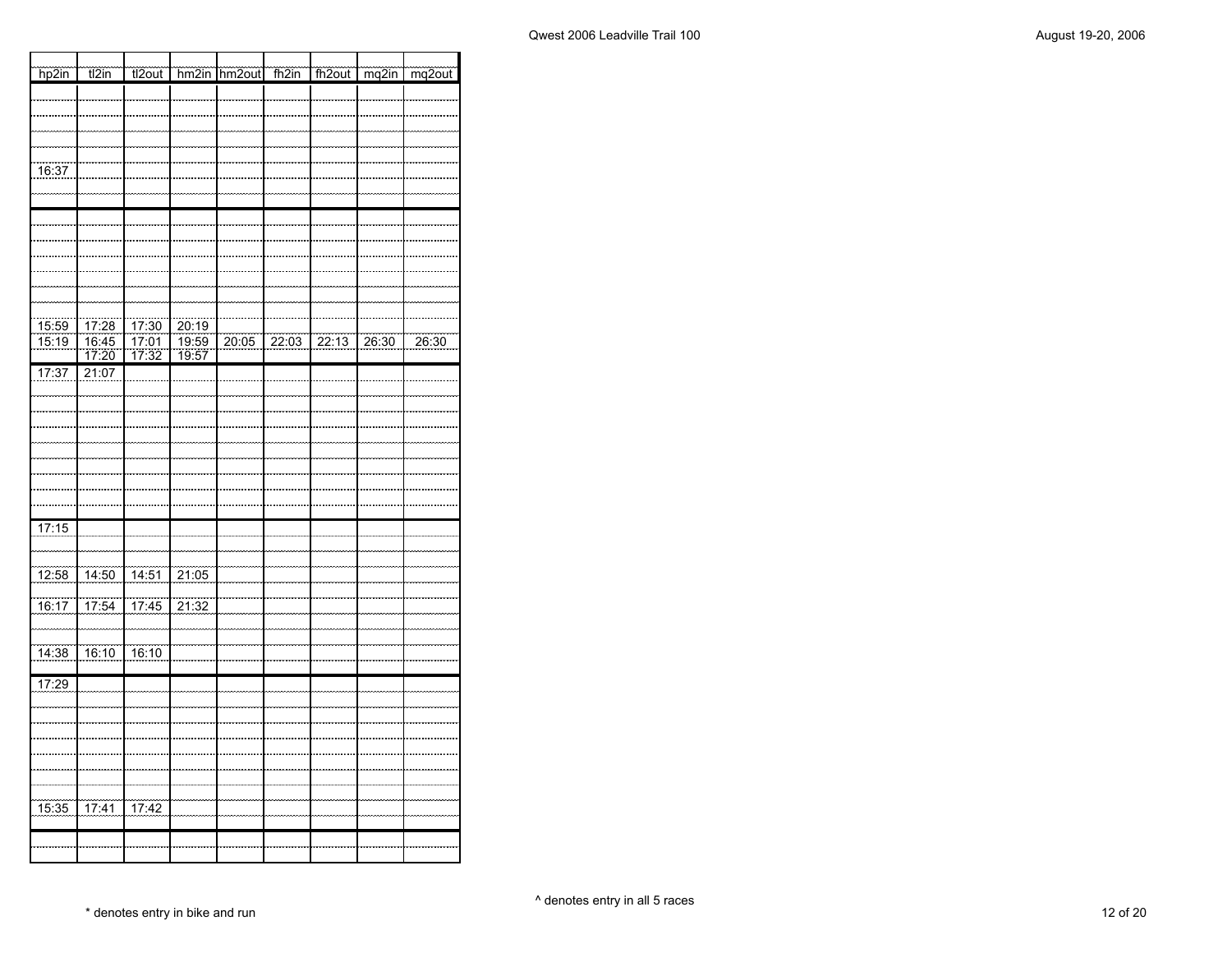| hp2in                 | t2in                  | tl2out                |                | hm2in hm2out | $\frac{1}{\sqrt{2}}$ | fh2out   mq2in    | $mg2$ out |
|-----------------------|-----------------------|-----------------------|----------------|--------------|----------------------|-------------------|-----------|
|                       |                       |                       |                |              |                      |                   |           |
|                       |                       |                       |                |              |                      |                   |           |
|                       |                       |                       |                |              |                      |                   |           |
| 16:37                 |                       |                       |                |              |                      |                   |           |
|                       |                       |                       |                |              |                      |                   |           |
|                       |                       |                       |                |              |                      |                   |           |
|                       |                       |                       |                |              |                      |                   |           |
|                       |                       |                       |                |              |                      |                   |           |
|                       |                       |                       |                |              |                      |                   |           |
|                       |                       |                       |                |              |                      |                   |           |
| $\frac{15:59}{15:19}$ | 17:28                 |                       | 20:19          |              |                      |                   |           |
|                       | $\frac{16:45}{17:20}$ | $\frac{17:30}{17:01}$ | 19:59<br>19:57 | 20:05        |                      | 22:03 22:13 26:30 | 26:30     |
| 17:37                 | 21:07                 |                       |                |              |                      |                   |           |
|                       |                       |                       |                |              |                      |                   |           |
|                       |                       |                       |                |              |                      |                   |           |
|                       |                       |                       |                |              |                      |                   |           |
|                       |                       |                       |                |              |                      |                   |           |
|                       |                       |                       |                |              |                      |                   |           |
|                       |                       |                       |                |              |                      |                   |           |
| 17:15                 |                       |                       |                |              |                      |                   |           |
|                       |                       |                       |                |              |                      |                   |           |
| $\frac{12:58}{12:58}$ |                       | 14:50 14:51 21:05     |                |              |                      |                   |           |
| $\frac{1}{16:17}$     | 17:54                 | 17:45                 | 21:32          |              |                      |                   |           |
|                       |                       |                       |                |              |                      |                   |           |
| $\frac{14:38}{ }$     | 16:10                 | $-16:10$              |                |              |                      |                   |           |
| 17:29                 |                       |                       |                |              |                      |                   |           |
|                       |                       |                       |                |              |                      |                   |           |
|                       |                       |                       |                |              |                      |                   |           |
|                       |                       |                       |                |              |                      |                   |           |
|                       |                       |                       |                |              |                      |                   |           |
|                       |                       |                       |                |              |                      |                   |           |
| $\frac{15:35}{ }$     | $17:41$ $17:42$       |                       |                |              |                      |                   |           |
|                       |                       |                       |                |              |                      |                   |           |
|                       |                       |                       |                |              |                      |                   |           |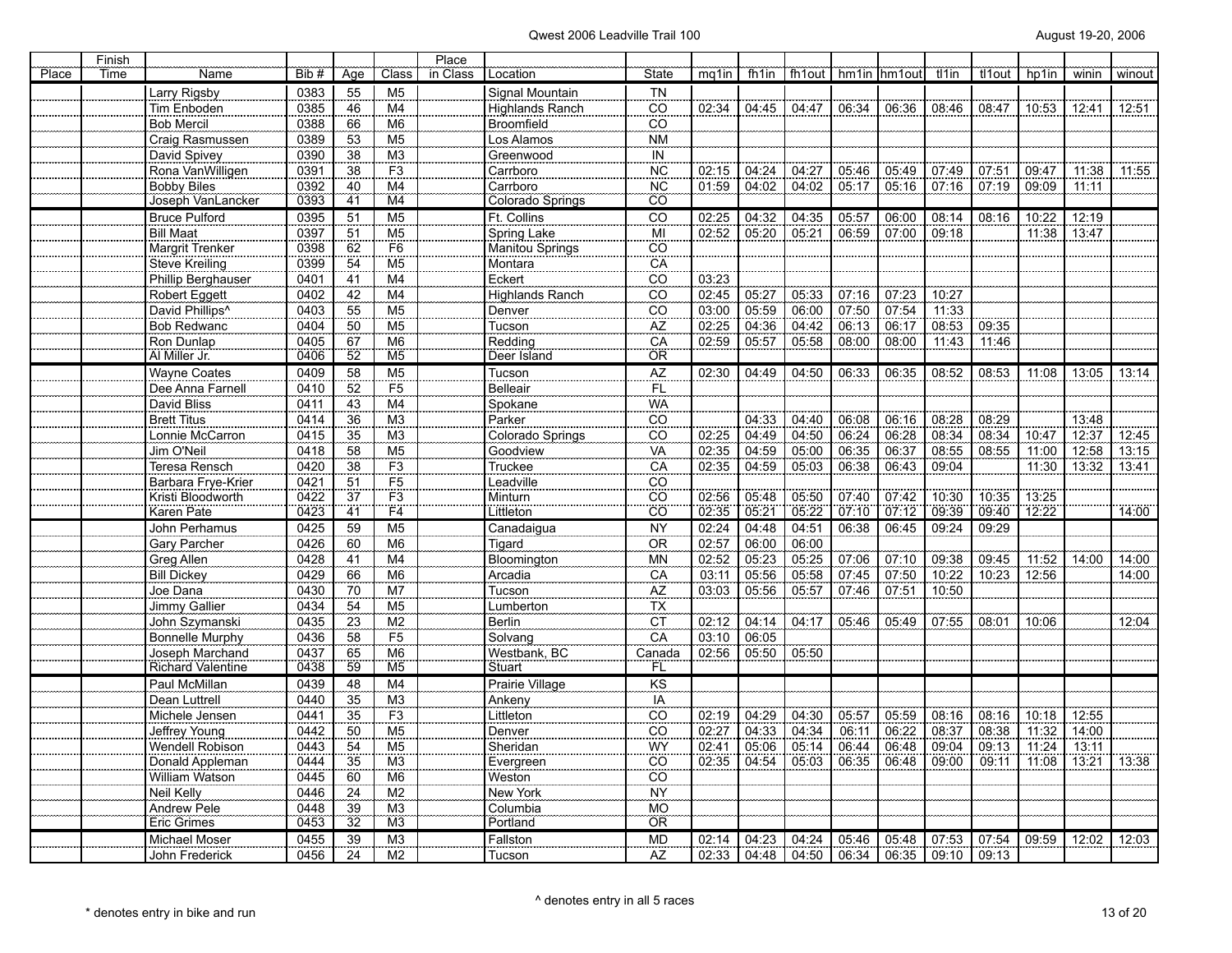|       | Finish |                             |       |                 |                 | Place    |                        |                            |       |       |       |       |                         |       |        |       |                          |        |
|-------|--------|-----------------------------|-------|-----------------|-----------------|----------|------------------------|----------------------------|-------|-------|-------|-------|-------------------------|-------|--------|-------|--------------------------|--------|
| Place | Time   | Name                        | Bib # | Age             | Class           | in Class | Location               | <b>State</b>               | mg1in | fh1in |       |       | fh1out   hm1in   hm1out | tl1in | tl1out | hp1in | winin                    | winout |
|       |        | Larry Rigsby                | 0383  | 55              | M <sub>5</sub>  |          | Signal Mountain        | <b>TN</b>                  |       |       |       |       |                         |       |        |       |                          |        |
|       |        | Tim Enboden                 | 0385  | 46              | M <sub>4</sub>  |          | <b>Highlands Ranch</b> | $\overline{CO}$            | 02:34 | 04:45 | 04:47 | 06:34 | 06:36                   | 08:46 | 08:47  | 10:53 | 12:41                    | 12:51  |
|       |        | <b>Bob Mercil</b>           | 0388  | 66              | M <sub>6</sub>  |          | Broomfield             | $\overline{C}\overline{O}$ |       |       |       |       |                         |       |        |       |                          |        |
|       |        | Craig Rasmussen             | 0389  | 53              | M <sub>5</sub>  |          | Los Alamos             | <b>NM</b>                  |       |       |       |       |                         |       |        |       |                          |        |
|       |        | David Spivey                | 0390  | 38              | M <sub>3</sub>  |          | Greenwood              | IN                         |       |       |       |       |                         |       |        |       |                          |        |
|       |        | Rona VanWilligen            | 0391  | 38              | F3              |          | Carrboro               | $\overline{\text{NC}}$     | 02:15 | 04:24 | 04:27 | 05:46 | 05:49                   | 07:49 | 07:51  | 09:47 | 11:38                    | 11:55  |
|       |        | <b>Bobby Biles</b>          | 0392  | 40              | M <sub>4</sub>  |          | Carrboro               | <b>NC</b>                  | 01:59 | 04:02 | 04:02 | 05:17 | 05:16                   | 07:16 | 07:19  | 09:09 | 11:11                    |        |
|       |        | Joseph VanLancker           | 0393  | 41              | M <sub>4</sub>  |          | Colorado Springs       | ĈÔ                         |       |       |       |       |                         |       |        |       |                          |        |
|       |        | <b>Bruce Pulford</b>        | 0395  | 51              | M <sub>5</sub>  |          | Ft. Collins            | CO                         | 02:25 | 04:32 | 04:35 | 05:57 | 06:00                   | 08:14 | 08:16  | 10:22 | 12:19                    |        |
|       |        | <b>Bill Maat</b>            | 0397  | 51              | M <sub>5</sub>  |          | Spring Lake            | MI                         | 02:52 | 05:20 | 05:21 | 06:59 | 07:00                   | 09:18 |        | 11:38 | 13:47                    |        |
|       |        | Margrit Trenker             | 0398  | 62              | F <sub>6</sub>  |          | Manitou Springs        | CO.                        |       |       |       |       |                         |       |        |       |                          |        |
|       |        | Steve Kreiling              | 0399  | 54              | M <sub>5</sub>  |          | Montara                | CA                         |       |       |       |       |                         |       |        |       |                          |        |
|       |        | Phillip Berghauser          | 0401  | 41              | M <sub>4</sub>  |          | Eckert                 | $\overline{c}\overline{o}$ | 03:23 |       |       |       |                         |       |        |       |                          |        |
|       |        | Robert Eggett               | 0402  | 42              | M <sub>4</sub>  |          | Highlands Ranch        | $\overline{co}$            | 02:45 | 05:27 | 05:33 | 07:16 | 07:23                   | 10:27 |        |       |                          |        |
|       |        | David Phillips <sup>^</sup> | 0403  | 55              | M <sub>5</sub>  |          | Denver                 | CÖ                         | 03:00 | 05:59 | 06:00 | 07:50 | 07:54                   | 11:33 |        |       |                          |        |
|       |        | <b>Bob Redwanc</b>          | 0404  | 50              | M <sub>5</sub>  |          | Tucson                 | AZ                         | 02:25 | 04:36 | 04:42 | 06:13 | 06:17                   | 08:53 | 09:35  |       |                          |        |
|       |        | Ron Dunlap                  | 0405  | 67              | M <sub>6</sub>  |          | Redding                | CA                         | 02:59 | 05:57 | 05:58 | 08:00 | 08:00                   | 11:43 | 11:46  |       |                          |        |
|       |        | Al Miller Jr.               | 0406  | 52              | $\overline{M5}$ |          | Deer Island            | ÖR                         |       |       |       |       |                         |       |        |       |                          |        |
|       |        | <b>Wayne Coates</b>         | 0409  | 58              | M <sub>5</sub>  |          | Tucson                 | AZ                         | 02:30 | 04:49 | 04:50 | 06:33 | 06:35                   | 08:52 | 08:53  | 11:08 | 13:05                    | 13:14  |
|       |        | Dee Anna Farnell            | 0410  | 52              | F5              |          | <b>Belleair</b>        | <b>FL</b>                  |       |       |       |       |                         |       |        |       |                          |        |
|       |        | David Bliss                 | 0411  | 43              | M4              |          | <br>Spokane            | <b>WA</b>                  |       |       |       |       |                         |       |        |       |                          |        |
|       |        | <b>Brett Titus</b>          | 0414  | 36              | M <sub>3</sub>  |          | Parker                 | CO                         |       | 04:33 | 04:40 | 06:08 | 06:16                   | 08:28 | 08:29  |       | 13:48                    |        |
|       |        | Lonnie McCarron             | 0415  | 35              | M <sub>3</sub>  |          | Colorado Springs       | CO                         | 02:25 | 04:49 | 04:50 | 06:24 | 06:28                   | 08:34 | 08:34  | 10:47 | 12:37                    | 12:45  |
|       |        | Jim O'Neil                  | 0418  | 58              | M <sub>5</sub>  |          | Goodview               | VÄ                         | 02:35 | 04:59 | 05:00 | 06:35 | 06:37                   | 08:55 | 08:55  | 11:00 | 12:58                    | 13:15  |
|       |        | Teresa Rensch               | 0420  | 38              | F <sub>3</sub>  |          | Truckee                | CA                         | 02:35 | 04:59 | 05:03 | 06:38 | 06:43                   | 09:04 |        | 11:30 | 13:32                    | 13:41  |
|       |        | Barbara Frye-Krier          | 0421  | 51              | F <sub>5</sub>  |          | Leadville              | CO                         |       |       |       |       |                         |       |        |       |                          |        |
|       |        | Kristi Bloodworth           | 0422  | 37              | F <sub>3</sub>  |          | Minturn                | $\overline{CO}$            | 02:56 | 05:48 | 05:50 | 07:40 | 07:42                   | 10:30 | 10:35  | 13:25 |                          |        |
|       |        | Karen Pate                  | 0423  | 41              | F4              |          | Littleton              | CÖ                         | 02:35 | 05:21 | 05:22 | 07:10 | 07:12                   | 09:39 | 09:40  | 12:22 |                          | 14:00  |
|       |        | John Perhamus               | 0425  | 59              | M <sub>5</sub>  |          | Canadaigua             | <b>NY</b>                  | 02:24 | 04:48 | 04:51 | 06:38 | 06:45                   | 09:24 | 09:29  |       |                          |        |
|       |        | Gary Parcher                | 0426  | 60              | M <sub>6</sub>  |          | Tigard                 | 0R                         | 02:57 | 06:00 | 06:00 |       |                         |       |        |       |                          |        |
|       |        | Greg Allen                  | 0428  | 41              | M <sub>4</sub>  |          | Bloomington            | <b>MN</b>                  | 02:52 | 05:23 | 05:25 | 07:06 | 07:10                   | 09:38 | 09:45  | 11:52 | 14:00                    | 14:00  |
|       |        | <b>Bill Dickey</b>          | 0429  | 66              | M <sub>6</sub>  |          | Arcadia                | CA                         | 03:11 | 05:56 | 05:58 | 07:45 | 07:50                   | 10:22 | 10:23  | 12:56 |                          | 14:00  |
|       |        | Joe Dana                    | 0430  | 70              | M <sub>7</sub>  |          | Tucson                 | AZ                         | 03:03 | 05:56 | 05:57 | 07:46 | 07:51                   | 10:50 |        |       |                          |        |
|       |        | Jimmy Gallier               | 0434  | 54              | M <sub>5</sub>  |          | Lumberton              | TΧ                         |       |       |       |       |                         |       |        |       |                          |        |
|       |        | John Szymanski              | 0435  | 23              | M <sub>2</sub>  |          | Berlin                 | CT                         | 02:12 | 04:14 | 04:17 | 05:46 | 05:49                   | 07:55 | 08:01  | 10:06 |                          | 12:04  |
|       |        | Bonnelle Murphy             | 0436  | 58              | F5              |          | Solvang                | CA                         | 03:10 | 06:05 |       |       |                         |       |        |       |                          |        |
|       |        | Joseph Marchand             | 0437  | 65              | M <sub>6</sub>  |          | Westbank, BC           | Canada                     | 02:56 | 05:50 | 05:50 |       |                         |       |        |       |                          |        |
|       |        | <b>Richard Valentine</b>    | 0438  | 59              | M <sub>5</sub>  |          | Stuart                 | FL                         |       |       |       |       |                         |       |        |       |                          |        |
|       |        | Paul McMillan               | 0439  | 48              | M <sub>4</sub>  |          | Prairie Village        | KS                         |       |       |       |       |                         |       |        |       |                          |        |
|       |        | Dean Luttrell               | 0440  | 35              | M <sub>3</sub>  |          | Ankeny                 | IA                         |       |       |       |       |                         |       |        |       |                          |        |
|       |        | Michele Jensen              | 0441  | 35              | F <sub>3</sub>  |          | Littleton              | CO                         | 02:19 | 04:29 | 04:30 | 05:57 | 05:59                   | 08:16 | 08:16  | 10:18 | 12:55                    |        |
|       |        | Jeffrey Young               | 0442  | 50              | M <sub>5</sub>  |          | Denver                 | CÖ                         | 02:27 | 04:33 | 04:34 | 06:11 | 06:22                   | 08:37 | 08:38  | 11:32 | 14:00                    |        |
|       |        | Wendell Robison             | 0443  | 54              | M5              |          | Sheridan               | WY                         | 02:41 | 05:06 | 05:14 | 06:44 | 06:48                   | 09:04 | 09:13  | 11:24 | $\frac{11111111}{13:11}$ |        |
|       |        | Donald Appleman             | 0444  | 35              | M <sub>3</sub>  |          | Evergreen              | $\overline{co}$            | 02:35 | 04:54 | 05:03 | 06:35 | 06:48                   | 09:00 | 09:11  | 11:08 | 13:21                    | 13:38  |
|       |        | William Watson              | 0445  | 60              | M <sub>6</sub>  |          | Weston                 | CO                         |       |       |       |       |                         |       |        |       |                          |        |
|       |        | Neil Kelly                  | 0446  | 24              | M <sub>2</sub>  |          | New York               | <b>NY</b>                  |       |       |       |       |                         |       |        |       |                          |        |
|       |        | Andrew Pele                 | 0448  | 39              | M <sub>3</sub>  |          | Columbia               | <b>MO</b>                  |       |       |       |       |                         |       |        |       |                          |        |
|       |        | <b>Eric Grimes</b>          | 0453  | $\overline{32}$ | M3              |          | Portland               | ÖR                         |       |       |       |       |                         |       |        |       |                          |        |
|       |        | Michael Moser               | 0455  | 39              | M <sub>3</sub>  |          | Fallston               | <b>MD</b>                  | 02:14 | 04:23 | 04:24 | 05:46 | 05:48                   | 07:53 | 07:54  | 09:59 | 12:02                    | 12:03  |
|       |        | John Frederick              | 0456  | 24              | M <sub>2</sub>  |          | <b>Tucson</b>          | AZ                         | 02:33 | 04:48 | 04:50 | 06:34 | 06:35                   | 09:10 | 09:13  |       |                          |        |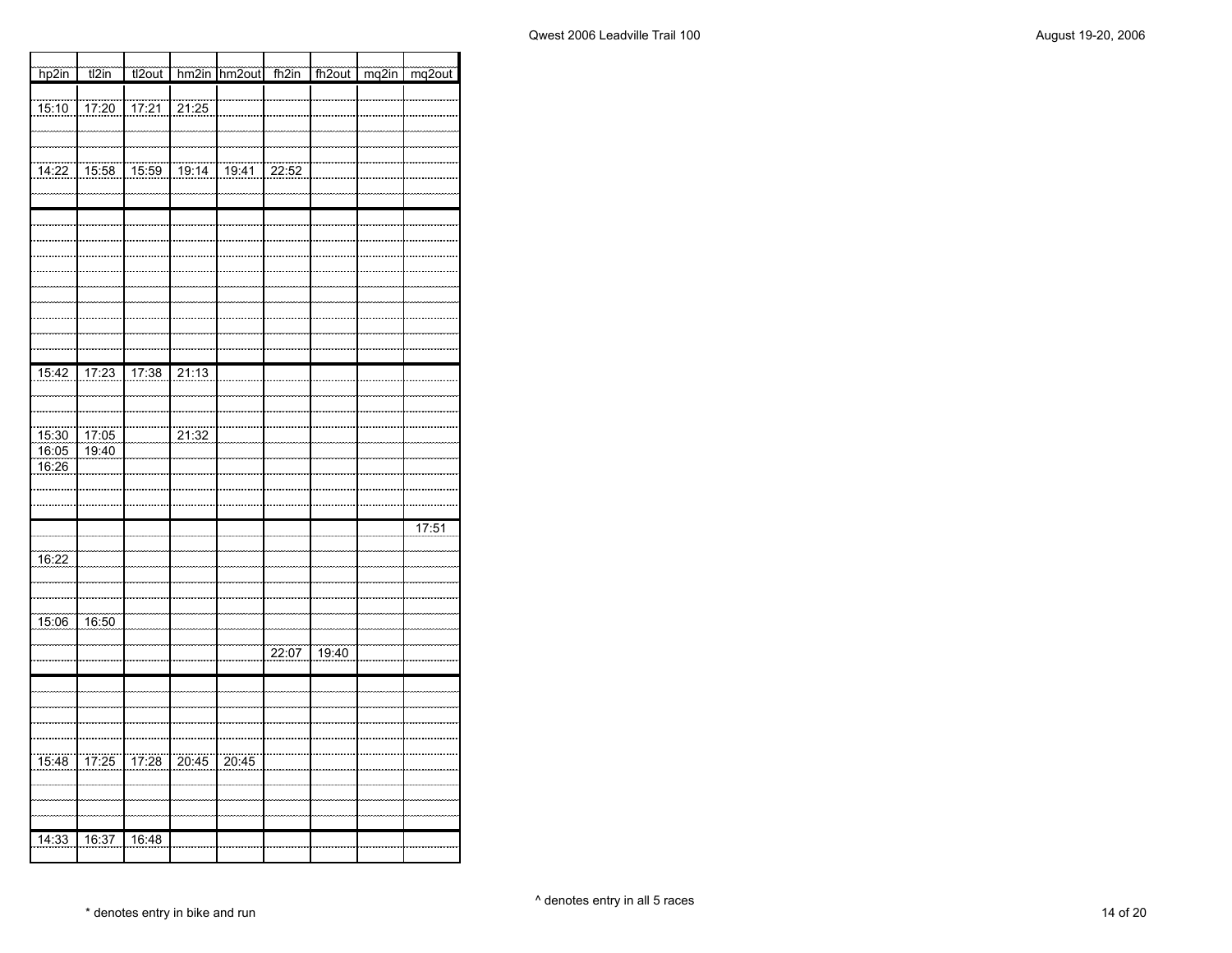| hp2in                   | t2in                  | tl2out            |                   | hm2in hm2out fh2in |       | fh2out mq2in          | $mg2$ out |
|-------------------------|-----------------------|-------------------|-------------------|--------------------|-------|-----------------------|-----------|
|                         |                       |                   |                   |                    |       |                       |           |
| $\frac{15:10}{ }$       | 17:20                 | 17:21             | $\frac{1}{21:25}$ |                    |       |                       |           |
|                         |                       |                   |                   |                    |       |                       |           |
| $\frac{1}{14:22}$       | $\frac{15:58}{15:58}$ | $\frac{15.59}{5}$ | 19:14             | 19:41              | 22:52 |                       |           |
|                         |                       |                   |                   |                    |       |                       |           |
|                         |                       |                   |                   |                    |       |                       |           |
|                         |                       |                   |                   |                    |       |                       |           |
|                         |                       |                   |                   |                    |       |                       |           |
|                         |                       |                   |                   |                    |       |                       |           |
|                         |                       |                   |                   |                    |       |                       |           |
|                         |                       |                   |                   |                    |       |                       |           |
|                         |                       |                   |                   |                    |       |                       |           |
| 15:42                   | 17:23                 | 17:38             | 21:13             |                    |       |                       |           |
|                         |                       |                   |                   |                    |       |                       |           |
|                         |                       |                   |                   |                    |       |                       |           |
|                         |                       |                   | 21:32             |                    |       |                       |           |
| 15:30<br>16:05<br>16:26 | $\frac{17:05}{19:40}$ |                   |                   |                    |       |                       |           |
|                         |                       |                   |                   |                    |       |                       |           |
|                         |                       |                   |                   |                    |       |                       |           |
|                         |                       |                   |                   |                    |       |                       | 17:51     |
|                         |                       |                   |                   |                    |       |                       |           |
| $\frac{16:22}{16:22}$   |                       |                   |                   |                    |       |                       |           |
|                         |                       |                   |                   |                    |       |                       |           |
| 15:06                   | 16:50                 |                   |                   |                    |       |                       |           |
|                         |                       |                   |                   |                    |       |                       |           |
|                         |                       |                   |                   |                    | 22:07 | $\frac{19:40}{19:40}$ |           |
|                         |                       |                   |                   |                    |       |                       |           |
|                         |                       |                   |                   |                    |       |                       |           |
|                         |                       |                   |                   |                    |       |                       |           |
|                         |                       |                   |                   |                    |       |                       |           |
| $\frac{15:48}{15:48}$   |                       | 17:25 17:28 20:45 |                   | 20:45              |       |                       |           |
|                         |                       |                   |                   |                    |       |                       |           |
|                         |                       |                   |                   |                    |       |                       |           |
| 14:33                   | 16:37                 | 16:48             |                   |                    |       |                       |           |
|                         |                       |                   |                   |                    |       |                       |           |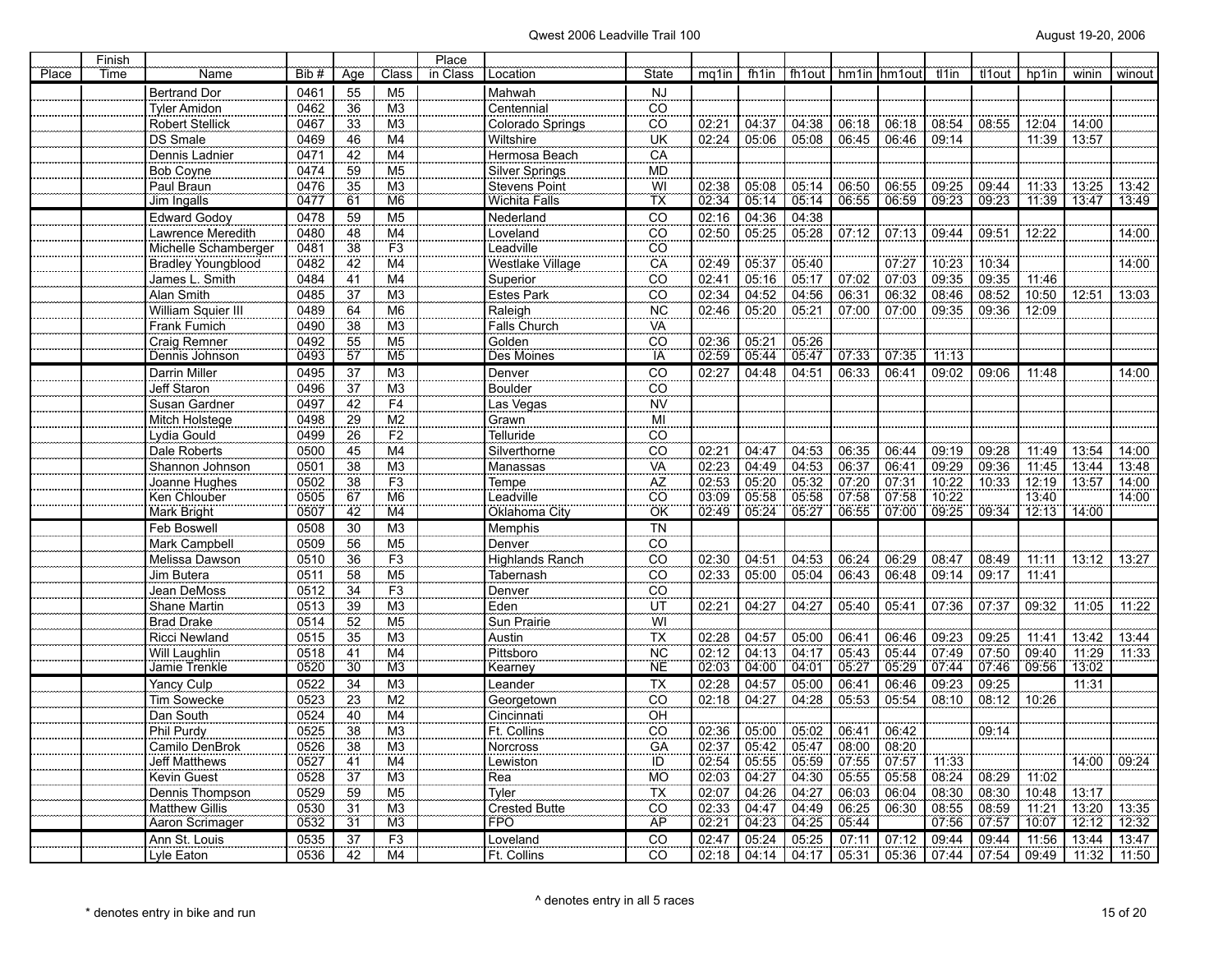| in Class<br>Place<br>Bib#<br>Class<br>Location<br>mg1in<br>fh1in<br>fh1out<br>Time<br>Name<br>Age<br>State<br>hm1in  <br>hm1outl<br>tl1in<br>tl1out<br>55<br><b>NJ</b><br><b>Bertrand Dor</b><br>0461<br>M <sub>5</sub><br>Mahwah<br>Centennial<br><b>Tyler Amidon</b><br>0462<br>CO<br>36<br>M <sub>3</sub> | hp1in<br>winin<br>12:04<br>14:00 | winout |
|--------------------------------------------------------------------------------------------------------------------------------------------------------------------------------------------------------------------------------------------------------------------------------------------------------------|----------------------------------|--------|
|                                                                                                                                                                                                                                                                                                              |                                  |        |
|                                                                                                                                                                                                                                                                                                              |                                  |        |
| <b>Robert Stellick</b><br>M <sub>3</sub><br>Colorado Springs<br>02:21<br>04:37<br>08:54<br>08:55<br>0467<br>33<br>CO<br>04:38<br>06:18<br>06:18                                                                                                                                                              |                                  |        |
| UK<br>02:24<br>05:06<br>06:45<br>06:46<br>09:14<br>DS Smale<br>0469<br>M <sub>4</sub><br>Wiltshire<br>05:08<br>46                                                                                                                                                                                            | 11:39<br>13:57                   |        |
| Hermosa Beach<br>Dennis Ladnier<br>0471<br>42<br>M <sub>4</sub><br>CA                                                                                                                                                                                                                                        |                                  |        |
| Silver Springs<br>Bob Coyne<br>0474<br>59<br>M <sub>5</sub><br><b>MD</b>                                                                                                                                                                                                                                     |                                  |        |
| M3<br>$\overline{W}$<br>Paul Braun<br>0476<br><b>Stevens Point</b><br>02:38<br>05:08<br>06:55<br>09:25<br>09:44<br>35<br>05:14<br>06:50                                                                                                                                                                      | 11:33<br>13:25                   | 13:42  |
| 02:34<br>09:23<br>09:23<br>TX<br>05:14<br>05:14<br>06:55<br>06:59<br>M <sub>6</sub><br>Wichita Falls<br>Jim Ingalls<br>0477<br>61                                                                                                                                                                            | 11:39<br>13:47                   | 13:49  |
| <b>Edward Godoy</b><br>0478<br>59<br>M <sub>5</sub><br>Nederland<br>CO<br>02:16<br>04:36<br>04:38                                                                                                                                                                                                            |                                  |        |
| 05:25<br>Lawrence Meredith<br>0480<br>48<br>M4<br>Loveland<br>CO<br>02:50<br>05:28<br>07:13<br>09:51<br>07:12<br>09:44                                                                                                                                                                                       | 12:22                            | 14:00  |
| Michelle Schamberger<br>0481<br>F <sub>3</sub><br>Leadville<br>38<br>CO                                                                                                                                                                                                                                      |                                  |        |
| 02:49<br>0482<br>M <sub>4</sub><br>Westlake Village<br>05:37<br>05:40<br>07:27<br>10:23<br>10:34<br><b>Bradley Youngblood</b><br>42<br>CA                                                                                                                                                                    |                                  | 14:00  |
| 05:16<br>07:03<br>09:35<br>James L. Smith<br>0484<br>Superior<br>02:41<br>05:17<br>07:02<br>09:35<br>41<br>M4<br>CO                                                                                                                                                                                          | 11:46                            |        |
| 02:34<br>Alan Smith<br>08:52<br>M <sub>3</sub><br><b>Estes Park</b><br>CO<br>04:52<br>04:56<br>06:31<br>06:32<br>08:46<br>0485<br>37                                                                                                                                                                         | 10:50<br>12:51                   | 13:03  |
| William Squier III<br>M6<br><b>NC</b><br>05:20<br>09:36<br>0489<br>64<br>Raleigh<br>02:46<br>05:21<br>07:00<br>07:00<br>09:35                                                                                                                                                                                | 12:09                            |        |
| M <sub>3</sub><br>Falls Church<br>VA<br>Frank Fumich<br>0490<br>38                                                                                                                                                                                                                                           |                                  |        |
| Golden<br>Craig Remner<br>0492<br>M <sub>5</sub><br>CO<br>05:2'<br>05:26<br>55<br>02:36                                                                                                                                                                                                                      |                                  |        |
| 02:59<br>ÏÄ<br>05.44<br>05:47<br>07.35<br>Dennis Johnson<br>0493<br>57<br>M <sub>5</sub><br>Des Moines<br>07:33<br>11:13                                                                                                                                                                                     |                                  |        |
| Darrin Miller<br>CO<br>0495<br>37<br>M3<br>Denver<br>02:27<br>04:48<br>04:51<br>06:33<br>06:41<br>09:02<br>09:06                                                                                                                                                                                             | 11:48                            | 14:00  |
| Boulder<br>Jeff Staron<br><b>CO</b><br>0496<br>37<br>M <sub>3</sub>                                                                                                                                                                                                                                          |                                  |        |
| Susan Gardner<br>F4<br><b>NV</b><br>0497<br>42<br>Las Vegas                                                                                                                                                                                                                                                  |                                  |        |
| 29<br>$\overline{M2}$<br>MI<br>Mitch Holstege<br>0498<br>Grawn                                                                                                                                                                                                                                               |                                  |        |
| F2<br>Lydia Gould<br>0499<br>26<br>Telluride<br>CO                                                                                                                                                                                                                                                           |                                  |        |
| Dale Roberts<br>0500<br>45<br>M4<br>Silverthorne<br>CO<br>02:21<br>04:47<br>06:35<br>06:44<br>09:19<br>09:28<br>04:53                                                                                                                                                                                        | 11:49<br>13:54                   | 14:00  |
| 02:23<br>09:29<br>VA<br>04:49<br>09:36<br>Shannon Johnson<br>M <sub>3</sub><br>Manassas<br>04:53<br>06:37<br>06:41<br>0501<br>38                                                                                                                                                                             | 11:45<br>13:44                   | 13:48  |
| 02:53<br>F3<br>Tempe<br>05:20<br>05:32<br>07:31<br>10:33<br>Joanne Hughes<br>07:20<br>10:22<br>0502<br>38<br>AZ                                                                                                                                                                                              | 12:19<br>13:57                   | 14:00  |
| cö<br>Leadville<br>07:58<br>Ken Chlouber<br>M <sub>6</sub><br>03:09<br>05:58<br>05:58<br>07:58<br>10:22<br>0505<br>67                                                                                                                                                                                        | 13:40                            | 14:00  |
| 09:34<br>Mark Bright<br>06:55<br>0507<br>42<br>M <sub>4</sub><br>Oklahoma City<br>ÖK<br>02:49<br>05:24<br>07:00<br>09:25<br>05:27                                                                                                                                                                            | 14:00<br>12:13                   |        |
| <b>TN</b><br>Feb Boswell<br>0508<br>30<br>M <sub>3</sub><br><b>Memphis</b>                                                                                                                                                                                                                                   |                                  |        |
| $\overline{c}\overline{o}$<br>M <sub>5</sub><br>Denver<br>Mark Campbell<br>0509<br>56                                                                                                                                                                                                                        |                                  |        |
| F <sub>3</sub><br>Melissa Dawson<br>0510<br>36<br><b>Highlands Ranch</b><br>CO<br>02:30<br>04:51<br>04:53<br>06:24<br>06:29<br>08:47<br>08:49                                                                                                                                                                | 11:11<br>13:12                   | 13:27  |
| 02:33<br>06:48<br>09:14<br>Jim Butera<br>0511<br>M <sub>5</sub><br>Tabernash<br>CO<br>05:00<br>05:04<br>06:43<br>09:17<br>58                                                                                                                                                                                 | 11:41                            |        |
| $\overline{F}3$<br>Denver<br>Jean DeMoss<br>0512<br>CO<br>34                                                                                                                                                                                                                                                 |                                  |        |
| Eden<br>02:21<br>Shane Martin<br>0513<br>39<br>M <sub>3</sub><br>UT<br>04:27<br>04:27<br>05:40<br>05:41<br>07:36<br>07:37                                                                                                                                                                                    | 09:32<br>11:05                   | 11:22  |
| <b>Brad Drake</b><br>M <sub>5</sub><br>0514<br>52<br>Sun Prairie<br>WI                                                                                                                                                                                                                                       |                                  |        |
| TX<br>02:28<br>Ricci Newland<br>M <sub>3</sub><br>06:46<br>09:23<br>09:25<br>0515<br>35<br>Austin<br>04:57<br>05:00<br>06:41                                                                                                                                                                                 | 13:42<br>11:41                   | 13:44  |
| Pittsboro<br>02:12<br>07:49<br>07:50<br>Will Laughlin<br>0518<br>M <sub>4</sub><br>$\overline{\text{NC}}$<br>04:13<br>04:17<br>05:43<br>05:44<br>41<br>04:00<br>M3<br><b>NE</b><br>02:03<br>04:01<br>05:29<br>07.44<br>07:46<br>0520<br>30<br>05:27<br>Jamie Trenkle<br>Kearney                              | 09:40<br>11:29<br>09:56<br>13:02 | 11:33  |
|                                                                                                                                                                                                                                                                                                              |                                  |        |
| Leander<br>Yancy Culp<br>0522<br>34<br>M <sub>3</sub><br>ТX<br>02:28<br>04:57<br>05:00<br>06:41<br>06:46<br>09:23<br>09:25<br>02:18<br>04:27<br>05:54<br>08:10<br>08:12                                                                                                                                      | 11:31                            |        |
| Tim Sowecke<br>M <sub>2</sub><br>CO<br>04:28<br>05:53<br>Georgetown<br>0523<br>23                                                                                                                                                                                                                            | 10:26                            |        |
| Dan South<br>0524<br>40<br>M <sub>4</sub><br>Cincinnati<br>OH<br>Ft. Collins<br>Phil Purdy<br>0525<br>M <sub>3</sub><br>02:36<br>05:00<br>05:02<br>06:41<br>06:42<br>09:14<br>38<br>CO                                                                                                                       |                                  |        |
| 02:37<br>05:47<br>08:20                                                                                                                                                                                                                                                                                      |                                  |        |
| Camilo DenBrok<br>0526<br>M <sub>3</sub><br>Norcross<br>GA<br>05:42<br>08:00<br>38<br>02:54<br>07:57<br>M <sub>4</sub><br>05:55<br>05:59<br>07:55<br><b>Jeff Matthews</b><br>0527<br>Lewiston                                                                                                                | 14:00                            | 09:24  |
| 41<br>ID<br>11:33<br><b>MO</b><br>37<br>M3<br>Rea<br>02:03<br>04:27<br>05:58<br>08:24<br>08:29<br>Kevin Guest<br>0528<br>04:30<br>05:55                                                                                                                                                                      | 11:02                            |        |
| Dennis Thompson<br>Tyler<br>04:26<br>08:30<br>08:30<br>0529<br>M <sub>5</sub><br>TX<br>02:07<br>04:27<br>06:03<br>06:04<br>59                                                                                                                                                                                | 10:48<br>13:17                   |        |
| <b>Matthew Gillis</b><br>06:30<br>08:59<br>0530<br>M <sub>3</sub><br><b>Crested Butte</b><br>CO<br>02:33<br>04:47<br>04:49<br>06:25<br>08:55<br>31                                                                                                                                                           | 11:21<br>13:20                   | 13:35  |
| 07:57<br><b>AP</b><br>04:23<br>FPÖ<br>02:21<br>04:25<br>Aaron Scrimager<br>0532<br>$\overline{31}$<br>05:44<br>07:56<br>M <sub>3</sub>                                                                                                                                                                       | 10.07<br>12:12                   | 12:32  |
| F <sub>3</sub><br>Loveland<br>05:24<br>05:25<br>07:11<br>07:12<br>09:44<br>09:44<br>Ann St. Louis<br>0535<br>37<br>CO<br>02:47                                                                                                                                                                               | 13:44<br>11:56                   | 13:47  |
| 0536<br>Ft. Collins<br>CO<br>04:14<br>05:36<br>07:44<br>07:54<br>Lyle Eaton<br>42<br>M4<br>02:18<br>04:17<br>05:31                                                                                                                                                                                           | 09:49<br>11:32                   | 11:50  |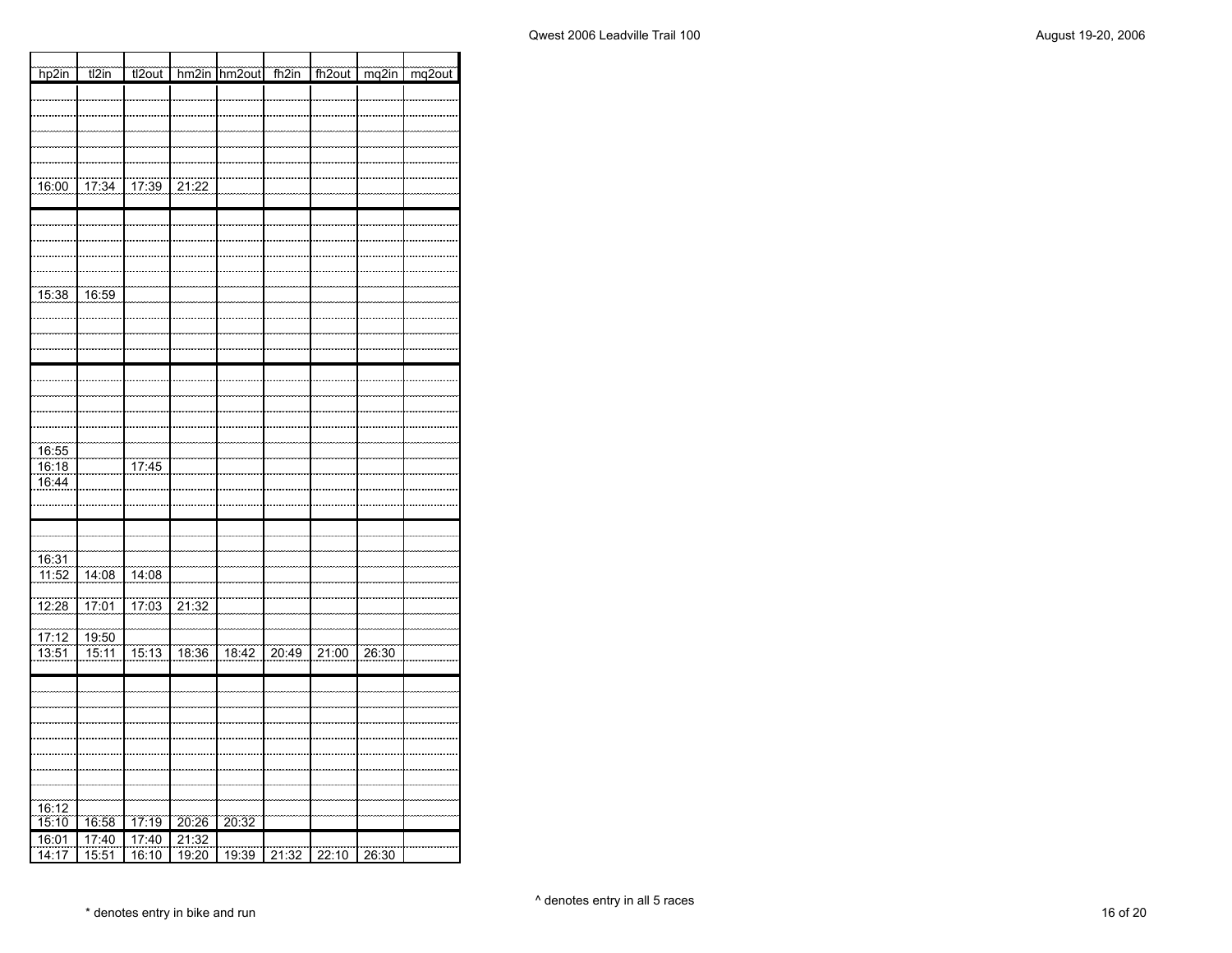┓

| hp2in                 | t2in                  | tl2out                |                | hm2in hm2out fh2in |       | fh2out mq2in |       | mq2out |
|-----------------------|-----------------------|-----------------------|----------------|--------------------|-------|--------------|-------|--------|
|                       |                       |                       |                |                    |       |              |       |        |
|                       |                       |                       |                |                    |       |              |       |        |
|                       |                       |                       |                |                    |       |              |       |        |
|                       |                       |                       |                |                    |       |              |       |        |
|                       |                       |                       |                |                    |       |              |       |        |
| 16:00                 |                       | 17:34 17:39 21:22     |                |                    |       |              |       |        |
|                       |                       |                       |                |                    |       |              |       |        |
|                       |                       |                       |                |                    |       |              |       |        |
|                       |                       |                       |                |                    |       |              |       |        |
|                       |                       |                       |                |                    |       |              |       |        |
|                       |                       |                       |                |                    |       |              |       |        |
| 15:38                 | $\frac{16:59}{16:59}$ |                       |                |                    |       |              |       |        |
|                       |                       |                       |                |                    |       |              |       |        |
|                       |                       |                       |                |                    |       |              |       |        |
|                       |                       |                       |                |                    |       |              |       |        |
|                       |                       |                       |                |                    |       |              |       |        |
|                       |                       |                       |                |                    |       |              |       |        |
|                       |                       |                       |                |                    |       |              |       |        |
|                       |                       |                       |                |                    |       |              |       |        |
|                       |                       |                       |                |                    |       |              |       |        |
| $\frac{16:55}{16:55}$ |                       |                       |                |                    |       |              |       |        |
| 16:18                 |                       | 17:45                 |                |                    |       |              |       |        |
| 16:44                 |                       |                       |                |                    |       |              |       |        |
|                       |                       |                       |                |                    |       |              |       |        |
|                       |                       |                       |                |                    |       |              |       |        |
|                       |                       |                       |                |                    |       |              |       |        |
|                       |                       |                       |                |                    |       |              |       |        |
| 16:31<br>11:52        | $\frac{14:08}{14:08}$ | $\frac{14:08}{14:08}$ |                |                    |       |              |       |        |
|                       |                       |                       |                |                    |       |              |       |        |
| 12:28                 | 17:01                 | 17:03                 | 21:32          |                    |       |              |       |        |
|                       |                       |                       |                |                    |       |              |       |        |
| 77:12                 | 19:50                 |                       |                |                    |       |              |       |        |
| 13:51                 | 15:11                 | $\frac{1}{15:13}$     | 18:36          | 18:42              | 20:49 | 21:00        | 26:30 |        |
|                       |                       |                       |                |                    |       |              |       |        |
|                       |                       |                       |                |                    |       |              |       |        |
|                       |                       |                       |                |                    |       |              |       |        |
|                       |                       |                       |                |                    |       |              |       |        |
|                       |                       |                       |                |                    |       |              |       |        |
|                       |                       |                       |                |                    |       |              |       |        |
|                       |                       |                       |                |                    |       |              |       |        |
|                       |                       |                       |                |                    |       |              |       |        |
| $\frac{16:12}{15:10}$ |                       |                       |                |                    |       |              |       |        |
| 16:01                 | 16:58<br>17:40        | 17:19<br>17:40        | 20:26<br>21:32 | 20:32              |       |              |       |        |
| 14:17                 | 15:51                 | 16:10                 | 19:20          | 19:39              | 21:32 | 22:10        | 26:30 |        |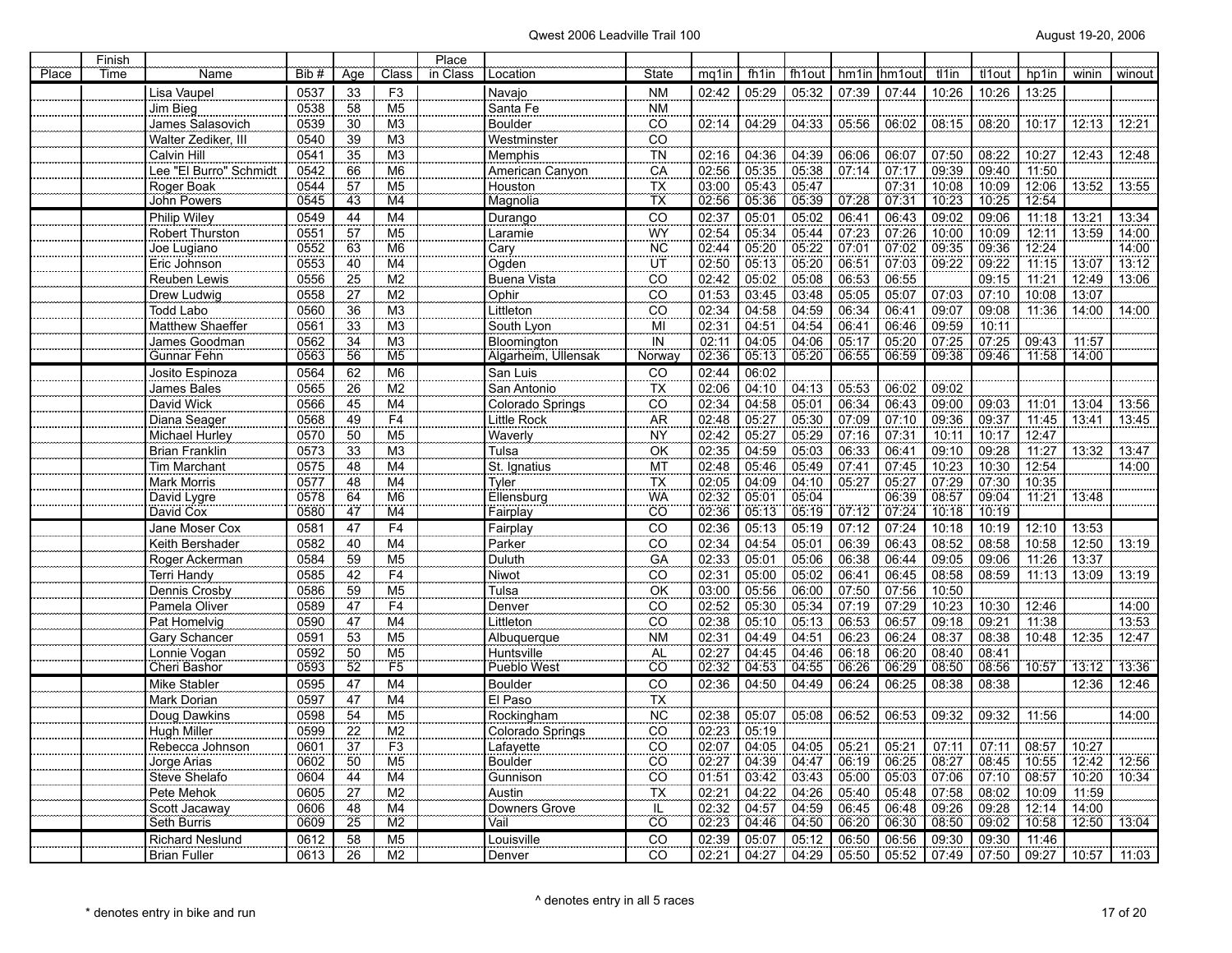|       | Finish |                          |              |                 |                        | Place    |                        |                            |                |                |                |       |                |                |                |       |       |        |
|-------|--------|--------------------------|--------------|-----------------|------------------------|----------|------------------------|----------------------------|----------------|----------------|----------------|-------|----------------|----------------|----------------|-------|-------|--------|
| Place | Time   | Name                     | Bib #        | Aae             | Class                  | in Class | Location               | <b>State</b>               | mq1in          | fh1in          | fh1out         | hm1in | hm1out         | tl1in          | tl1out         | hp1in | winin | winout |
|       |        | Lisa Vaupel              | 0537         | 33              | F <sub>3</sub>         |          | Navajo                 | <b>NM</b>                  | 02:42          | 05:29          | 05:32          | 07:39 | 07:44          | 10:26          | 10:26          | 13:25 |       |        |
|       |        | Jim Bieg                 | 0538         | 58              | M <sub>5</sub>         |          | Santa Fe               | <b>NM</b>                  |                |                |                |       |                |                |                |       |       |        |
|       |        | James Salasovich         | 0539         | 30              | M <sub>3</sub>         |          | <b>Boulder</b>         | <b>CO</b>                  | 02:14          | 04:29          | 04:33          | 05:56 | 06:02          | 08:15          | 08:20          | 10:17 | 12:13 | 12:21  |
|       |        | Walter Zediker, III      | 0540         | 39              | M <sub>3</sub>         |          | Westminster            | CO                         |                |                |                |       |                |                |                |       |       |        |
|       |        | Calvin Hill              | 0541         | 35              | M <sub>3</sub>         |          | Memphis                | TN                         | 02:16          | 04:36          | 04:39          | 06:06 | 06:07          | 07:50          | 08:22          | 10:27 | 12:43 | 12:48  |
|       |        | Lee "El Burro" Schmidt   | 0542         | 66              | $\overline{\text{M6}}$ |          | American Canyon        | CA                         | 02:56          | 05:35          | 05:38          | 07:14 | 07:17          | 09:39          | 09:40          | 11:50 |       |        |
|       |        | Roger Boak               | 0544         | 57              | M <sub>5</sub>         |          | Houston                | $\overline{\mathsf{TX}}$   | 03:00          | 05:43          | 05:47          |       | 07:31          | 10:08          | 10:09          | 12:06 | 13:52 | 13:55  |
|       |        | John Powers              | 0545         | 43              | M <sub>4</sub>         |          | Magnolia               | TX                         | 02:56          | 05:36          | 05:39          | 07:28 | 07:31          | 10:23          | 10:25          | 12:54 |       |        |
|       |        | Philip Wiley             | 0549         | 44              | M <sub>4</sub>         |          | Durango                | CO                         | 02:37          | 05:01          | 05:02          | 06:41 | 06:43          | 09:02          | 09:06          | 11:18 | 13:21 | 13:34  |
|       |        | Robert Thurston          | 0551         | $\overline{57}$ | M <sub>5</sub>         |          | Laramie                | <b>WY</b>                  | 02:54          | 05:34          | 05:44          | 07:23 | 07:26          | 10:00          | 10:09          | 12:11 | 13:59 | 14:00  |
|       |        | Joe Lugiano              | 0552         | 63              | M <sub>6</sub>         |          | Cary                   | <b>NC</b>                  | 02:44          | 05:20          | 05:22          | 07:01 | 07:02          | 09:35          | 09:36          | 12:24 |       | 14:00  |
|       |        | Eric Johnson             | 0553         | 40              | M4                     |          | Ogden                  | UT                         | 02:50          | 05:13          | 05:20          | 06:51 | 07:03          | 09:22          | 09:22          | 11:15 | 13:07 | 13:12  |
|       |        | Reuben Lewis             | 0556         | 25              | M <sub>2</sub>         |          | Buena Vista            | CO                         | 02:42          | 05:02          | 05:08          | 06:53 | 06:55          |                | 09:15          | 11:21 | 12:49 | 13:06  |
|       |        | Drew Ludwig              | 0558         | 27              | M2                     |          | Ophir                  | CO                         | 01:53          | 03:45          | 03:48          | 05:05 | 05:07          | 07:03          | 07:10          | 10:08 | 13:07 |        |
|       |        | <b>Todd Labo</b>         | 0560         | 36              | M <sub>3</sub>         |          | Littleton              | CO                         | 02:34          | 04:58          | 04:59          | 06:34 | 06:41          | 09:07          | 09:08          | 11:36 | 14:00 | 14:00  |
|       |        | Matthew Shaeffer         | 0561         | 33              | M <sub>3</sub>         |          | South Lyon             | MI                         | 02:31          | 04:51          | 04:54          | 06:41 | 06:46          | 09:59          | 10:11          |       |       |        |
|       |        | James Goodman            | 0562         | 34              | M <sub>3</sub>         |          | Bloomington            | IN                         | 02:11          | 04:05          | 04:06          | 05:17 | 05:20          | 07:25          | 07:25          | 09:43 | 11:57 |        |
|       |        | Gunnar Fehn              | 0563         | 56              | M <sub>5</sub>         |          | Algarheim, Ullensak    | Norway                     | 02:36          | 05:13          | 05:20          | 06:55 | 06:59          | 09:38          | 09:46          | 11:58 | 14:00 |        |
|       |        | Josito Espinoza          | 0564         | 62              | M <sub>6</sub>         |          | San Luis               | CO                         | 02:44          | 06:02          |                |       |                |                |                |       |       |        |
|       |        | James Bales              | 0565         | 26              | M <sub>2</sub>         |          | San Antonio            | ТX                         | 02:06          | 04:10          | 04:13          | 05:53 | 06:02          | 09:02          |                |       |       |        |
|       |        | David Wick               | 0566         | 45              | $\overline{M4}$        |          | Colorado Springs       | $\overline{CO}$            | 02:34          | 04:58          | 05:01          | 06:34 | 06:43          | 09:00          | 09:03          | 11:01 | 13:04 | 13:56  |
|       |        | Diana Seager             | 0568         | 49              | F <sub>4</sub>         |          | <b>Little Rock</b>     | AR                         | 02:48          | 05:27          | 05:30          | 07:09 | 07:10          | 09:36          | 09:37          | 11:45 | 13:41 | 13:45  |
|       |        | Michael Hurley           | 0570         | 50              | M <sub>5</sub>         |          | Waverly                | <b>NY</b>                  | 02:42          | 05:27          | 05:29          | 07:16 | 07:31          | 10:11          | 10:17          | 12:47 |       |        |
|       |        | <b>Brian Franklin</b>    | 0573         | 33              | M <sub>3</sub>         |          | Tulsa                  | OK<br>MT                   | 02:35<br>02:48 | 04:59          | 05:03          | 06:33 | 06:41          | 09:10          | 09:28          | 11:27 | 13:32 | 13:47  |
|       |        | Tim Marchant             | 0575         | 48              | M <sub>4</sub>         |          | St. Ignatius           |                            |                | 05:46          | 05:49          | 07:41 | 07:45          | 10:23          | 10:30          | 12:54 |       | 14:00  |
|       |        | Mark Morris              | 0577         | 48              | M <sub>4</sub>         |          | Tvler                  | ТX                         | 02:05<br>02:32 | 04:09          | 04:10          | 05:27 | 05:27          | 07:29          | 07:30<br>09:04 | 10:35 |       |        |
|       |        | David Lygre<br>David Cox | 0578<br>0580 | 64<br>47        | M <sub>6</sub><br>M4   |          | Ellensburg<br>Fairplay | <b>WA</b><br>CÖ            | 02:36          | 05:01<br>05:13 | 05:04<br>05:19 | 07:12 | 06:39<br>07:24 | 08:57<br>70:18 | 10:19          | 11:21 | 13:48 |        |
|       |        | Jane Moser Cox           | 0581         | 47              | F <sub>4</sub>         |          |                        | CO                         | 02:36          | 05:13          | 05:19          | 07:12 | 07:24          | 10:18          | 10:19          | 12:10 | 13:53 |        |
|       |        | Keith Bershader          | 0582         | 40              | M <sub>4</sub>         |          | Fairplay<br>Parker     | $\overline{CO}$            | 02:34          | 04:54          | 05:01          | 06:39 | 06:43          | 08:52          | 08:58          | 10:58 | 12:50 | 13:19  |
|       |        | Roger Ackerman           | 0584         | 59              | M <sub>5</sub>         |          | Duluth                 | GA                         | 02:33          | 05:01          | 05:06          | 06:38 | 06:44          | 09:05          | 09:06          | 11:26 | 13:37 |        |
|       |        | Terri Handy              | 0585         | 42              | F <sub>4</sub>         |          | Niwot                  | CO                         | 02:31          | 05:00          | 05:02          | 06:41 | 06:45          | 08:58          | 08:59          | 11:13 | 13:09 | 13:19  |
|       |        | Dennis Crosby            | 0586         | 59              | M <sub>5</sub>         |          | <br>Tulsa              | OK                         | 03:00          | 05:56          | 06:00          | 07:50 | 07:56          | 10:50          |                |       |       |        |
|       |        | Pamela Oliver            | 0589         | 47              | F <sub>4</sub>         |          | Denver                 | CO                         | 02:52          | 05:30          | 05:34          | 07:19 | 07:29          | 10:23          | 10:30          | 12:46 |       | 14:00  |
|       |        | Pat Homelvig             | 0590         | 47              | M <sub>4</sub>         |          | Littleton              | CO                         | 02:38          | 05:10          | 05:13          | 06:53 | 06:57          | 09:18          | 09:21          | 11:38 |       | 13:53  |
|       |        | Gary Schancer            | 0591         | 53              | $\overline{M5}$        |          | Albuquerque            | <b>NM</b>                  | 02:31          | 04:49          | 04:51          | 06:23 | 06:24          | 08:37          | 08:38          | 10:48 | 12:35 | 12:47  |
|       |        | Lonnie Vogan             | 0592         | 50              | M <sub>5</sub>         |          | Huntsville             | <b>AL</b>                  | 02:27          | 04:45          | 04:46          | 06:18 | 06:20          | 08:40          | 08:41          |       |       |        |
|       |        | Cheri Bashor             | 0593         | 52              | F <sub>5</sub>         |          | <b>Pueblo West</b>     | CÖ                         | 02:32          | 04:53          | 04:55          | 06:26 | 06:29          | 08:50          | 08:56          | 10:57 | 13:12 | 13:36  |
|       |        | Mike Stabler             | 0595         | 47              | M <sub>4</sub>         |          | Boulder                | $\overline{c}$             | 02:36          | 04:50          | 04:49          | 06:24 | 06:25          | 08:38          | 08:38          |       | 12:36 | 12:46  |
|       |        | Mark Dorian              | 0597         | 47              | M4                     |          | El Paso                | $\overline{\mathsf{TX}}$   |                |                |                |       |                |                |                |       |       |        |
|       |        | Doug Dawkins             | 0598         | 54              | M <sub>5</sub>         |          | Rockingham             | <b>NC</b>                  | 02:38          | 05:07          | 05:08          | 06:52 | 06:53          | 09:32          | 09:32          | 11:56 |       | 14:00  |
|       |        | <b>Hugh Miller</b>       | 0599         | $\overline{22}$ | M2                     |          | Colorado Springs       | CO                         | 02:23          | 05:19          |                |       |                |                |                |       |       |        |
|       |        | Rebecca Johnson          | 0601         | 37              | F3                     |          | Lafayette              | $\overline{c}\overline{o}$ | 02:07          | 04:05          | 04:05          | 05:21 | 05:21          | 07:11          | 07:11          | 08:57 | 10:27 |        |
|       |        | Jorge Arias              | 0602         | 50              | M <sub>5</sub>         |          | Boulder                | CO                         | 02:27          | 04:39          | 04:47          | 06:19 | 06:25          | 08:27          | 08:45          | 10:55 | 12:42 | 12:56  |
|       |        | Steve Shelafo            | 0604         | 44              | M <sub>4</sub>         |          | Gunnison               | CO                         | 01:51          | 03:42          | 03:43          | 05:00 | 05:03          | 07:06          | 07:10          | 08:57 | 10:20 | 10:34  |
|       |        | Pete Mehok               | 0605         | 27              | M <sub>2</sub>         |          | Austin                 | $\overline{TX}$            | 02:21          | 04:22          | 04:26          | 05:40 | 05:48          | 07:58          | 08:02          | 10:09 | 11:59 |        |
|       |        | Scott Jacaway            | 0606         | 48              | M <sub>4</sub>         |          | Downers Grove          | IL                         | 02:32          | 04:57          | 04:59          | 06:45 | 06:48          | 09:26          | 09:28          | 12:14 | 14:00 |        |
|       |        | Seth Burris              | 0609         | 25              | $\overline{\text{M2}}$ |          | Vail                   | CO                         | 02:23          | 04:46          | 04:50          | 06:20 | 06:30          | 08:50          | 09.02          | 10:58 | 12:50 | 13:04  |
|       |        | Richard Neslund          | 0612         | 58              | M <sub>5</sub>         |          | Louisville             | <b>CO</b>                  | 02:39          | 05:07          | 05:12          | 06:50 | 06:56          | 09:30          | 09:30          | 11:46 |       |        |
|       |        | <b>Brian Fuller</b>      | 0613         | 26              | M <sub>2</sub>         |          | Denver                 | <b>CO</b>                  | 02:21          | 04:27          | 04:29          | 05:50 | 05:52          | 07:49          | 07:50          | 09:27 | 10:57 | 11:03  |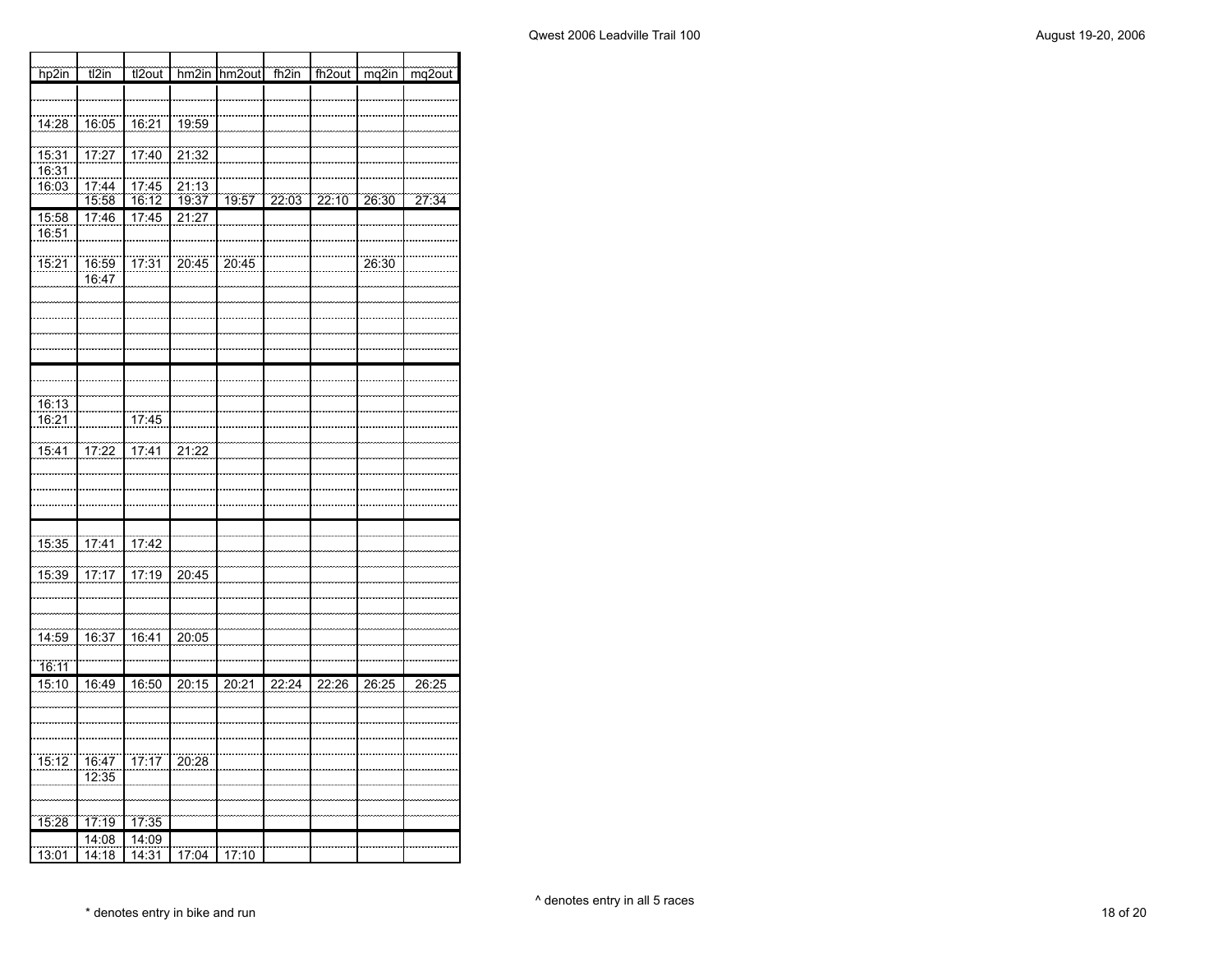┓

| hp2in             | $t\overline{l2in}$    | tl2out                |       | hm2in hm2out | fh2in | fh <sub>2out</sub> | mq2in | mg2out |
|-------------------|-----------------------|-----------------------|-------|--------------|-------|--------------------|-------|--------|
|                   |                       |                       |       |              |       |                    |       |        |
|                   |                       |                       |       |              |       |                    |       |        |
| 14:28             | 16:05                 | 76:21                 | 19:59 |              |       |                    |       |        |
| 15:31             | 17:27                 | 17:40                 | 21:32 |              |       |                    |       |        |
| 16:31             |                       |                       |       |              |       |                    |       |        |
| 16:03             | $\frac{17:44}{15:58}$ | 17:45                 | 21:13 |              |       |                    |       |        |
|                   |                       | 16:12                 | 19:37 | 19:57        | 22:03 | 22:10              | 26:30 | 27:34  |
| 15:58             | 17:46                 | 17:45                 | 21:27 |              |       |                    |       |        |
| 16:51             |                       |                       |       |              |       |                    |       |        |
| 75:21             | 16:59                 | 17:31                 | 20:45 | 20:45        |       |                    | 26:30 |        |
|                   | 16:47                 |                       |       |              |       |                    |       |        |
|                   |                       |                       |       |              |       |                    |       |        |
|                   |                       |                       |       |              |       |                    |       |        |
|                   |                       |                       |       |              |       |                    |       |        |
|                   |                       |                       |       |              |       |                    |       |        |
|                   |                       |                       |       |              |       |                    |       |        |
|                   |                       |                       |       |              |       |                    |       |        |
| $\frac{1}{16:13}$ |                       |                       |       |              |       |                    |       |        |
| 16:21             |                       | 17:45                 |       |              |       |                    |       |        |
|                   |                       |                       |       |              |       |                    |       |        |
| 15:41             | 17:22                 | 17:41                 | 21:22 |              |       |                    |       |        |
|                   |                       |                       |       |              |       |                    |       |        |
|                   |                       |                       |       |              |       |                    |       |        |
|                   |                       |                       |       |              |       |                    |       |        |
|                   |                       |                       |       |              |       |                    |       |        |
| 15:35             | 77:41                 | 17:42                 |       |              |       |                    |       |        |
| 15:39             | 17:17                 | 17:19                 | 20:45 |              |       |                    |       |        |
|                   |                       |                       |       |              |       |                    |       |        |
|                   |                       |                       |       |              |       |                    |       |        |
|                   |                       |                       |       |              |       |                    |       |        |
| 14:59             | 16:37                 | 16:41                 | 20:05 |              |       |                    |       |        |
| 16:11             |                       |                       |       |              |       |                    |       |        |
| 15:10             | 16:49                 | 16:50                 | 20:15 | 20:21        | 22:24 | 22:26              | 26:25 | 26:25  |
|                   |                       |                       |       |              |       |                    |       |        |
|                   |                       |                       |       |              |       |                    |       |        |
|                   |                       |                       |       |              |       |                    |       |        |
|                   |                       |                       |       |              |       |                    |       |        |
| 15:12             | 16:47                 | $\frac{17.17}{17.17}$ | 20:28 |              |       |                    |       |        |
|                   | 12:35                 |                       |       |              |       |                    |       |        |
|                   |                       |                       |       |              |       |                    |       |        |
| 15:28             | 17:19                 | 17:35                 |       |              |       |                    |       |        |
|                   | 14:08                 | 14:09                 |       |              |       |                    |       |        |
| 13:01             | 14:18                 | 14:31                 | 17:04 | 17:10        |       |                    |       |        |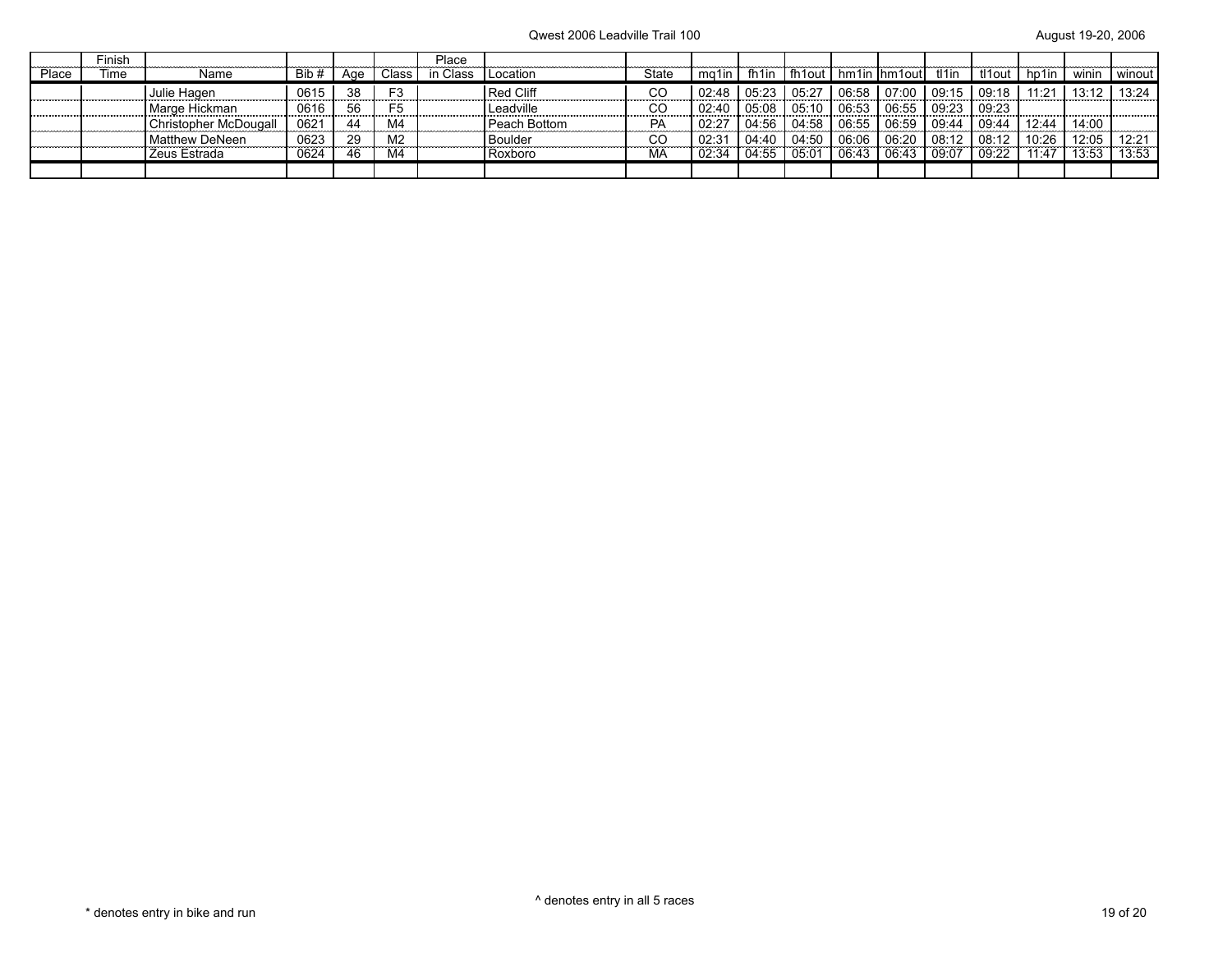|       | Finish |                       |       |     |                | Place |              |       |       |                   |       |       |                     |       |        |       |       |          |
|-------|--------|-----------------------|-------|-----|----------------|-------|--------------|-------|-------|-------------------|-------|-------|---------------------|-------|--------|-------|-------|----------|
| Place | Time   | Name                  | Bib # | Age | Class          | Class | Location     | State | ma1in | fh <sub>1in</sub> |       |       | fh1out hm1in hm1out | tl1in | tl1out | hp1in | winin | l winout |
|       |        | Julie Hagen           | 0615  | 38  | F <sub>3</sub> |       | l Red Cliff  | CС    | 02:48 | 05:23             |       | 06:58 | 07:00               | 09:15 | 09:18  |       |       | 13:24    |
|       |        | Marge Hickman         | 0616  | 56  | F <sub>5</sub> |       | Leadville    | CO    | 02:40 | 05:08             | 05:10 | 06:53 | 06:55               | 09:23 | 09:23  |       |       |          |
|       |        | Christopher McDougall | 0621  |     | M4             |       | Peach Bottom | РA    | 02:27 | 04:56             | 04:58 | 06:55 | 06:59               | 09:44 | 09:44  | 12:44 | 14:00 |          |
|       |        | Matthew DeNeen        | 0623  | 29  | M <sub>2</sub> |       | l Boulder    | CC    | 02:3  | 04:40             | 04:50 | 06:06 | 06:20               | 08:12 | 08:12  | 10:26 | 12:05 |          |
|       |        | Zeus Estrada          | 0624  | 46  | M4             |       | Roxboro      | МA    | 02:34 | 04:55             | 05:0  | 06:43 |                     | 09:07 | 09:22  | 11.47 | 13:53 | 13:53    |
|       |        |                       |       |     |                |       |              |       |       |                   |       |       |                     |       |        |       |       |          |